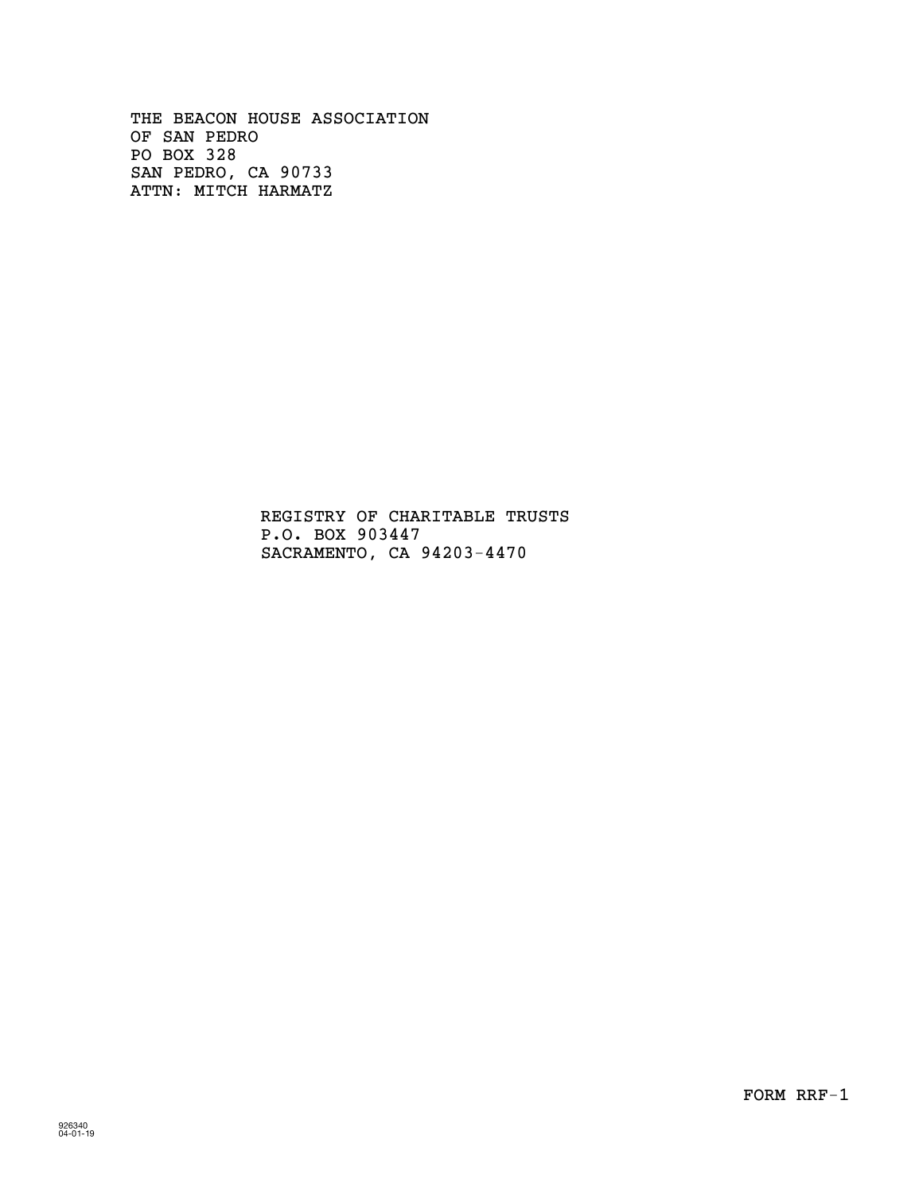OF SAN PEDRO PO BOX 328 THE BEACON HOUSE ASSOCIATION SAN PEDRO, CA 90733 ATTN: MITCH HARMATZ

> REGISTRY OF CHARITABLE TRUSTS P.O. BOX 903447 SACRAMENTO, CA 94203-4470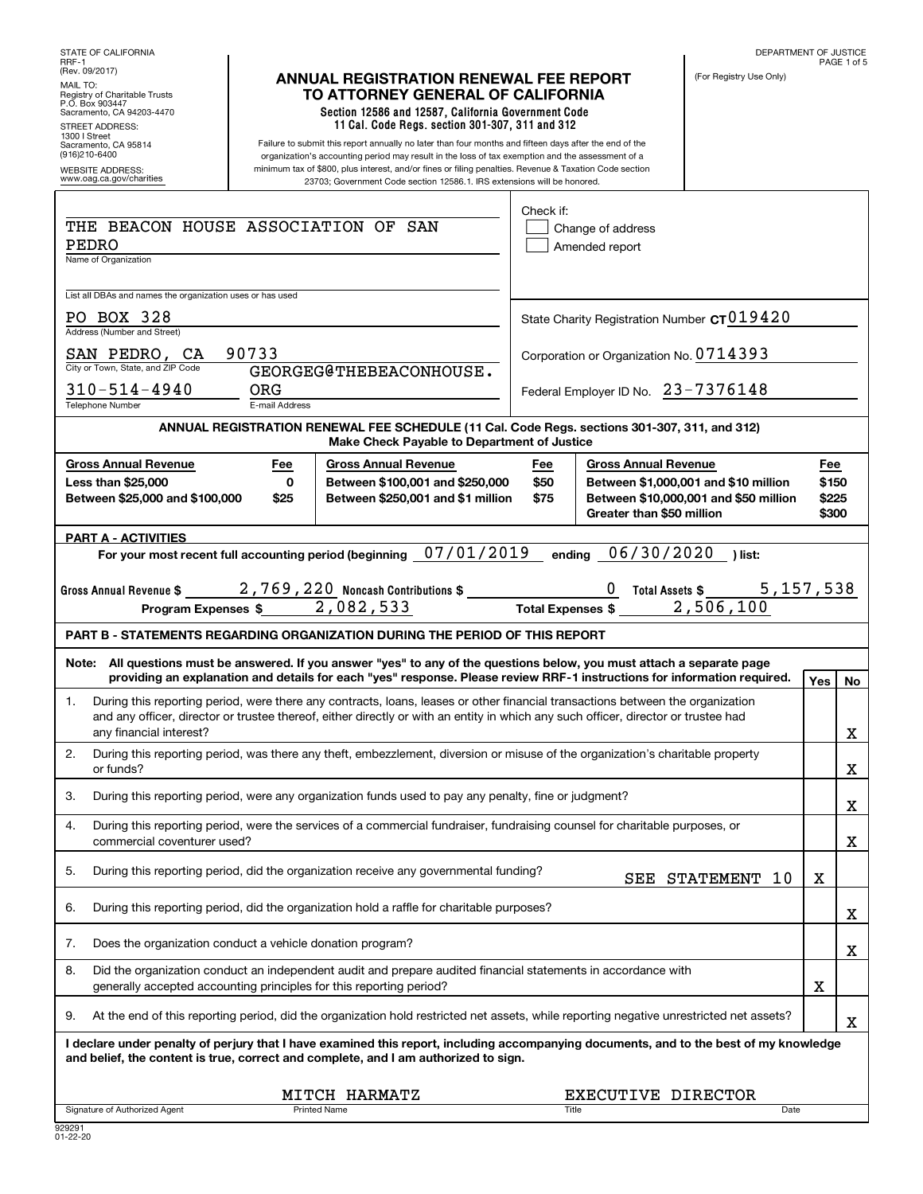| STATE OF CALIFORNIA<br>RRF-1                                                                                                                    |                              |                                                                                                                                                                                                                                                                                                                                                                                                 |                     |                                                          | DEPARTMENT OF JUSTICE                                                         |                                | PAGE 1 of 5 |
|-------------------------------------------------------------------------------------------------------------------------------------------------|------------------------------|-------------------------------------------------------------------------------------------------------------------------------------------------------------------------------------------------------------------------------------------------------------------------------------------------------------------------------------------------------------------------------------------------|---------------------|----------------------------------------------------------|-------------------------------------------------------------------------------|--------------------------------|-------------|
| (Rev. 09/2017)<br>MAIL TO:<br>Registry of Charitable Trusts<br>P.O. Box 903447<br>Sacramento, CA 94203-4470<br>STREET ADDRESS:<br>1300   Street |                              | <b>ANNUAL REGISTRATION RENEWAL FEE REPORT</b><br>TO ATTORNEY GENERAL OF CALIFORNIA<br>Section 12586 and 12587, California Government Code<br>11 Cal. Code Regs. section 301-307, 311 and 312                                                                                                                                                                                                    |                     |                                                          | (For Registry Use Only)                                                       |                                |             |
| Sacramento, CA 95814<br>(916)210-6400<br><b>WEBSITE ADDRESS:</b><br>www.oag.ca.gov/charities                                                    |                              | Failure to submit this report annually no later than four months and fifteen days after the end of the<br>organization's accounting period may result in the loss of tax exemption and the assessment of a<br>minimum tax of \$800, plus interest, and/or fines or filing penalties. Revenue & Taxation Code section<br>23703; Government Code section 12586.1. IRS extensions will be honored. |                     |                                                          |                                                                               |                                |             |
|                                                                                                                                                 |                              |                                                                                                                                                                                                                                                                                                                                                                                                 | Check if:           |                                                          |                                                                               |                                |             |
| THE BEACON HOUSE ASSOCIATION OF<br>PEDRO<br>Name of Organization                                                                                |                              | SAN                                                                                                                                                                                                                                                                                                                                                                                             |                     | Change of address<br>Amended report                      |                                                                               |                                |             |
| List all DBAs and names the organization uses or has used                                                                                       |                              |                                                                                                                                                                                                                                                                                                                                                                                                 |                     |                                                          |                                                                               |                                |             |
| PO BOX 328<br>Address (Number and Street)                                                                                                       |                              |                                                                                                                                                                                                                                                                                                                                                                                                 |                     | State Charity Registration Number $c$ T $019420$         |                                                                               |                                |             |
| SAN PEDRO, CA                                                                                                                                   | 90733                        |                                                                                                                                                                                                                                                                                                                                                                                                 |                     | Corporation or Organization No. 0714393                  |                                                                               |                                |             |
| City or Town, State, and ZIP Code<br>$310 - 514 - 4940$<br><b>Telephone Number</b>                                                              | <b>ORG</b><br>E-mail Address | GEORGEG@THEBEACONHOUSE.                                                                                                                                                                                                                                                                                                                                                                         |                     | Federal Employer ID No. 23-7376148                       |                                                                               |                                |             |
|                                                                                                                                                 |                              | ANNUAL REGISTRATION RENEWAL FEE SCHEDULE (11 Cal. Code Regs. sections 301-307, 311, and 312)<br>Make Check Payable to Department of Justice                                                                                                                                                                                                                                                     |                     |                                                          |                                                                               |                                |             |
| <b>Gross Annual Revenue</b><br><b>Less than \$25,000</b><br>Between \$25,000 and \$100,000                                                      | Fee<br>0<br>\$25             | <b>Gross Annual Revenue</b><br>Between \$100,001 and \$250,000<br>Between \$250,001 and \$1 million                                                                                                                                                                                                                                                                                             | Fee<br>\$50<br>\$75 | <b>Gross Annual Revenue</b><br>Greater than \$50 million | Between \$1,000,001 and \$10 million<br>Between \$10,000,001 and \$50 million | Fee<br>\$150<br>\$225<br>\$300 |             |
| <b>PART A - ACTIVITIES</b>                                                                                                                      |                              |                                                                                                                                                                                                                                                                                                                                                                                                 |                     |                                                          |                                                                               |                                |             |
|                                                                                                                                                 |                              | For your most recent full accounting period (beginning 07/01/2019                                                                                                                                                                                                                                                                                                                               |                     | 06/30/2020<br>ending                                     | ) list:                                                                       |                                |             |
| Gross Annual Revenue \$                                                                                                                         |                              | 2,769,220 Noncash Contributions \$<br>Program Expenses \$2,082,533                                                                                                                                                                                                                                                                                                                              |                     | <b>Total Expenses \$</b>                                 | 5,157,538<br><b>Total Assets \$</b><br>2,506,100                              |                                |             |
|                                                                                                                                                 |                              | <b>PART B - STATEMENTS REGARDING ORGANIZATION DURING THE PERIOD OF THIS REPORT</b>                                                                                                                                                                                                                                                                                                              |                     |                                                          |                                                                               |                                |             |
|                                                                                                                                                 |                              | Note: All questions must be answered. If you answer "yes" to any of the questions below, you must attach a separate page<br>providing an explanation and details for each "yes" response. Please review RRF-1 instructions for information required.                                                                                                                                            |                     |                                                          |                                                                               | Yes                            | No          |
| 1.                                                                                                                                              |                              |                                                                                                                                                                                                                                                                                                                                                                                                 |                     |                                                          |                                                                               |                                |             |
| any financial interest?                                                                                                                         |                              | During this reporting period, were there any contracts, loans, leases or other financial transactions between the organization<br>and any officer, director or trustee thereof, either directly or with an entity in which any such officer, director or trustee had                                                                                                                            |                     |                                                          |                                                                               |                                | х           |
| 2.<br>or funds?                                                                                                                                 |                              | During this reporting period, was there any theft, embezzlement, diversion or misuse of the organization's charitable property                                                                                                                                                                                                                                                                  |                     |                                                          |                                                                               |                                |             |
| 3.                                                                                                                                              |                              | During this reporting period, were any organization funds used to pay any penalty, fine or judgment?                                                                                                                                                                                                                                                                                            |                     |                                                          |                                                                               |                                | X<br>х      |
| 4.<br>commercial coventurer used?                                                                                                               |                              | During this reporting period, were the services of a commercial fundraiser, fundraising counsel for charitable purposes, or                                                                                                                                                                                                                                                                     |                     |                                                          |                                                                               |                                | х           |
| 5.                                                                                                                                              |                              | During this reporting period, did the organization receive any governmental funding?                                                                                                                                                                                                                                                                                                            |                     |                                                          | SEE STATEMENT<br>10                                                           | X                              |             |
| 6.                                                                                                                                              |                              | During this reporting period, did the organization hold a raffle for charitable purposes?                                                                                                                                                                                                                                                                                                       |                     |                                                          |                                                                               |                                | х           |
| Does the organization conduct a vehicle donation program?<br>7.                                                                                 |                              |                                                                                                                                                                                                                                                                                                                                                                                                 |                     |                                                          |                                                                               |                                | х           |
| 8.<br>generally accepted accounting principles for this reporting period?                                                                       |                              | Did the organization conduct an independent audit and prepare audited financial statements in accordance with                                                                                                                                                                                                                                                                                   |                     |                                                          |                                                                               | X                              |             |
| 9.                                                                                                                                              |                              | At the end of this reporting period, did the organization hold restricted net assets, while reporting negative unrestricted net assets?                                                                                                                                                                                                                                                         |                     |                                                          |                                                                               |                                | х           |
|                                                                                                                                                 |                              | I declare under penalty of perjury that I have examined this report, including accompanying documents, and to the best of my knowledge<br>and belief, the content is true, correct and complete, and I am authorized to sign.                                                                                                                                                                   |                     |                                                          |                                                                               |                                |             |
| Signature of Authorized Agent                                                                                                                   |                              | MITCH HARMATZ<br><b>Printed Name</b>                                                                                                                                                                                                                                                                                                                                                            | <b>Title</b>        | EXECUTIVE DIRECTOR                                       | Date                                                                          |                                |             |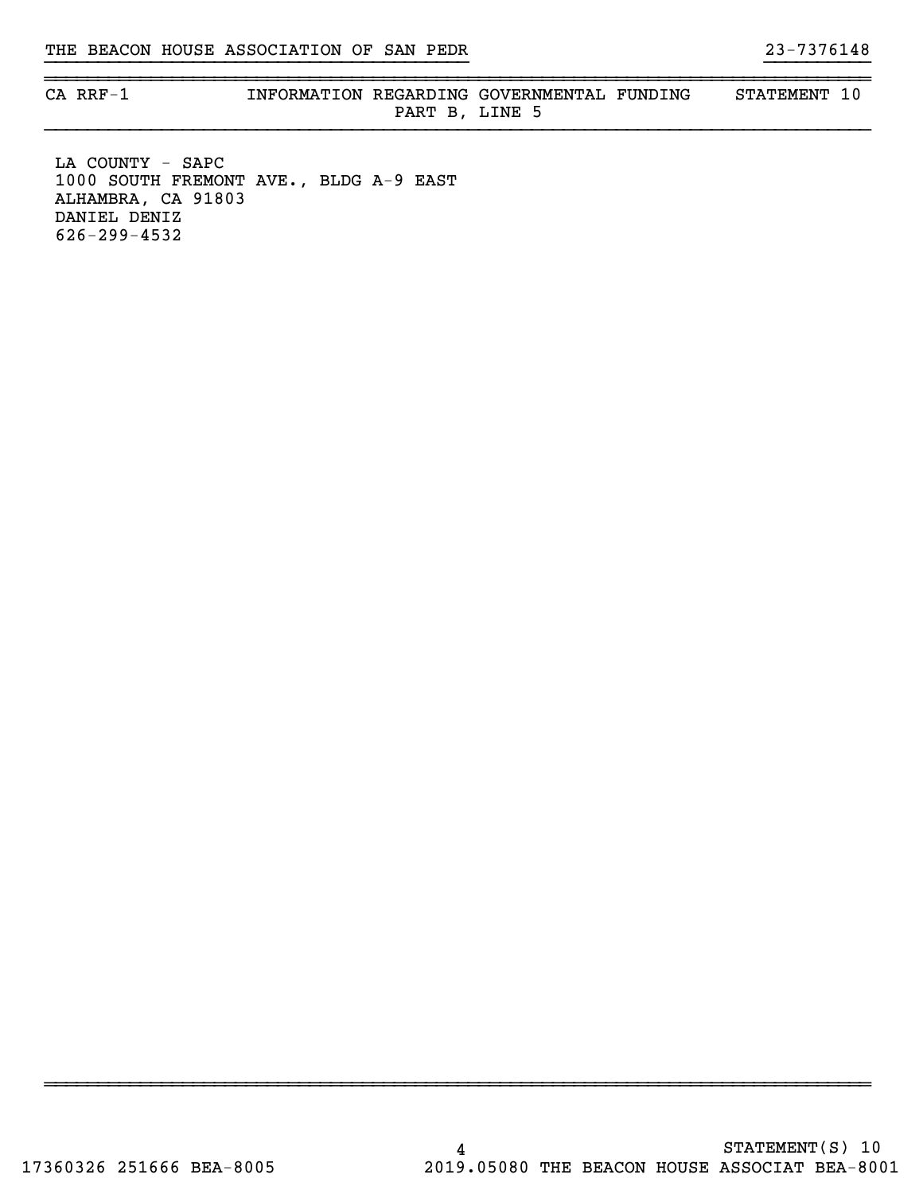~~~~~~~~~~~~~~~~~~~~~~~~~~~~~~~~~~~~~~~~~~~~~~~~~~~~~~~~~~~~~~~~~~~~~~~~~~~~~~

CA RRF-1 **INFORMATION REGARDING GOVERNMENTAL FUNDING** STATEMENT 10 PART B, LINE 5

~~~~~~~~~~~~~~~~~~~~~~~~~~~~~~~~~~~~~~~~~~~~~~~~~~~~~~~~~~~~~~~~~~~~~~~~~~~~~~

}}}}}}}}}}}}}}}}}}}}}}}}}}}}}}}}}}}}}}}} }}}}}}}}}}

LA COUNTY - SAPC 1000 SOUTH FREMONT AVE., BLDG A-9 EAST ALHAMBRA, CA 91803 DANIEL DENIZ 626-299-4532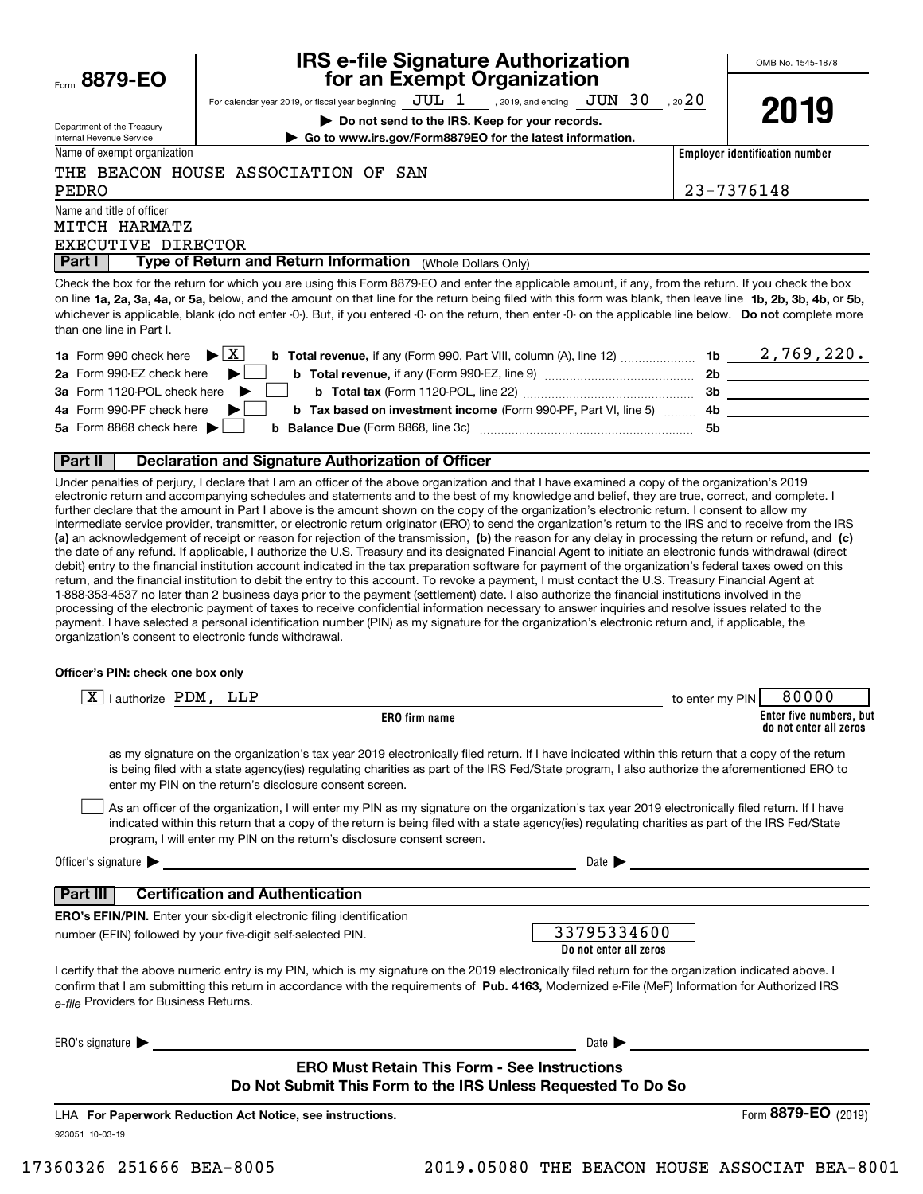| Form | 8879-1 | ΕO |  |
|------|--------|----|--|
|      |        |    |  |

Department of the Treasury Internal Revenue Service

## **IRS e-file Signature Authorization for an Exempt Organization**

For calendar year 2019, or fiscal year beginning  $\rm\,JUL~$   $1$   $\rm\,$  , 2019, and ending  $\rm\,JUN~$   $30$   $\rm\,$  , 20  $20$ 

**| Do not send to the IRS. Keep for your records.**

Name of exempt organization

**| Go to www.irs.gov/Form8879EO for the latest information.**

THE BEACON HOUSE ASSOCIATION OF SAN

PEDRO 23-7376148

**Employer identification number**

Name and title of officer MITCH HARMATZ

## EXECUTIVE DIRECTOR

 (Whole Dollars Only) **Part I Type of Return and Return Information** 

on line **1a, 2a, 3a, 4a,** or **5a,** below, and the amount on that line for the return being filed with this form was blank, then leave line **1b, 2b, 3b, 4b,** or **5b,** whichever is applicable, blank (do not enter -0-). But, if you entered -0- on the return, then enter -0- on the applicable line below. **Do not** complete more Check the box for the return for which you are using this Form 8879-EO and enter the applicable amount, if any, from the return. If you check the box than one line in Part I.

| <b>1a</b> Form 990 check here $\blacktriangleright$ $\boxed{\text{X}}$                                 | 1b        | 2,769,220. |
|--------------------------------------------------------------------------------------------------------|-----------|------------|
| 2a Form 990-EZ check here                                                                              | <b>2b</b> |            |
| 3a Form 1120-POL check here                                                                            | -3b       |            |
| 4a Form 990-PF check here<br><b>b</b> Tax based on investment income (Form 990-PF, Part VI, line 5) 4b |           |            |
| 5a Form 8868 check here $\blacktriangleright$<br><b>b</b> Balance Due (Form 8868, line 3c)             | .5b       |            |
|                                                                                                        |           |            |

## **Part II Declaration and Signature Authorization of Officer**

**(a)** an acknowledgement of receipt or reason for rejection of the transmission, (b) the reason for any delay in processing the return or refund, and (c) Under penalties of perjury, I declare that I am an officer of the above organization and that I have examined a copy of the organization's 2019 electronic return and accompanying schedules and statements and to the best of my knowledge and belief, they are true, correct, and complete. I further declare that the amount in Part I above is the amount shown on the copy of the organization's electronic return. I consent to allow my intermediate service provider, transmitter, or electronic return originator (ERO) to send the organization's return to the IRS and to receive from the IRS the date of any refund. If applicable, I authorize the U.S. Treasury and its designated Financial Agent to initiate an electronic funds withdrawal (direct debit) entry to the financial institution account indicated in the tax preparation software for payment of the organization's federal taxes owed on this return, and the financial institution to debit the entry to this account. To revoke a payment, I must contact the U.S. Treasury Financial Agent at 1-888-353-4537 no later than 2 business days prior to the payment (settlement) date. I also authorize the financial institutions involved in the processing of the electronic payment of taxes to receive confidential information necessary to answer inquiries and resolve issues related to the payment. I have selected a personal identification number (PIN) as my signature for the organization's electronic return and, if applicable, the organization's consent to electronic funds withdrawal.

#### **Officer's PIN: check one box only**

| l authorize PDM, LLP<br>ΧI                                                                                                                                                                                                                                                                                                                                                       | 80000<br>to enter my PIN                          |
|----------------------------------------------------------------------------------------------------------------------------------------------------------------------------------------------------------------------------------------------------------------------------------------------------------------------------------------------------------------------------------|---------------------------------------------------|
| ERO firm name                                                                                                                                                                                                                                                                                                                                                                    | Enter five numbers, but<br>do not enter all zeros |
| as my signature on the organization's tax year 2019 electronically filed return. If I have indicated within this return that a copy of the return<br>is being filed with a state agency(ies) regulating charities as part of the IRS Fed/State program, I also authorize the aforementioned ERO to<br>enter my PIN on the return's disclosure consent screen.                    |                                                   |
| As an officer of the organization, I will enter my PIN as my signature on the organization's tax year 2019 electronically filed return. If I have<br>indicated within this return that a copy of the return is being filed with a state agency(ies) regulating charities as part of the IRS Fed/State<br>program, I will enter my PIN on the return's disclosure consent screen. |                                                   |
| Officer's signature $\blacktriangleright$<br><u> 1989 - John Stein, Amerikaansk politiker (</u>                                                                                                                                                                                                                                                                                  | Date $\blacktriangleright$                        |
| <b>Certification and Authentication</b><br>Part III                                                                                                                                                                                                                                                                                                                              |                                                   |
| <b>ERO's EFIN/PIN.</b> Enter your six-digit electronic filing identification                                                                                                                                                                                                                                                                                                     |                                                   |
| number (EFIN) followed by your five-digit self-selected PIN.                                                                                                                                                                                                                                                                                                                     | 33795334600<br>Do not enter all zeros             |
| I certify that the above numeric entry is my PIN, which is my signature on the 2019 electronically filed return for the organization indicated above. I<br>confirm that I am submitting this return in accordance with the requirements of Pub. 4163, Modernized e-File (MeF) Information for Authorized IRS<br>e-file Providers for Business Returns.                           |                                                   |
| ERO's signature $\blacktriangleright$                                                                                                                                                                                                                                                                                                                                            | Date $\blacktriangleright$                        |
| <b>ERO Must Retain This Form - See Instructions</b>                                                                                                                                                                                                                                                                                                                              |                                                   |
| Do Not Submit This Form to the IRS Unless Requested To Do So                                                                                                                                                                                                                                                                                                                     |                                                   |
| LHA For Paperwork Reduction Act Notice, see instructions.                                                                                                                                                                                                                                                                                                                        | Form 8879-EO (2019)                               |
| 923051 10-03-19                                                                                                                                                                                                                                                                                                                                                                  |                                                   |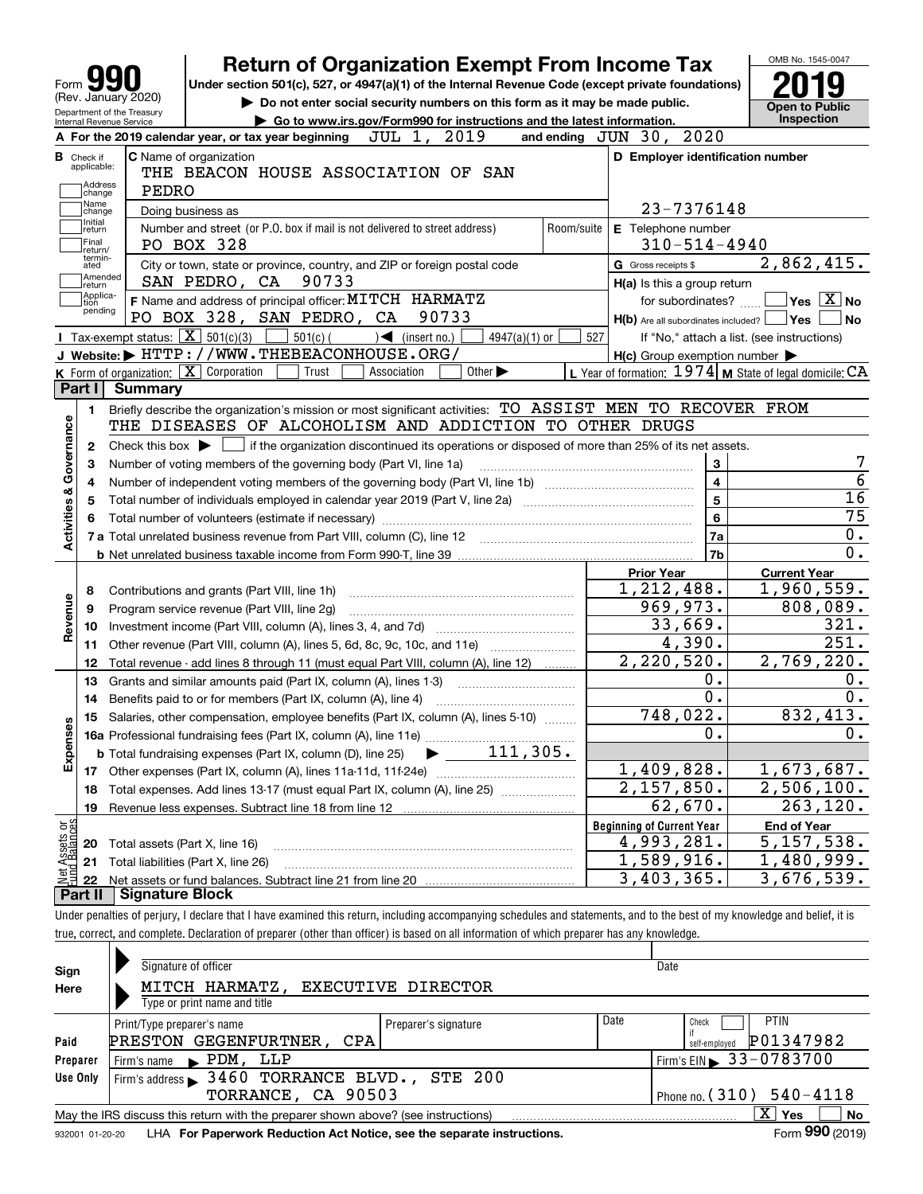| Form YY<br>(Rev. January 2020)<br>Department of the Treasury                                                                                                               | <b>Return of Organization Exempt From Income Tax</b><br>Under section 501(c), 527, or 4947(a)(1) of the Internal Revenue Code (except private foundations)<br>Do not enter social security numbers on this form as it may be made public. |            |                                                           | <b>Open to Public</b>                                                                                                                                 |
|----------------------------------------------------------------------------------------------------------------------------------------------------------------------------|-------------------------------------------------------------------------------------------------------------------------------------------------------------------------------------------------------------------------------------------|------------|-----------------------------------------------------------|-------------------------------------------------------------------------------------------------------------------------------------------------------|
| Internal Revenue Service                                                                                                                                                   | Go to www.irs.gov/Form990 for instructions and the latest information.                                                                                                                                                                    |            |                                                           | <b>Inspection</b>                                                                                                                                     |
| A For the 2019 calendar year, or tax year beginning                                                                                                                        | 2019<br>JUL 1,                                                                                                                                                                                                                            |            | and ending JUN 30, 2020                                   |                                                                                                                                                       |
| <b>C</b> Name of organization<br><b>B</b> Check if<br>applicable:<br>Address<br>PEDRO<br>change                                                                            | THE BEACON HOUSE ASSOCIATION OF SAN                                                                                                                                                                                                       |            | D Employer identification number                          |                                                                                                                                                       |
| Name<br>Doing business as<br>change                                                                                                                                        |                                                                                                                                                                                                                                           |            | 23-7376148                                                |                                                                                                                                                       |
| Initial<br>Number and street (or P.O. box if mail is not delivered to street address)<br>return<br> Final<br>PO BOX 328<br>return/                                         |                                                                                                                                                                                                                                           | Room/suite | E Telephone number<br>$310 - 514 - 4940$                  |                                                                                                                                                       |
| termin-<br>ated                                                                                                                                                            | City or town, state or province, country, and ZIP or foreign postal code                                                                                                                                                                  |            | G Gross receipts \$                                       | 2,862,415.                                                                                                                                            |
| Amended<br>SAN PEDRO, CA<br> return                                                                                                                                        | 90733                                                                                                                                                                                                                                     |            | H(a) Is this a group return                               |                                                                                                                                                       |
| Applica-<br>F Name and address of principal officer: MITCH HARMATZ<br>tion                                                                                                 |                                                                                                                                                                                                                                           |            | for subordinates?                                         | $\sqrt{}$ Yes $\sqrt{}$ X $\sqrt{}$ No                                                                                                                |
| pending<br>PO BOX 328, SAN PEDRO, CA                                                                                                                                       | 90733                                                                                                                                                                                                                                     |            | $H(b)$ Are all subordinates included? $\Box$ Yes          | <b>No</b>                                                                                                                                             |
| Tax-exempt status: $\boxed{\mathbf{X}}$ 501(c)(3)<br>$501(c)$ (                                                                                                            | 4947(a)(1) or<br>$\sqrt{\frac{1}{1}}$ (insert no.)                                                                                                                                                                                        | 527        |                                                           | If "No," attach a list. (see instructions)                                                                                                            |
| J Website: FITTP: / / WWW.THEBEACONHOUSE.ORG/                                                                                                                              |                                                                                                                                                                                                                                           |            | $H(c)$ Group exemption number $\blacktriangleright$       |                                                                                                                                                       |
| K Form of organization: X Corporation<br>Trust                                                                                                                             | Other $\blacktriangleright$<br>Association                                                                                                                                                                                                |            | L Year of formation: $1974$ M State of legal domicile: CA |                                                                                                                                                       |
| Part I I<br><b>Summary</b>                                                                                                                                                 |                                                                                                                                                                                                                                           |            |                                                           |                                                                                                                                                       |
| Briefly describe the organization's mission or most significant activities: TO ASSIST MEN TO RECOVER FROM<br>1.<br>THE DISEASES OF ALCOHOLISM AND ADDICTION TO OTHER DRUGS |                                                                                                                                                                                                                                           |            |                                                           |                                                                                                                                                       |
| Check this box $\blacktriangleright$<br>2                                                                                                                                  | if the organization discontinued its operations or disposed of more than 25% of its net assets.                                                                                                                                           |            |                                                           |                                                                                                                                                       |
|                                                                                                                                                                            |                                                                                                                                                                                                                                           |            |                                                           |                                                                                                                                                       |
|                                                                                                                                                                            |                                                                                                                                                                                                                                           |            |                                                           |                                                                                                                                                       |
| Number of voting members of the governing body (Part VI, line 1a)<br>З                                                                                                     |                                                                                                                                                                                                                                           |            | 3                                                         |                                                                                                                                                       |
| Governance<br>4                                                                                                                                                            |                                                                                                                                                                                                                                           |            | 4                                                         |                                                                                                                                                       |
| 5                                                                                                                                                                          |                                                                                                                                                                                                                                           |            | 5                                                         |                                                                                                                                                       |
| 6                                                                                                                                                                          |                                                                                                                                                                                                                                           |            | 6                                                         |                                                                                                                                                       |
| <b>Activities &amp;</b>                                                                                                                                                    |                                                                                                                                                                                                                                           |            | 7a                                                        |                                                                                                                                                       |
|                                                                                                                                                                            |                                                                                                                                                                                                                                           |            | 7b                                                        |                                                                                                                                                       |
|                                                                                                                                                                            |                                                                                                                                                                                                                                           |            | <b>Prior Year</b>                                         | <b>Current Year</b>                                                                                                                                   |
| Contributions and grants (Part VIII, line 1h)<br>8                                                                                                                         |                                                                                                                                                                                                                                           |            | 1,212,488.                                                |                                                                                                                                                       |
| Program service revenue (Part VIII, line 2g)<br>9                                                                                                                          |                                                                                                                                                                                                                                           |            | 969,973.                                                  |                                                                                                                                                       |
| Revenue<br>10                                                                                                                                                              |                                                                                                                                                                                                                                           |            | 33,669.                                                   |                                                                                                                                                       |
| Other revenue (Part VIII, column (A), lines 5, 6d, 8c, 9c, 10c, and 11e)<br>11                                                                                             |                                                                                                                                                                                                                                           |            | 4,390.                                                    |                                                                                                                                                       |
| Total revenue - add lines 8 through 11 (must equal Part VIII, column (A), line 12)<br>12                                                                                   |                                                                                                                                                                                                                                           |            | 2, 220, 520.                                              |                                                                                                                                                       |
| 13<br>Grants and similar amounts paid (Part IX, column (A), lines 1-3)                                                                                                     |                                                                                                                                                                                                                                           |            | О.                                                        |                                                                                                                                                       |
| Benefits paid to or for members (Part IX, column (A), line 4)<br>14                                                                                                        |                                                                                                                                                                                                                                           |            | О.                                                        |                                                                                                                                                       |
| 15 Salaries, other compensation, employee benefits (Part IX, column (A), lines 5-10)                                                                                       |                                                                                                                                                                                                                                           |            | 748, 022                                                  |                                                                                                                                                       |
|                                                                                                                                                                            |                                                                                                                                                                                                                                           |            | 0.                                                        |                                                                                                                                                       |
| <b>b</b> Total fundraising expenses (Part IX, column (D), line 25)                                                                                                         | $111,305$ .                                                                                                                                                                                                                               |            |                                                           |                                                                                                                                                       |
| Expenses<br>17                                                                                                                                                             |                                                                                                                                                                                                                                           |            | 1,409,828.                                                |                                                                                                                                                       |
| Total expenses. Add lines 13-17 (must equal Part IX, column (A), line 25) [<br>18                                                                                          |                                                                                                                                                                                                                                           |            | 2,157,850.                                                |                                                                                                                                                       |
| 19                                                                                                                                                                         |                                                                                                                                                                                                                                           |            | 62,670.                                                   |                                                                                                                                                       |
|                                                                                                                                                                            |                                                                                                                                                                                                                                           |            | <b>Beginning of Current Year</b>                          | <b>End of Year</b>                                                                                                                                    |
| Total assets (Part X, line 16)<br>20                                                                                                                                       |                                                                                                                                                                                                                                           |            | 4,993,281.                                                |                                                                                                                                                       |
| t Assets or<br>d Balances<br>Total liabilities (Part X, line 26)<br>21<br>혏<br>22                                                                                          |                                                                                                                                                                                                                                           |            | $\overline{1,589,916}$ .<br>3,403,365.                    | 1,960,559.<br>808,089.<br>321.<br>251.<br>2,769,220.<br>832,413.<br>1,673,687.<br>2,506,100.<br>263, 120.<br>5, 157, 538.<br>1,480,999.<br>3,676,539. |

| Sign     | Signature of officer                                                              |                            | Date                          |
|----------|-----------------------------------------------------------------------------------|----------------------------|-------------------------------|
| Here     | MITCH HARMATZ, EXECUTIVE DIRECTOR                                                 |                            |                               |
|          | Type or print name and title                                                      |                            |                               |
|          | Print/Type preparer's name                                                        | Preparer's signature       | Date<br><b>PTIN</b><br>Check  |
| Paid     | PRESTON GEGENFURTNER,<br>CPA                                                      |                            | P01347982<br>self-emploved    |
| Preparer | Firm's name PDM, LLP                                                              |                            | Firm's EIN 33-0783700         |
| Use Only | Firm's address 3460 TORRANCE BLVD., STE 200                                       |                            |                               |
|          | TORRANCE, CA 90503                                                                | Phone no. $(310)$ 540-4118 |                               |
|          | May the IRS discuss this return with the preparer shown above? (see instructions) |                            | X.<br>No<br>Yes               |
|          |                                                                                   |                            | $F_{\text{max}}$ 000 $(0.25)$ |

932001 01-20-20 **For Paperwork Reduction Act Notice, see the separate instructions.** LHA Form (2019)

**990**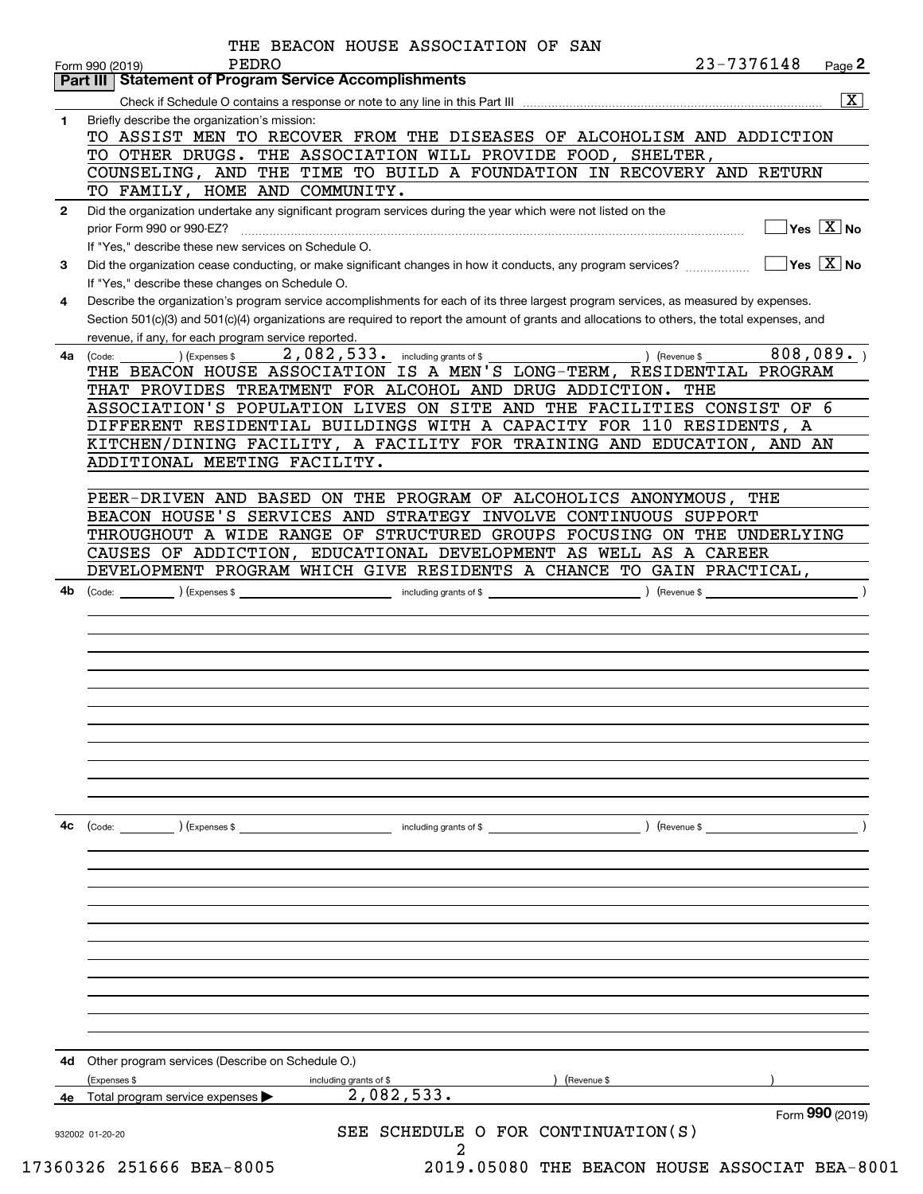|    | <b>Part III Statement of Program Service Accomplishments</b>                                                                                            |
|----|---------------------------------------------------------------------------------------------------------------------------------------------------------|
|    | $\overline{\mathbf{x}}$                                                                                                                                 |
| 1. | Briefly describe the organization's mission:                                                                                                            |
|    | TO ASSIST MEN TO RECOVER FROM THE DISEASES OF ALCOHOLISM AND ADDICTION                                                                                  |
|    | TO OTHER DRUGS. THE ASSOCIATION WILL PROVIDE FOOD, SHELTER,                                                                                             |
|    | COUNSELING, AND THE TIME TO BUILD A FOUNDATION IN RECOVERY AND RETURN<br>TO FAMILY, HOME AND COMMUNITY.                                                 |
|    |                                                                                                                                                         |
| 2  | Did the organization undertake any significant program services during the year which were not listed on the<br>$\sqrt{}$ Yes $\sqrt{}$ X $\sqrt{}$ No  |
|    | prior Form 990 or 990-EZ?<br>If "Yes," describe these new services on Schedule O.                                                                       |
| 3  | $\overline{\mathsf{Yes} \mathbb{X}}$ No<br>Did the organization cease conducting, or make significant changes in how it conducts, any program services? |
|    | If "Yes," describe these changes on Schedule O.                                                                                                         |
| 4  | Describe the organization's program service accomplishments for each of its three largest program services, as measured by expenses.                    |
|    | Section 501(c)(3) and 501(c)(4) organizations are required to report the amount of grants and allocations to others, the total expenses, and            |
|    | revenue, if any, for each program service reported.                                                                                                     |
| 4a | 808,089.<br>2,082,533. including grants of \$<br>) (Revenue \$<br>(Expenses \$<br>(Code:                                                                |
|    | THE BEACON HOUSE ASSOCIATION IS A MEN'S LONG-TERM, RESIDENTIAL PROGRAM                                                                                  |
|    | THAT PROVIDES TREATMENT FOR ALCOHOL AND DRUG ADDICTION. THE                                                                                             |
|    | ASSOCIATION'S POPULATION LIVES ON SITE AND THE FACILITIES CONSIST OF 6                                                                                  |
|    | DIFFERENT RESIDENTIAL BUILDINGS WITH A CAPACITY FOR 110 RESIDENTS, A                                                                                    |
|    | KITCHEN/DINING FACILITY, A FACILITY FOR TRAINING AND EDUCATION, AND AN                                                                                  |
|    | ADDITIONAL MEETING FACILITY.                                                                                                                            |
|    |                                                                                                                                                         |
|    | PEER-DRIVEN AND BASED ON THE PROGRAM OF ALCOHOLICS ANONYMOUS, THE                                                                                       |
|    | BEACON HOUSE'S SERVICES AND STRATEGY INVOLVE CONTINUOUS SUPPORT                                                                                         |
|    | THROUGHOUT A WIDE RANGE OF STRUCTURED GROUPS FOCUSING ON THE UNDERLYING                                                                                 |
|    | CAUSES OF ADDICTION, EDUCATIONAL DEVELOPMENT AS WELL AS A CAREER                                                                                        |
|    | DEVELOPMENT PROGRAM WHICH GIVE RESIDENTS A CHANCE TO GAIN PRACTICAL,                                                                                    |
| 4b | including grants of \$<br>(Code:<br>) (Expenses \$                                                                                                      |
|    |                                                                                                                                                         |
|    |                                                                                                                                                         |
|    |                                                                                                                                                         |
|    |                                                                                                                                                         |
|    |                                                                                                                                                         |
|    |                                                                                                                                                         |
|    |                                                                                                                                                         |
|    |                                                                                                                                                         |
|    |                                                                                                                                                         |
|    |                                                                                                                                                         |
|    |                                                                                                                                                         |
| 4с | (Code:<br>(Expenses \$<br>including grants of \$<br>) (Revenue \$                                                                                       |
|    |                                                                                                                                                         |
|    |                                                                                                                                                         |
|    |                                                                                                                                                         |
|    |                                                                                                                                                         |
|    |                                                                                                                                                         |
|    |                                                                                                                                                         |
|    |                                                                                                                                                         |
|    |                                                                                                                                                         |
|    |                                                                                                                                                         |
|    |                                                                                                                                                         |
|    |                                                                                                                                                         |
|    |                                                                                                                                                         |
|    |                                                                                                                                                         |
| 4d | Other program services (Describe on Schedule O.)                                                                                                        |
| 4е | (Expenses \$<br>Revenue \$<br>including grants of \$<br>2,082,533.<br>Total program service expenses                                                    |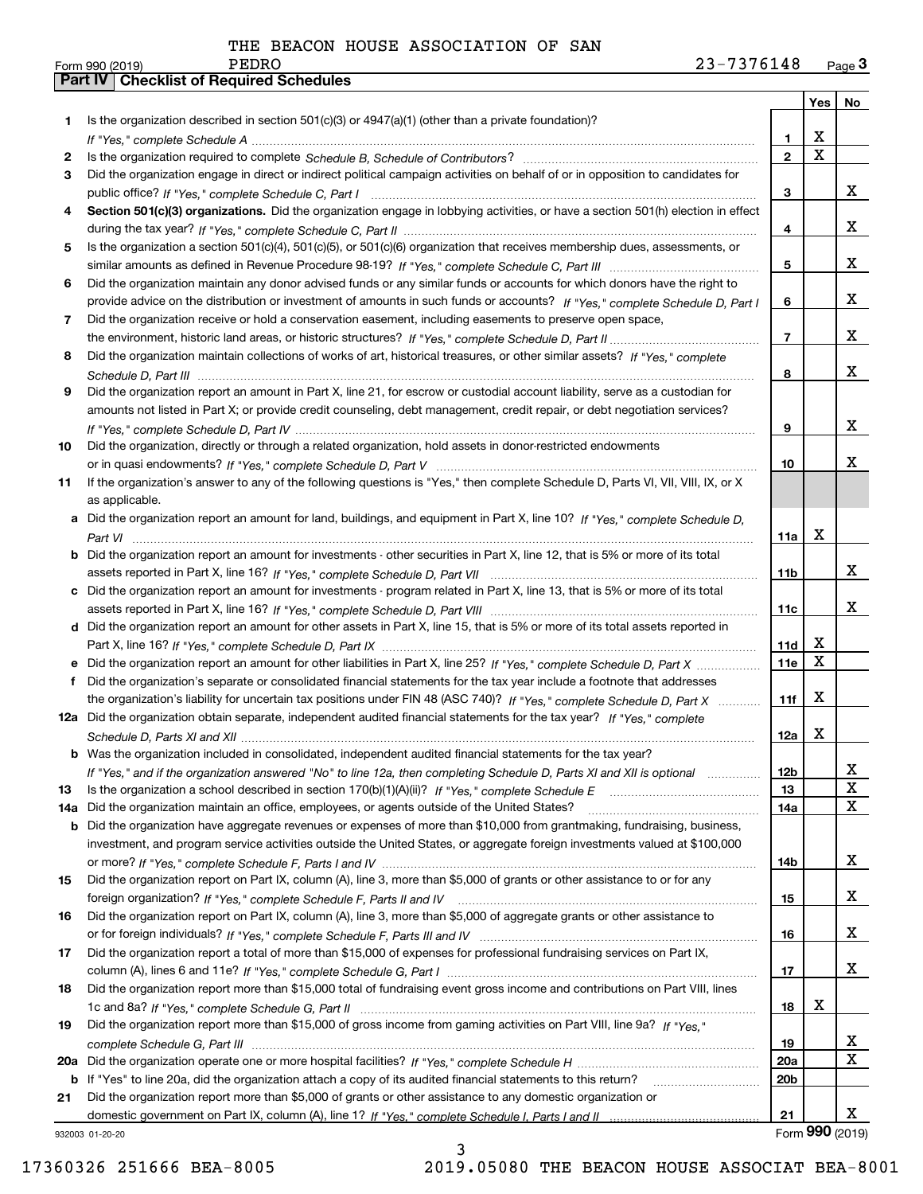|     |                                                                                                                                                                                                                                      |                               | Yes   No                |                 |
|-----|--------------------------------------------------------------------------------------------------------------------------------------------------------------------------------------------------------------------------------------|-------------------------------|-------------------------|-----------------|
| 1.  | Is the organization described in section $501(c)(3)$ or $4947(a)(1)$ (other than a private foundation)?                                                                                                                              |                               |                         |                 |
|     |                                                                                                                                                                                                                                      | 1                             | X                       |                 |
| 2   |                                                                                                                                                                                                                                      | $\overline{2}$                | $\overline{\mathbf{x}}$ |                 |
| 3   | Did the organization engage in direct or indirect political campaign activities on behalf of or in opposition to candidates for                                                                                                      |                               |                         | x               |
| 4   | Section 501(c)(3) organizations. Did the organization engage in lobbying activities, or have a section 501(h) election in effect                                                                                                     | 3                             |                         |                 |
|     |                                                                                                                                                                                                                                      | 4                             |                         | x               |
| 5   | Is the organization a section 501(c)(4), 501(c)(5), or 501(c)(6) organization that receives membership dues, assessments, or                                                                                                         |                               |                         |                 |
|     |                                                                                                                                                                                                                                      | 5                             |                         | x               |
| 6   | Did the organization maintain any donor advised funds or any similar funds or accounts for which donors have the right to                                                                                                            |                               |                         |                 |
|     | provide advice on the distribution or investment of amounts in such funds or accounts? If "Yes," complete Schedule D, Part I                                                                                                         | 6                             |                         | x               |
| 7   | Did the organization receive or hold a conservation easement, including easements to preserve open space,                                                                                                                            |                               |                         |                 |
|     |                                                                                                                                                                                                                                      | $\overline{7}$                |                         | x               |
| 8   | Did the organization maintain collections of works of art, historical treasures, or other similar assets? If "Yes," complete                                                                                                         |                               |                         |                 |
|     |                                                                                                                                                                                                                                      | 8                             |                         | x               |
| 9   | Did the organization report an amount in Part X, line 21, for escrow or custodial account liability, serve as a custodian for                                                                                                        |                               |                         |                 |
|     | amounts not listed in Part X; or provide credit counseling, debt management, credit repair, or debt negotiation services?                                                                                                            |                               |                         |                 |
|     |                                                                                                                                                                                                                                      | 9                             |                         | X               |
| 10  | Did the organization, directly or through a related organization, hold assets in donor-restricted endowments                                                                                                                         |                               |                         |                 |
|     |                                                                                                                                                                                                                                      | 10                            |                         | x               |
| 11  | If the organization's answer to any of the following questions is "Yes," then complete Schedule D, Parts VI, VII, VIII, IX, or X                                                                                                     |                               |                         |                 |
|     | as applicable.                                                                                                                                                                                                                       |                               |                         |                 |
| а   | Did the organization report an amount for land, buildings, and equipment in Part X, line 10? If "Yes," complete Schedule D.                                                                                                          |                               |                         |                 |
|     |                                                                                                                                                                                                                                      | 11a                           | X                       |                 |
| b   | Did the organization report an amount for investments - other securities in Part X, line 12, that is 5% or more of its total                                                                                                         |                               |                         |                 |
|     |                                                                                                                                                                                                                                      | 11 <sub>b</sub>               |                         | x               |
| c   | Did the organization report an amount for investments - program related in Part X, line 13, that is 5% or more of its total                                                                                                          |                               |                         | x               |
|     |                                                                                                                                                                                                                                      | 11c                           |                         |                 |
|     | d Did the organization report an amount for other assets in Part X, line 15, that is 5% or more of its total assets reported in                                                                                                      | 11d                           | Х                       |                 |
|     | Did the organization report an amount for other liabilities in Part X, line 25? If "Yes," complete Schedule D, Part X                                                                                                                | 11e                           | X                       |                 |
| f   | Did the organization's separate or consolidated financial statements for the tax year include a footnote that addresses                                                                                                              |                               |                         |                 |
|     | the organization's liability for uncertain tax positions under FIN 48 (ASC 740)? If "Yes," complete Schedule D, Part X                                                                                                               | 11f                           | X                       |                 |
|     | 12a Did the organization obtain separate, independent audited financial statements for the tax year? If "Yes," complete                                                                                                              |                               |                         |                 |
|     |                                                                                                                                                                                                                                      | 12a                           | x                       |                 |
|     | <b>b</b> Was the organization included in consolidated, independent audited financial statements for the tax year?                                                                                                                   |                               |                         |                 |
|     | If "Yes," and if the organization answered "No" to line 12a, then completing Schedule D, Parts XI and XII is optional                                                                                                                | 12b                           |                         | 4               |
| 13  |                                                                                                                                                                                                                                      | 13                            |                         | X               |
| 14a | Did the organization maintain an office, employees, or agents outside of the United States?                                                                                                                                          | 14a                           |                         | X               |
| b   | Did the organization have aggregate revenues or expenses of more than \$10,000 from grantmaking, fundraising, business,                                                                                                              |                               |                         |                 |
|     | investment, and program service activities outside the United States, or aggregate foreign investments valued at \$100,000                                                                                                           |                               |                         |                 |
|     |                                                                                                                                                                                                                                      | 14b                           |                         | x               |
| 15  | Did the organization report on Part IX, column (A), line 3, more than \$5,000 of grants or other assistance to or for any                                                                                                            |                               |                         |                 |
|     |                                                                                                                                                                                                                                      | 15                            |                         | x               |
| 16  | Did the organization report on Part IX, column (A), line 3, more than \$5,000 of aggregate grants or other assistance to                                                                                                             |                               |                         |                 |
|     |                                                                                                                                                                                                                                      | 16                            |                         | x               |
| 17  | Did the organization report a total of more than \$15,000 of expenses for professional fundraising services on Part IX,                                                                                                              |                               |                         |                 |
|     |                                                                                                                                                                                                                                      | 17                            |                         | x               |
| 18  | Did the organization report more than \$15,000 total of fundraising event gross income and contributions on Part VIII, lines                                                                                                         |                               |                         |                 |
|     |                                                                                                                                                                                                                                      | 18                            | X                       |                 |
| 19  | Did the organization report more than \$15,000 of gross income from gaming activities on Part VIII, line 9a? If "Yes."                                                                                                               |                               |                         |                 |
|     |                                                                                                                                                                                                                                      | 19                            |                         | x<br>X          |
| 20a |                                                                                                                                                                                                                                      | <b>20a</b><br>20 <sub>b</sub> |                         |                 |
| 21  | <b>b</b> If "Yes" to line 20a, did the organization attach a copy of its audited financial statements to this return?<br>Did the organization report more than \$5,000 of grants or other assistance to any domestic organization or |                               |                         |                 |
|     |                                                                                                                                                                                                                                      | 21                            |                         | x               |
|     | 932003 01-20-20                                                                                                                                                                                                                      |                               |                         | Form 990 (2019) |

932003 01-20-20

3 17360326 251666 BEA-8005 2019.05080 THE BEACON HOUSE ASSOCIAT BEA-8001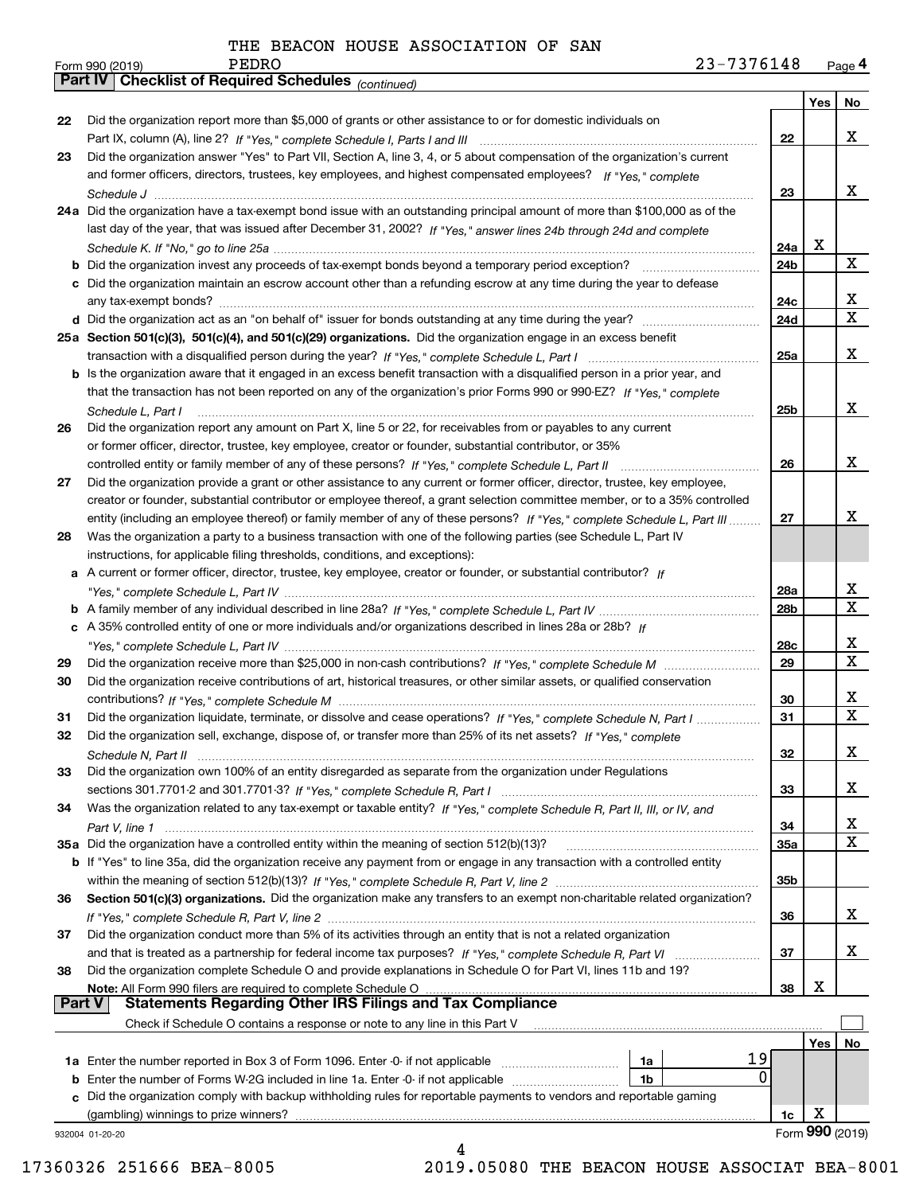|               | PEDRO<br>23-7376148<br>Form 990 (2019)                                                                                                |                 |     | Page 4                  |
|---------------|---------------------------------------------------------------------------------------------------------------------------------------|-----------------|-----|-------------------------|
|               | Part IV   Checklist of Required Schedules (continued)                                                                                 |                 |     |                         |
|               |                                                                                                                                       |                 | Yes | No                      |
| 22            | Did the organization report more than \$5,000 of grants or other assistance to or for domestic individuals on                         |                 |     |                         |
|               |                                                                                                                                       | 22              |     | x                       |
| 23            | Did the organization answer "Yes" to Part VII, Section A, line 3, 4, or 5 about compensation of the organization's current            |                 |     |                         |
|               | and former officers, directors, trustees, key employees, and highest compensated employees? If "Yes," complete                        |                 |     |                         |
|               |                                                                                                                                       | 23              |     | x                       |
|               | 24a Did the organization have a tax-exempt bond issue with an outstanding principal amount of more than \$100,000 as of the           |                 |     |                         |
|               | last day of the year, that was issued after December 31, 2002? If "Yes," answer lines 24b through 24d and complete                    |                 |     |                         |
|               |                                                                                                                                       | 24a             | х   |                         |
|               |                                                                                                                                       | 24b             |     | X                       |
|               | c Did the organization maintain an escrow account other than a refunding escrow at any time during the year to defease                |                 |     |                         |
|               |                                                                                                                                       | 24c             |     | x                       |
|               |                                                                                                                                       | 24d             |     | $\mathbf X$             |
|               | 25a Section 501(c)(3), 501(c)(4), and 501(c)(29) organizations. Did the organization engage in an excess benefit                      |                 |     |                         |
|               |                                                                                                                                       | 25a             |     | x                       |
|               | b Is the organization aware that it engaged in an excess benefit transaction with a disqualified person in a prior year, and          |                 |     |                         |
|               | that the transaction has not been reported on any of the organization's prior Forms 990 or 990-EZ? If "Yes," complete                 |                 |     |                         |
|               |                                                                                                                                       | 25 <sub>b</sub> |     | х                       |
| 26            | Schedule L, Part I<br>Did the organization report any amount on Part X, line 5 or 22, for receivables from or payables to any current |                 |     |                         |
|               | or former officer, director, trustee, key employee, creator or founder, substantial contributor, or 35%                               |                 |     |                         |
|               |                                                                                                                                       |                 |     | x                       |
|               | controlled entity or family member of any of these persons? If "Yes," complete Schedule L, Part II                                    | 26              |     |                         |
| 27            | Did the organization provide a grant or other assistance to any current or former officer, director, trustee, key employee,           |                 |     |                         |
|               | creator or founder, substantial contributor or employee thereof, a grant selection committee member, or to a 35% controlled           |                 |     |                         |
|               | entity (including an employee thereof) or family member of any of these persons? If "Yes," complete Schedule L, Part III              | 27              |     | х                       |
| 28            | Was the organization a party to a business transaction with one of the following parties (see Schedule L, Part IV                     |                 |     |                         |
|               | instructions, for applicable filing thresholds, conditions, and exceptions):                                                          |                 |     |                         |
|               | a A current or former officer, director, trustee, key employee, creator or founder, or substantial contributor? If                    |                 |     |                         |
|               |                                                                                                                                       | 28a             |     | x                       |
|               |                                                                                                                                       | 28b             |     | $\overline{\mathbf{x}}$ |
|               | c A 35% controlled entity of one or more individuals and/or organizations described in lines 28a or 28b? If                           |                 |     |                         |
|               |                                                                                                                                       | 28c             |     | X                       |
| 29            |                                                                                                                                       | 29              |     | $\mathbf X$             |
| 30            | Did the organization receive contributions of art, historical treasures, or other similar assets, or qualified conservation           |                 |     |                         |
|               |                                                                                                                                       | 30              |     | X                       |
| 31            | Did the organization liquidate, terminate, or dissolve and cease operations? If "Yes," complete Schedule N, Part I                    | 31              |     | X                       |
| 32            | Did the organization sell, exchange, dispose of, or transfer more than 25% of its net assets? If "Yes," complete                      |                 |     |                         |
|               |                                                                                                                                       | 32              |     | x                       |
| 33            | Did the organization own 100% of an entity disregarded as separate from the organization under Regulations                            |                 |     |                         |
|               |                                                                                                                                       | 33              |     | x                       |
| 34            | Was the organization related to any tax-exempt or taxable entity? If "Yes," complete Schedule R, Part II, III, or IV, and             |                 |     |                         |
|               |                                                                                                                                       | 34              |     | x                       |
|               | 35a Did the organization have a controlled entity within the meaning of section 512(b)(13)?                                           | 35a             |     | X                       |
|               | b If "Yes" to line 35a, did the organization receive any payment from or engage in any transaction with a controlled entity           |                 |     |                         |
|               |                                                                                                                                       | 35b             |     |                         |
| 36            | Section 501(c)(3) organizations. Did the organization make any transfers to an exempt non-charitable related organization?            |                 |     |                         |
|               |                                                                                                                                       | 36              |     | x                       |
| 37            | Did the organization conduct more than 5% of its activities through an entity that is not a related organization                      |                 |     |                         |
|               |                                                                                                                                       | 37              |     | x                       |
| 38            | Did the organization complete Schedule O and provide explanations in Schedule O for Part VI, lines 11b and 19?                        |                 |     |                         |
|               | Note: All Form 990 filers are required to complete Schedule O                                                                         | 38              | х   |                         |
| <b>Part V</b> | <b>Statements Regarding Other IRS Filings and Tax Compliance</b>                                                                      |                 |     |                         |
|               | Check if Schedule O contains a response or note to any line in this Part V                                                            |                 |     |                         |
|               |                                                                                                                                       |                 | Yes | No                      |
|               | 19<br>1a                                                                                                                              |                 |     |                         |
|               | 0<br><b>b</b> Enter the number of Forms W-2G included in line 1a. Enter -0- if not applicable<br>1b                                   |                 |     |                         |
| c             | Did the organization comply with backup withholding rules for reportable payments to vendors and reportable gaming                    |                 |     |                         |
|               | (gambling) winnings to prize winners?                                                                                                 | 1c              | х   |                         |
|               | 932004 01-20-20                                                                                                                       |                 |     | Form 990 (2019)         |
|               | 4                                                                                                                                     |                 |     |                         |

17360326 251666 BEA-8005 2019.05080 THE BEACON HOUSE ASSOCIAT BEA-8001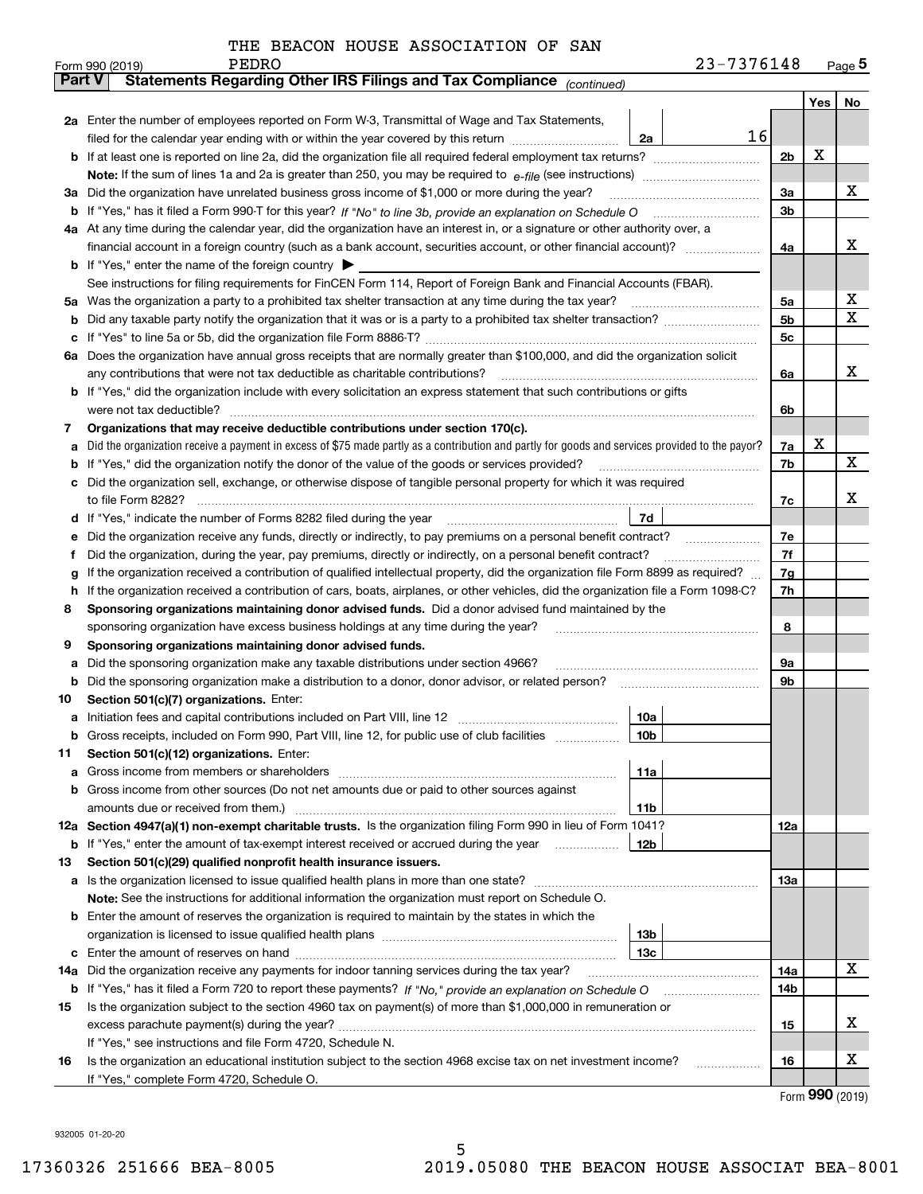|  |  |  |  | THE BEACON HOUSE ASSOCIATION OF SAN |  |  |
|--|--|--|--|-------------------------------------|--|--|
|--|--|--|--|-------------------------------------|--|--|

|        | PEDRO<br>Form 990 (2019)                                                                                                                                     |                 | 23-7376148 |                |     | Page 5 |
|--------|--------------------------------------------------------------------------------------------------------------------------------------------------------------|-----------------|------------|----------------|-----|--------|
| Part V | Statements Regarding Other IRS Filings and Tax Compliance (continued)                                                                                        |                 |            |                |     |        |
|        |                                                                                                                                                              |                 |            |                | Yes | No     |
|        | 2a Enter the number of employees reported on Form W-3, Transmittal of Wage and Tax Statements,                                                               |                 |            |                |     |        |
|        | filed for the calendar year ending with or within the year covered by this return                                                                            | 2a              | 16         |                |     |        |
|        |                                                                                                                                                              |                 |            | 2 <sub>b</sub> | х   |        |
|        |                                                                                                                                                              |                 |            |                |     |        |
| За     | Did the organization have unrelated business gross income of \$1,000 or more during the year?                                                                |                 |            | 3a             |     | x      |
| b      |                                                                                                                                                              |                 |            | 3b             |     |        |
|        | 4a At any time during the calendar year, did the organization have an interest in, or a signature or other authority over, a                                 |                 |            |                |     |        |
|        | financial account in a foreign country (such as a bank account, securities account, or other financial account)?                                             |                 |            | 4a             |     | х      |
|        | <b>b</b> If "Yes," enter the name of the foreign country $\blacktriangleright$                                                                               |                 |            |                |     |        |
|        | See instructions for filing requirements for FinCEN Form 114, Report of Foreign Bank and Financial Accounts (FBAR).                                          |                 |            |                |     |        |
| 5a     | Was the organization a party to a prohibited tax shelter transaction at any time during the tax year?                                                        |                 |            | 5a             |     | х      |
| b      |                                                                                                                                                              |                 |            | 5b             |     | X      |
| с      |                                                                                                                                                              |                 |            | 5с             |     |        |
| 6а     | Does the organization have annual gross receipts that are normally greater than \$100,000, and did the organization solicit                                  |                 |            |                |     |        |
|        | any contributions that were not tax deductible as charitable contributions?                                                                                  |                 |            | 6a             |     | x      |
|        | If "Yes," did the organization include with every solicitation an express statement that such contributions or gifts                                         |                 |            |                |     |        |
|        | were not tax deductible?                                                                                                                                     |                 |            | 6b             |     |        |
| 7      | Organizations that may receive deductible contributions under section 170(c).                                                                                |                 |            |                |     |        |
| а      | Did the organization receive a payment in excess of \$75 made partly as a contribution and partly for goods and services provided to the payor?              |                 |            | 7a             | х   | x      |
| b      | If "Yes," did the organization notify the donor of the value of the goods or services provided?                                                              |                 |            | 7b             |     |        |
|        | Did the organization sell, exchange, or otherwise dispose of tangible personal property for which it was required                                            |                 |            |                |     | х      |
|        | to file Form 8282?                                                                                                                                           | 7d              |            | 7c             |     |        |
| d      | Did the organization receive any funds, directly or indirectly, to pay premiums on a personal benefit contract?                                              |                 |            | 7е             |     |        |
| е<br>f | Did the organization, during the year, pay premiums, directly or indirectly, on a personal benefit contract?                                                 |                 |            | 7f             |     |        |
| g      | If the organization received a contribution of qualified intellectual property, did the organization file Form 8899 as required?                             |                 |            | 7g             |     |        |
| h      | If the organization received a contribution of cars, boats, airplanes, or other vehicles, did the organization file a Form 1098-C?                           |                 |            | 7h             |     |        |
| 8      | Sponsoring organizations maintaining donor advised funds. Did a donor advised fund maintained by the                                                         |                 |            |                |     |        |
|        | sponsoring organization have excess business holdings at any time during the year?                                                                           |                 |            | 8              |     |        |
| 9      | Sponsoring organizations maintaining donor advised funds.                                                                                                    |                 |            |                |     |        |
| а      | Did the sponsoring organization make any taxable distributions under section 4966?                                                                           |                 |            | 9а             |     |        |
| b      | Did the sponsoring organization make a distribution to a donor, donor advisor, or related person?                                                            |                 |            | 9b             |     |        |
| 10     | Section 501(c)(7) organizations. Enter:                                                                                                                      |                 |            |                |     |        |
| а      | Initiation fees and capital contributions included on Part VIII, line 12 [100] [100] [100] [100] [100] [100] [                                               | 10a             |            |                |     |        |
|        | Gross receipts, included on Form 990, Part VIII, line 12, for public use of club facilities                                                                  | 10 <sub>b</sub> |            |                |     |        |
| 11     | Section 501(c)(12) organizations. Enter:                                                                                                                     |                 |            |                |     |        |
| а      | Gross income from members or shareholders                                                                                                                    | 11a             |            |                |     |        |
| b      | Gross income from other sources (Do not net amounts due or paid to other sources against                                                                     |                 |            |                |     |        |
|        | amounts due or received from them.)                                                                                                                          | 11 <sub>b</sub> |            |                |     |        |
|        | 12a Section 4947(a)(1) non-exempt charitable trusts. Is the organization filing Form 990 in lieu of Form 1041?                                               |                 |            | 12a            |     |        |
|        | <b>b</b> If "Yes," enter the amount of tax-exempt interest received or accrued during the year <i>manument</i> of                                            | 12 <sub>b</sub> |            |                |     |        |
| 13     | Section 501(c)(29) qualified nonprofit health insurance issuers.                                                                                             |                 |            |                |     |        |
| a      | Is the organization licensed to issue qualified health plans in more than one state?                                                                         |                 |            | 13a            |     |        |
|        | Note: See the instructions for additional information the organization must report on Schedule O.                                                            |                 |            |                |     |        |
| b      | Enter the amount of reserves the organization is required to maintain by the states in which the                                                             |                 |            |                |     |        |
|        |                                                                                                                                                              | 13 <sub>b</sub> |            |                |     |        |
| с      |                                                                                                                                                              | 13c             |            |                |     |        |
| 14a    | Did the organization receive any payments for indoor tanning services during the tax year?                                                                   |                 |            | 14a            |     | х      |
|        | <b>b</b> If "Yes," has it filed a Form 720 to report these payments? If "No," provide an explanation on Schedule O                                           |                 |            | 14b            |     |        |
| 15     | Is the organization subject to the section 4960 tax on payment(s) of more than \$1,000,000 in remuneration or                                                |                 |            |                |     |        |
|        |                                                                                                                                                              |                 |            | 15             |     | x      |
|        | If "Yes," see instructions and file Form 4720, Schedule N.                                                                                                   |                 |            |                |     | х      |
| 16     | Is the organization an educational institution subject to the section 4968 excise tax on net investment income?<br>If "Yes," complete Form 4720, Schedule O. |                 |            | 16             |     |        |
|        |                                                                                                                                                              |                 |            |                |     |        |

5

Form (2019) **990**

932005 01-20-20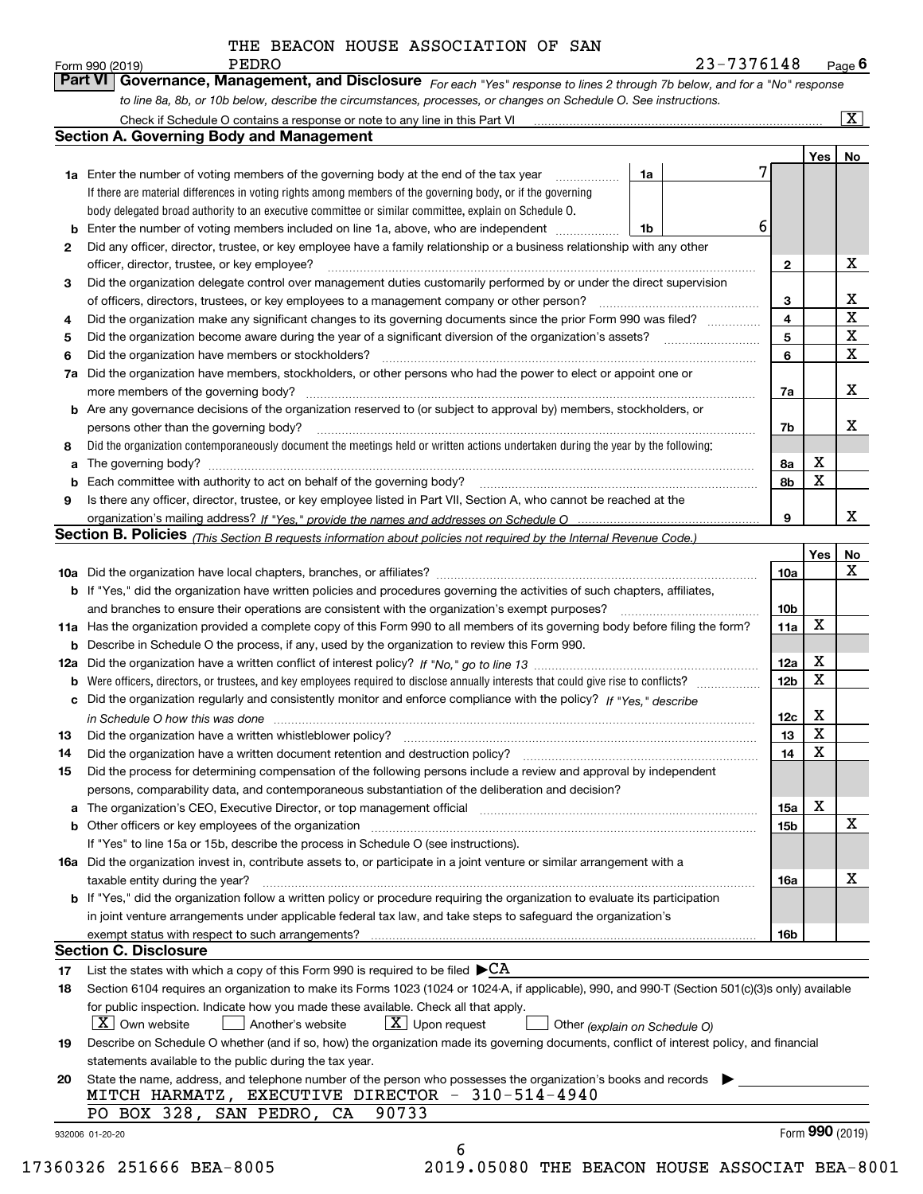**Yes No 1a1b1a** Enter the number of voting members of the governing body at the end of the tax year **234567a** Did the organization have members, stockholders, or other persons who had the power to elect or appoint one or **89b** Enter the number of voting members included on line 1a, above, who are independent  $\ldots$ **234567a7b8a8b9b** Are any governance decisions of the organization reserved to (or subject to approval by) members, stockholders, or **a**The governing body? ~~~~~~~~~~~~~~~~~~~~~~~~~~~~~~~~~~~~~~~~~~~~~~~~~~~ **b** Each committee with authority to act on behalf of the governing body? ………………………………………………………………… **Yes No 10 a** Did the organization have local chapters, branches, or affiliates? ~~~~~~~~~~~~~~~~~~~~~~~~~~~~~~ **11a** Has the organization provided a complete copy of this Form 990 to all members of its governing body before filing the form? **b** If "Yes," did the organization have written policies and procedures governing the activities of such chapters, affiliates, **10a10b11a12a12b12c1314b** Describe in Schedule O the process, if any, used by the organization to review this Form 990. **12a** *If "No," go to line 13* Did the organization have a written conflict of interest policy? ~~~~~~~~~~~~~~~~~~~~~  $\bullet$  Were officers, directors, or trustees, and key employees required to disclose annually interests that could give rise to conflicts?  $_{\ldots\ldots\ldots\ldots\ldots\ldots}$ **c** Did the organization regularly and consistently monitor and enforce compliance with the policy? If "Yes," describe **1314***For each "Yes" response to lines 2 through 7b below, and for a "No" response to line 8a, 8b, or 10b below, describe the circumstances, processes, or changes on Schedule O. See instructions. If "Yes," provide the names and addresses on Schedule O* organization's mailing address? **Section B. Policies** <sub>(This Section B requests information about policies not required by the Internal Revenue Code.)</sub> *in Schedule O how this was done* ~~~~~~~~~~~~~~~~~~~~~~~~~~~~~~~~~~~~~~~~~~~~~If there are material differences in voting rights among members of the governing body, or if the governing body delegated broad authority to an executive committee or similar committee, explain on Schedule O. Did the organization contemporaneously document the meetings held or written actions undertaken during the year by the following: Form 990 (2019) **PEDRO**<br>**Part VI Governance, Management, and Disclosure** For each "Yes" response to lines 2 through 7b below, and for a "No" response Check if Schedule O contains a response or note to any line in this Part VI Did any officer, director, trustee, or key employee have a family relationship or a business relationship with any other officer, director, trustee, or key employee? ~~~~~~~~~~~~~~~~~~~~~~~~~~~~~~~~~~~~~~~~Did the organization delegate control over management duties customarily performed by or under the direct supervision of officers, directors, trustees, or key employees to a management company or other person? ~~~~~~~~~~~~~~~ Did the organization make any significant changes to its governing documents since the prior Form 990 was filed? ~~~~~Did the organization become aware during the year of a significant diversion of the organization's assets? Did the organization have members or stockholders? ~~~~~~~~~~~~~~~~~~~~~~~~~~~~~~~~~~~ more members of the governing body? ~~~~~~~~~~~~~~~~~~~~~~~~~~~~~~~~~~~~~~~~~~persons other than the governing body? ~~~~~~~~~~~~~~~~~~~~~~~~~~~~~~~~~~~~~~~~~Is there any officer, director, trustee, or key employee listed in Part VII, Section A, who cannot be reached at the and branches to ensure their operations are consistent with the organization's exempt purposes? \_\_\_\_\_\_\_\_\_\_\_\_\_\_\_\_\_\_\_\_\_\_\_ Did the organization have a written whistleblower policy? Did the organization have a written document retention and destruction policy? **Section A. Governing Body and Management**  $\boxed{\text{X}}$ 7 6 X X X X X X X  $\mathbf{X}$ X X X X X X X X X PEDRO 23-7376148 THE BEACON HOUSE ASSOCIATION OF SAN

| 15  | Did the process for determining compensation of the following persons include a review and approval by independent                                                                                                             |     |   |   |
|-----|--------------------------------------------------------------------------------------------------------------------------------------------------------------------------------------------------------------------------------|-----|---|---|
|     | persons, comparability data, and contemporaneous substantiation of the deliberation and decision?                                                                                                                              |     |   |   |
| a   | The organization's CEO, Executive Director, or top management official manufacture contains an experiment of the organization's CEO, and the Director, or top management official                                              | 15a | х |   |
| b   | Other officers or key employees of the organization manufactured content of the organization manufactured content of the organization manufactured content of the organization manufactured content of the organization manufa | 15b |   | x |
|     | If "Yes" to line 15a or 15b, describe the process in Schedule O (see instructions).                                                                                                                                            |     |   |   |
| 16a | Did the organization invest in, contribute assets to, or participate in a joint venture or similar arrangement with a                                                                                                          |     |   |   |
|     | taxable entity during the year?                                                                                                                                                                                                | 16a |   | х |
|     | <b>b</b> If "Yes," did the organization follow a written policy or procedure requiring the organization to evaluate its participation                                                                                          |     |   |   |
|     | in joint venture arrangements under applicable federal tax law, and take steps to safeguard the organization's                                                                                                                 |     |   |   |
|     |                                                                                                                                                                                                                                | 16b |   |   |
|     | <b>Section C. Disclosure</b>                                                                                                                                                                                                   |     |   |   |
| 17  | List the states with which a copy of this Form 990 is required to be filed $\blacktriangleright$ CA                                                                                                                            |     |   |   |
| 18  | Section 6104 requires an organization to make its Forms 1023 (1024 or 1024-A, if applicable), 990, and 990-T (Section 501(c)(3)s only) available                                                                               |     |   |   |
|     | for public inspection. Indicate how you made these available. Check all that apply.<br>┌╍<br>.                                                                                                                                 |     |   |   |

**19** *(explain on Schedule O)*  $\boxed{\textbf{X}}$  Own website  $\boxed{\phantom{0}}$  Another's website  $\boxed{\textbf{X}}$  Upon request  $\boxed{\phantom{0}}$  Other Describe on Schedule O whether (and if so, how) the organization made its governing documents, conflict of interest policy, and financial statements available to the public during the tax year. X

6

**20**State the name, address, and telephone number of the person who possesses the organization's books and records MITCH HARMATZ, EXECUTIVE DIRECTOR - 310-514-4940 PO BOX 328, SAN PEDRO, CA 90733

932006 01-20-20

17360326 251666 BEA-8005 2019.05080 THE BEACON HOUSE ASSOCIAT BEA-8001

Form (2019) **990**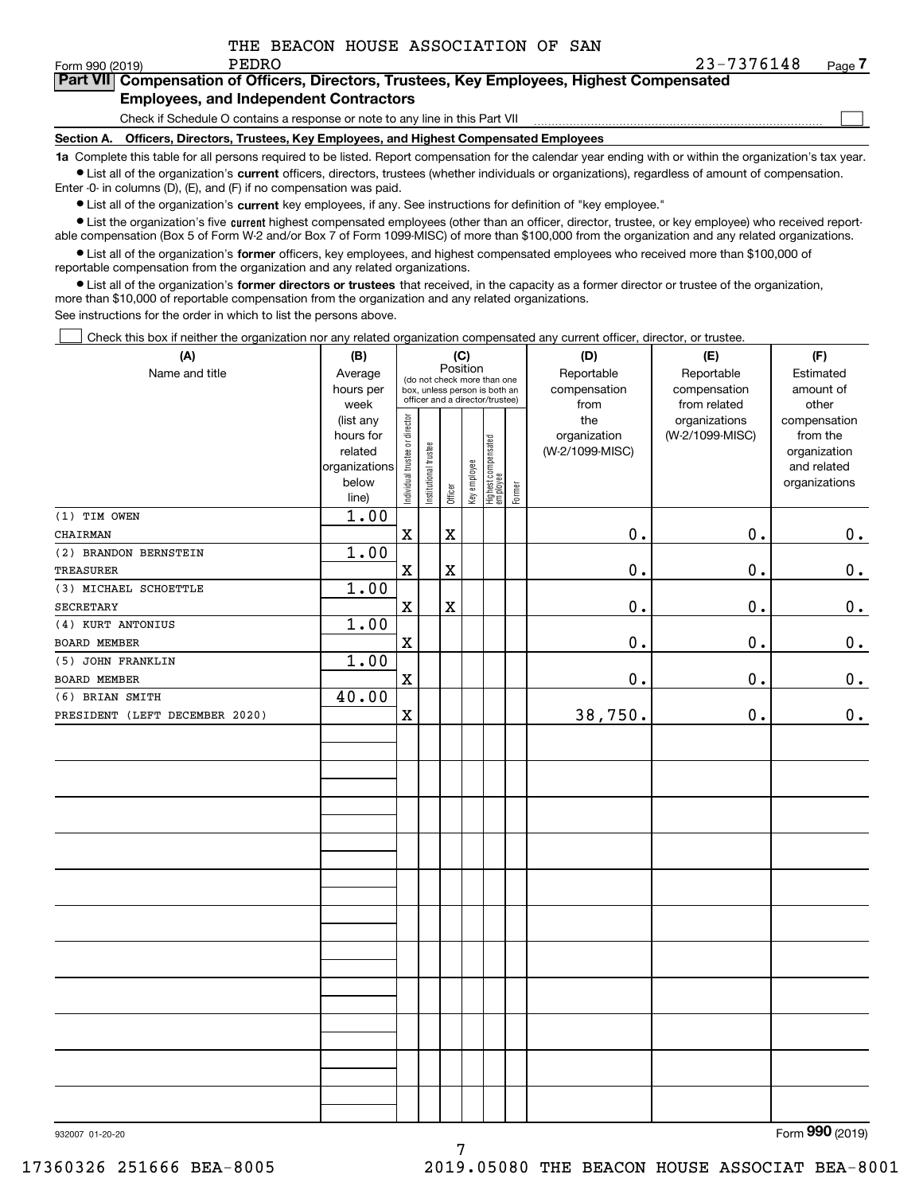$\mathcal{L}^{\text{max}}$ 

## **7Part VII Compensation of Officers, Directors, Trustees, Key Employees, Highest Compensated Employees, and Independent Contractors**

Check if Schedule O contains a response or note to any line in this Part VII

**Section A. Officers, Directors, Trustees, Key Employees, and Highest Compensated Employees**

**1a**  Complete this table for all persons required to be listed. Report compensation for the calendar year ending with or within the organization's tax year. **•** List all of the organization's current officers, directors, trustees (whether individuals or organizations), regardless of amount of compensation.

Enter -0- in columns (D), (E), and (F) if no compensation was paid.

 $\bullet$  List all of the organization's  $\,$ current key employees, if any. See instructions for definition of "key employee."

**•** List the organization's five current highest compensated employees (other than an officer, director, trustee, or key employee) who received reportable compensation (Box 5 of Form W-2 and/or Box 7 of Form 1099-MISC) of more than \$100,000 from the organization and any related organizations.

**•** List all of the organization's former officers, key employees, and highest compensated employees who received more than \$100,000 of reportable compensation from the organization and any related organizations.

**former directors or trustees**  ¥ List all of the organization's that received, in the capacity as a former director or trustee of the organization, more than \$10,000 of reportable compensation from the organization and any related organizations.

See instructions for the order in which to list the persons above.

Check this box if neither the organization nor any related organization compensated any current officer, director, or trustee.  $\mathcal{L}^{\text{max}}$ 

| (A)                            | (B)                  |                                |                       |                         | (C)          |                                                              |        | (D)                             | (E)                        | (F)                         |
|--------------------------------|----------------------|--------------------------------|-----------------------|-------------------------|--------------|--------------------------------------------------------------|--------|---------------------------------|----------------------------|-----------------------------|
| Name and title                 | Average<br>hours per |                                |                       | Position                |              | (do not check more than one<br>box, unless person is both an |        | Reportable<br>compensation      | Reportable<br>compensation | Estimated<br>amount of      |
|                                | week                 |                                |                       |                         |              | officer and a director/trustee)                              |        | from                            | from related               | other                       |
|                                | (list any            | Individual trustee or director |                       |                         |              |                                                              |        | the                             | organizations              | compensation                |
|                                | hours for<br>related |                                |                       |                         |              |                                                              |        | organization<br>(W-2/1099-MISC) | (W-2/1099-MISC)            | from the                    |
|                                | organizations        |                                |                       |                         |              |                                                              |        |                                 |                            | organization<br>and related |
|                                | below                |                                | Institutional trustee |                         | Key employee |                                                              |        |                                 |                            | organizations               |
|                                | line)                |                                |                       | Officer                 |              | Highest compensated<br>  employee                            | Former |                                 |                            |                             |
| (1) TIM OWEN                   | 1.00                 |                                |                       |                         |              |                                                              |        |                                 |                            |                             |
| CHAIRMAN                       |                      | $\mathbf X$                    |                       | $\mathbf X$             |              |                                                              |        | 0.                              | 0.                         | 0.                          |
| (2) BRANDON BERNSTEIN          | 1.00                 |                                |                       |                         |              |                                                              |        |                                 |                            |                             |
| <b>TREASURER</b>               |                      | $\mathbf X$                    |                       | $\overline{\textbf{X}}$ |              |                                                              |        | 0.                              | 0.                         | 0.                          |
| (3) MICHAEL SCHOETTLE          | 1.00                 |                                |                       |                         |              |                                                              |        |                                 |                            |                             |
| SECRETARY                      |                      | $\mathbf X$                    |                       | $\mathbf X$             |              |                                                              |        | 0.                              | 0.                         | 0.                          |
| (4) KURT ANTONIUS              | 1.00                 |                                |                       |                         |              |                                                              |        |                                 |                            |                             |
| BOARD MEMBER                   |                      | $\mathbf X$                    |                       |                         |              |                                                              |        | 0.                              | 0.                         | 0.                          |
| (5) JOHN FRANKLIN              | 1.00                 |                                |                       |                         |              |                                                              |        |                                 |                            |                             |
| BOARD MEMBER                   |                      | $\mathbf X$                    |                       |                         |              |                                                              |        | $0$ .                           | 0.                         | $\mathbf 0$ .               |
| (6) BRIAN SMITH                | 40.00                |                                |                       |                         |              |                                                              |        |                                 |                            |                             |
| PRESIDENT (LEFT DECEMBER 2020) |                      | $\mathbf X$                    |                       |                         |              |                                                              |        | 38,750.                         | 0.                         | 0.                          |
|                                |                      |                                |                       |                         |              |                                                              |        |                                 |                            |                             |
|                                |                      |                                |                       |                         |              |                                                              |        |                                 |                            |                             |
|                                |                      |                                |                       |                         |              |                                                              |        |                                 |                            |                             |
|                                |                      |                                |                       |                         |              |                                                              |        |                                 |                            |                             |
|                                |                      |                                |                       |                         |              |                                                              |        |                                 |                            |                             |
|                                |                      |                                |                       |                         |              |                                                              |        |                                 |                            |                             |
|                                |                      |                                |                       |                         |              |                                                              |        |                                 |                            |                             |
|                                |                      |                                |                       |                         |              |                                                              |        |                                 |                            |                             |
|                                |                      |                                |                       |                         |              |                                                              |        |                                 |                            |                             |
|                                |                      |                                |                       |                         |              |                                                              |        |                                 |                            |                             |
|                                |                      |                                |                       |                         |              |                                                              |        |                                 |                            |                             |
|                                |                      |                                |                       |                         |              |                                                              |        |                                 |                            |                             |
|                                |                      |                                |                       |                         |              |                                                              |        |                                 |                            |                             |
|                                |                      |                                |                       |                         |              |                                                              |        |                                 |                            |                             |
|                                |                      |                                |                       |                         |              |                                                              |        |                                 |                            |                             |
|                                |                      |                                |                       |                         |              |                                                              |        |                                 |                            |                             |
|                                |                      |                                |                       |                         |              |                                                              |        |                                 |                            |                             |
|                                |                      |                                |                       |                         |              |                                                              |        |                                 |                            |                             |
|                                |                      |                                |                       |                         |              |                                                              |        |                                 |                            |                             |
|                                |                      |                                |                       |                         |              |                                                              |        |                                 |                            |                             |
|                                |                      |                                |                       |                         |              |                                                              |        |                                 |                            |                             |
|                                |                      |                                |                       |                         |              |                                                              |        |                                 |                            |                             |

7

Form (2019) **990**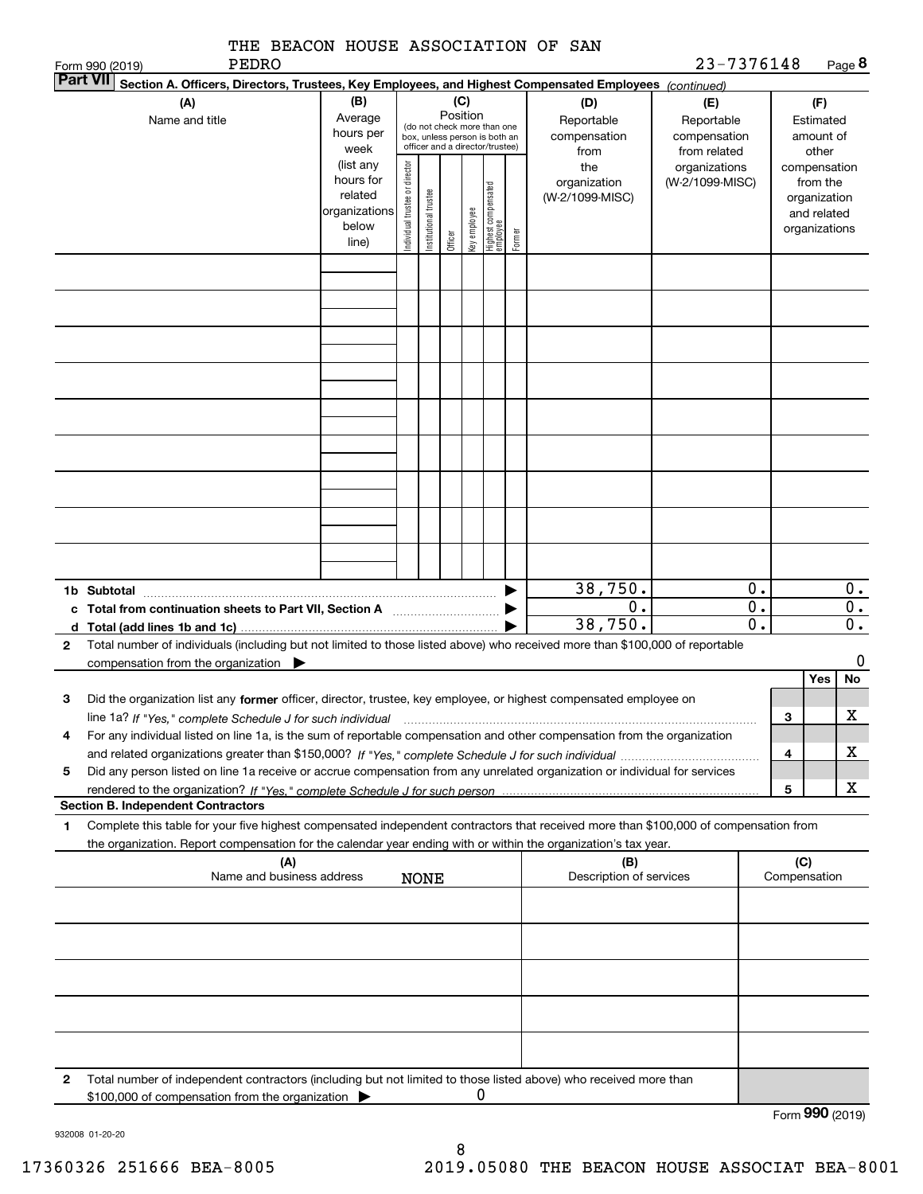|              | THE BEACON HOUSE ASSOCIATION OF SAN<br><b>PEDRO</b><br>Form 990 (2019)                                                                                                                                                                                 |                                                                      |                                |                       |                 |              |                                                                                                 |        |                                           | 23-7376148                                        |                        |                     |                                                                          | Page 8                 |
|--------------|--------------------------------------------------------------------------------------------------------------------------------------------------------------------------------------------------------------------------------------------------------|----------------------------------------------------------------------|--------------------------------|-----------------------|-----------------|--------------|-------------------------------------------------------------------------------------------------|--------|-------------------------------------------|---------------------------------------------------|------------------------|---------------------|--------------------------------------------------------------------------|------------------------|
|              | <b>Part VII</b><br>Section A. Officers, Directors, Trustees, Key Employees, and Highest Compensated Employees (continued)                                                                                                                              |                                                                      |                                |                       |                 |              |                                                                                                 |        |                                           |                                                   |                        |                     |                                                                          |                        |
|              | (A)<br>Name and title                                                                                                                                                                                                                                  | (B)<br>Average<br>hours per<br>week                                  |                                |                       | (C)<br>Position |              | (do not check more than one<br>box, unless person is both an<br>officer and a director/trustee) |        | (D)<br>Reportable<br>compensation<br>from | (E)<br>Reportable<br>compensation<br>from related |                        |                     | (F)<br>Estimated<br>amount of<br>other                                   |                        |
|              |                                                                                                                                                                                                                                                        | (list any<br>hours for<br>related<br>organizations<br>below<br>line) | Individual trustee or director | Institutional trustee | Officer         | Key employee | Highest compensated<br>  employee                                                               | Former | the<br>organization<br>(W-2/1099-MISC)    | organizations<br>(W-2/1099-MISC)                  |                        |                     | compensation<br>from the<br>organization<br>and related<br>organizations |                        |
|              |                                                                                                                                                                                                                                                        |                                                                      |                                |                       |                 |              |                                                                                                 |        |                                           |                                                   |                        |                     |                                                                          |                        |
|              |                                                                                                                                                                                                                                                        |                                                                      |                                |                       |                 |              |                                                                                                 |        |                                           |                                                   |                        |                     |                                                                          |                        |
|              |                                                                                                                                                                                                                                                        |                                                                      |                                |                       |                 |              |                                                                                                 |        |                                           |                                                   |                        |                     |                                                                          |                        |
|              |                                                                                                                                                                                                                                                        |                                                                      |                                |                       |                 |              |                                                                                                 |        |                                           |                                                   |                        |                     |                                                                          |                        |
|              |                                                                                                                                                                                                                                                        |                                                                      |                                |                       |                 |              |                                                                                                 |        |                                           |                                                   |                        |                     |                                                                          |                        |
|              |                                                                                                                                                                                                                                                        |                                                                      |                                |                       |                 |              |                                                                                                 |        |                                           |                                                   |                        |                     |                                                                          |                        |
|              | 1b Subtotal<br>c Total from continuation sheets to Part VII, Section A manufactured by                                                                                                                                                                 |                                                                      |                                |                       |                 |              |                                                                                                 |        | 38,750.<br>0.                             |                                                   | 0.<br>$\overline{0}$ . |                     |                                                                          | О.<br>$\overline{0}$ . |
| $\mathbf{2}$ | Total number of individuals (including but not limited to those listed above) who received more than \$100,000 of reportable                                                                                                                           |                                                                      |                                |                       |                 |              |                                                                                                 |        | 38,750.                                   |                                                   | 0.                     |                     |                                                                          | $0$ .                  |
|              | compensation from the organization                                                                                                                                                                                                                     |                                                                      |                                |                       |                 |              |                                                                                                 |        |                                           |                                                   |                        |                     | Yes                                                                      | 0<br><b>No</b>         |
| 3            | Did the organization list any former officer, director, trustee, key employee, or highest compensated employee on                                                                                                                                      |                                                                      |                                |                       |                 |              |                                                                                                 |        |                                           |                                                   |                        | 3                   |                                                                          | X                      |
| 4            | For any individual listed on line 1a, is the sum of reportable compensation and other compensation from the organization                                                                                                                               |                                                                      |                                |                       |                 |              |                                                                                                 |        |                                           |                                                   |                        |                     |                                                                          |                        |
|              |                                                                                                                                                                                                                                                        |                                                                      |                                |                       |                 |              |                                                                                                 |        |                                           |                                                   |                        | 4                   |                                                                          | x                      |
| 5            | Did any person listed on line 1a receive or accrue compensation from any unrelated organization or individual for services                                                                                                                             |                                                                      |                                |                       |                 |              |                                                                                                 |        |                                           |                                                   |                        | 5                   |                                                                          | x                      |
|              | <b>Section B. Independent Contractors</b>                                                                                                                                                                                                              |                                                                      |                                |                       |                 |              |                                                                                                 |        |                                           |                                                   |                        |                     |                                                                          |                        |
| 1            | Complete this table for your five highest compensated independent contractors that received more than \$100,000 of compensation from<br>the organization. Report compensation for the calendar year ending with or within the organization's tax year. |                                                                      |                                |                       |                 |              |                                                                                                 |        |                                           |                                                   |                        |                     |                                                                          |                        |
|              | (A)<br>Name and business address                                                                                                                                                                                                                       |                                                                      |                                | <b>NONE</b>           |                 |              |                                                                                                 |        | (B)<br>Description of services            |                                                   |                        | (C)<br>Compensation |                                                                          |                        |
|              |                                                                                                                                                                                                                                                        |                                                                      |                                |                       |                 |              |                                                                                                 |        |                                           |                                                   |                        |                     |                                                                          |                        |
|              |                                                                                                                                                                                                                                                        |                                                                      |                                |                       |                 |              |                                                                                                 |        |                                           |                                                   |                        |                     |                                                                          |                        |
|              |                                                                                                                                                                                                                                                        |                                                                      |                                |                       |                 |              |                                                                                                 |        |                                           |                                                   |                        |                     |                                                                          |                        |
|              |                                                                                                                                                                                                                                                        |                                                                      |                                |                       |                 |              |                                                                                                 |        |                                           |                                                   |                        |                     |                                                                          |                        |
| 2            | Total number of independent contractors (including but not limited to those listed above) who received more than                                                                                                                                       |                                                                      |                                |                       |                 |              |                                                                                                 |        |                                           |                                                   |                        |                     |                                                                          |                        |
|              | \$100,000 of compensation from the organization                                                                                                                                                                                                        |                                                                      |                                |                       |                 | 0            |                                                                                                 |        |                                           |                                                   |                        | Form 990 (2019)     |                                                                          |                        |

932008 01-20-20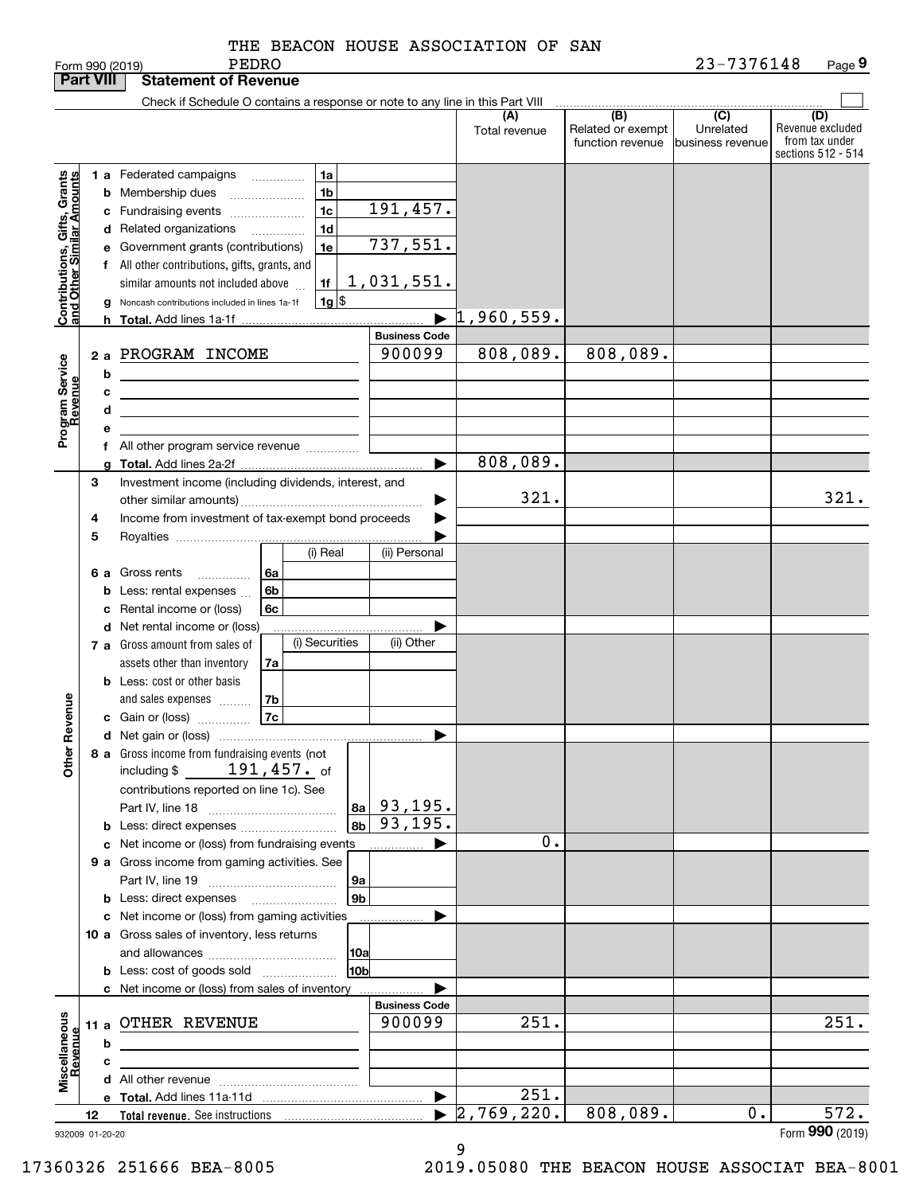|                                                            | <b>Part VIII</b> |    | <b>Statement of Revenue</b>                                                                                                                                   |                                  |                                  |                                              |                                                 |                                                                 |
|------------------------------------------------------------|------------------|----|---------------------------------------------------------------------------------------------------------------------------------------------------------------|----------------------------------|----------------------------------|----------------------------------------------|-------------------------------------------------|-----------------------------------------------------------------|
|                                                            |                  |    | Check if Schedule O contains a response or note to any line in this Part VIII                                                                                 |                                  |                                  |                                              |                                                 |                                                                 |
|                                                            |                  |    |                                                                                                                                                               |                                  | (A)<br>Total revenue             | (B)<br>Related or exempt<br>function revenue | $\overline{C}$<br>Unrelated<br>business revenue | (D)<br>Revenue excluded<br>from tax under<br>sections 512 - 514 |
| Grants                                                     |                  |    | 1 a Federated campaigns<br>1a<br>1 <sub>b</sub><br><b>b</b> Membership dues<br>$\ldots \ldots \ldots \ldots \ldots$<br>1 <sub>c</sub><br>c Fundraising events | 191,457.                         |                                  |                                              |                                                 |                                                                 |
| Contributions, Gifts, Grants<br>Iand Other Similar Amounts |                  |    | 1 <sub>d</sub><br>d Related organizations<br>.<br>1e<br>e Government grants (contributions)<br>f All other contributions, gifts, grants, and                  | 737,551.                         |                                  |                                              |                                                 |                                                                 |
|                                                            |                  | g  | 1f<br>similar amounts not included above<br>$1g$ \$<br>Noncash contributions included in lines 1a-1f                                                          | <u>1,031,551.</u>                |                                  |                                              |                                                 |                                                                 |
|                                                            |                  | h. |                                                                                                                                                               |                                  | $\blacktriangleright$ 1,960,559. |                                              |                                                 |                                                                 |
|                                                            |                  |    |                                                                                                                                                               | <b>Business Code</b>             |                                  |                                              |                                                 |                                                                 |
| Program Service<br>Revenue                                 |                  | b  | 2 a PROGRAM INCOME                                                                                                                                            | 900099                           | 808,089.                         | 808,089.                                     |                                                 |                                                                 |
|                                                            |                  | с  | the contract of the contract of the contract of the contract of the contract of                                                                               |                                  |                                  |                                              |                                                 |                                                                 |
|                                                            |                  | d  | <u> 1989 - Johann Barbara, martxa alemaniar arg</u>                                                                                                           |                                  |                                  |                                              |                                                 |                                                                 |
|                                                            |                  | е  |                                                                                                                                                               |                                  |                                  |                                              |                                                 |                                                                 |
|                                                            |                  |    | f All other program service revenue                                                                                                                           |                                  |                                  |                                              |                                                 |                                                                 |
|                                                            |                  | a  |                                                                                                                                                               | ▶                                | 808,089.                         |                                              |                                                 |                                                                 |
|                                                            | 3                |    | Investment income (including dividends, interest, and                                                                                                         |                                  |                                  |                                              |                                                 |                                                                 |
|                                                            |                  |    |                                                                                                                                                               |                                  | 321.                             |                                              |                                                 | 321.                                                            |
|                                                            |                  |    |                                                                                                                                                               |                                  |                                  |                                              |                                                 |                                                                 |
|                                                            | 4                |    | Income from investment of tax-exempt bond proceeds                                                                                                            |                                  |                                  |                                              |                                                 |                                                                 |
|                                                            | 5                |    |                                                                                                                                                               |                                  |                                  |                                              |                                                 |                                                                 |
|                                                            |                  |    | (i) Real                                                                                                                                                      | (ii) Personal                    |                                  |                                              |                                                 |                                                                 |
|                                                            |                  |    | 6 a Gross rents<br><b>6a</b><br>.                                                                                                                             |                                  |                                  |                                              |                                                 |                                                                 |
|                                                            |                  | b  | Less: rental expenses<br>6b                                                                                                                                   |                                  |                                  |                                              |                                                 |                                                                 |
|                                                            |                  | c  | Rental income or (loss)<br>6c                                                                                                                                 |                                  |                                  |                                              |                                                 |                                                                 |
|                                                            |                  |    | d Net rental income or (loss)                                                                                                                                 |                                  |                                  |                                              |                                                 |                                                                 |
|                                                            |                  |    | (i) Securities<br>7 a Gross amount from sales of                                                                                                              | (ii) Other                       |                                  |                                              |                                                 |                                                                 |
|                                                            |                  |    | assets other than inventory<br>7a                                                                                                                             |                                  |                                  |                                              |                                                 |                                                                 |
|                                                            |                  |    | <b>b</b> Less: cost or other basis                                                                                                                            |                                  |                                  |                                              |                                                 |                                                                 |
|                                                            |                  |    | 7b<br>and sales expenses                                                                                                                                      |                                  |                                  |                                              |                                                 |                                                                 |
|                                                            |                  |    |                                                                                                                                                               |                                  |                                  |                                              |                                                 |                                                                 |
| Revenue                                                    |                  |    |                                                                                                                                                               | ▶                                |                                  |                                              |                                                 |                                                                 |
|                                                            |                  |    | 8 a Gross income from fundraising events (not                                                                                                                 |                                  |                                  |                                              |                                                 |                                                                 |
| Other                                                      |                  |    | $191,457$ . of<br>including $$$<br>contributions reported on line 1c). See                                                                                    |                                  |                                  |                                              |                                                 |                                                                 |
|                                                            |                  |    | 8a                                                                                                                                                            | 93,195.<br>$\overline{93,195}$ . |                                  |                                              |                                                 |                                                                 |
|                                                            |                  |    | 8b                                                                                                                                                            |                                  |                                  |                                              |                                                 |                                                                 |
|                                                            |                  |    | c Net income or (loss) from fundraising events                                                                                                                |                                  | 0.                               |                                              |                                                 |                                                                 |
|                                                            |                  |    | 9 a Gross income from gaming activities. See                                                                                                                  |                                  |                                  |                                              |                                                 |                                                                 |
|                                                            |                  |    | 9а                                                                                                                                                            |                                  |                                  |                                              |                                                 |                                                                 |
|                                                            |                  |    | 9 <sub>b</sub>                                                                                                                                                |                                  |                                  |                                              |                                                 |                                                                 |
|                                                            |                  |    | c Net income or (loss) from gaming activities                                                                                                                 | .                                |                                  |                                              |                                                 |                                                                 |
|                                                            |                  |    | 10 a Gross sales of inventory, less returns                                                                                                                   |                                  |                                  |                                              |                                                 |                                                                 |
|                                                            |                  |    | 10a                                                                                                                                                           |                                  |                                  |                                              |                                                 |                                                                 |
|                                                            |                  |    | 10b<br><b>b</b> Less: cost of goods sold                                                                                                                      |                                  |                                  |                                              |                                                 |                                                                 |
|                                                            |                  |    | c Net income or (loss) from sales of inventory                                                                                                                |                                  |                                  |                                              |                                                 |                                                                 |
|                                                            |                  |    |                                                                                                                                                               | <b>Business Code</b>             |                                  |                                              |                                                 |                                                                 |
|                                                            |                  |    | 11 a OTHER REVENUE                                                                                                                                            | 900099                           | 251.                             |                                              |                                                 | 251.                                                            |
|                                                            |                  | b  |                                                                                                                                                               |                                  |                                  |                                              |                                                 |                                                                 |
|                                                            |                  | с  |                                                                                                                                                               |                                  |                                  |                                              |                                                 |                                                                 |
| Miscellaneous<br>Revenue                                   |                  |    |                                                                                                                                                               |                                  |                                  |                                              |                                                 |                                                                 |
|                                                            |                  |    |                                                                                                                                                               | ▶                                | 251.                             |                                              |                                                 |                                                                 |
|                                                            | 12               |    |                                                                                                                                                               |                                  | 2,769,220.                       | 808,089.                                     | 0.                                              | $\overline{572}$ .                                              |
|                                                            |                  |    |                                                                                                                                                               |                                  |                                  |                                              |                                                 | Form 990 (2019)                                                 |
| 932009 01-20-20                                            |                  |    |                                                                                                                                                               |                                  |                                  |                                              |                                                 |                                                                 |

9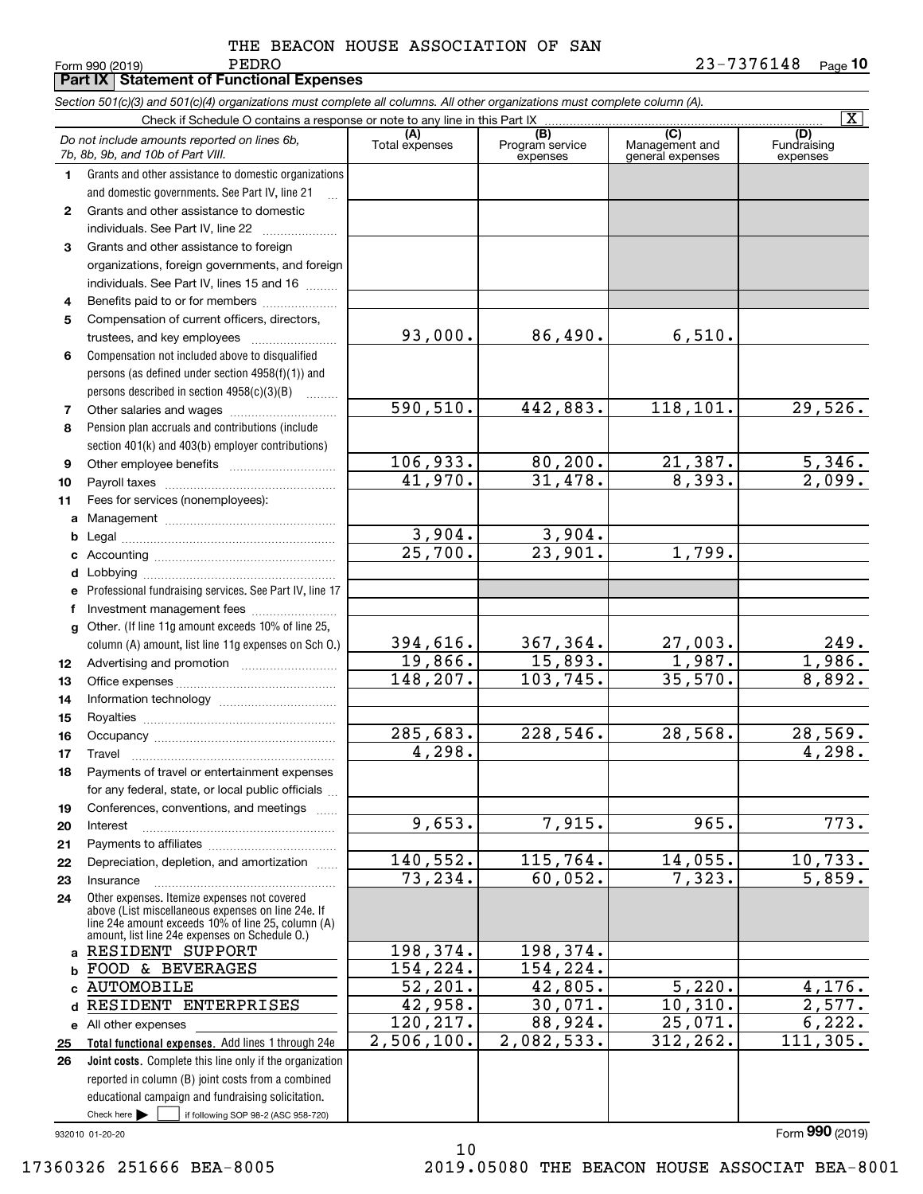|              | Form 990 (2019)<br>REDKO<br><b>Part IX   Statement of Functional Expenses</b>                                                                                                                              |                       |                                    |                                           | 43-7376148<br>Page 10          |
|--------------|------------------------------------------------------------------------------------------------------------------------------------------------------------------------------------------------------------|-----------------------|------------------------------------|-------------------------------------------|--------------------------------|
|              | Section 501(c)(3) and 501(c)(4) organizations must complete all columns. All other organizations must complete column (A).                                                                                 |                       |                                    |                                           |                                |
|              | Check if Schedule O contains a response or note to any line in this Part IX                                                                                                                                |                       |                                    |                                           | $\overline{\mathtt{x}}$        |
|              | Do not include amounts reported on lines 6b,<br>7b, 8b, 9b, and 10b of Part VIII.                                                                                                                          | (A)<br>Total expenses | (B)<br>Program service<br>expenses | (C)<br>Management and<br>general expenses | (D)<br>Fundraising<br>expenses |
| 1.           | Grants and other assistance to domestic organizations                                                                                                                                                      |                       |                                    |                                           |                                |
|              | and domestic governments. See Part IV, line 21<br>$\mathbf{r}$                                                                                                                                             |                       |                                    |                                           |                                |
| $\mathbf{2}$ | Grants and other assistance to domestic                                                                                                                                                                    |                       |                                    |                                           |                                |
|              |                                                                                                                                                                                                            |                       |                                    |                                           |                                |
| 3            | Grants and other assistance to foreign                                                                                                                                                                     |                       |                                    |                                           |                                |
|              | organizations, foreign governments, and foreign                                                                                                                                                            |                       |                                    |                                           |                                |
|              | individuals. See Part IV, lines 15 and 16                                                                                                                                                                  |                       |                                    |                                           |                                |
| 4            | Benefits paid to or for members                                                                                                                                                                            |                       |                                    |                                           |                                |
| 5            | Compensation of current officers, directors,                                                                                                                                                               |                       |                                    |                                           |                                |
|              |                                                                                                                                                                                                            | 93,000.               | 86,490.                            | 6,510.                                    |                                |
| 6            | Compensation not included above to disqualified                                                                                                                                                            |                       |                                    |                                           |                                |
|              | persons (as defined under section 4958(f)(1)) and                                                                                                                                                          |                       |                                    |                                           |                                |
| 7            | persons described in section $4958(c)(3)(B)$<br>$\sim$                                                                                                                                                     | 590, 510.             | 442,883.                           | 118,101.                                  | 29,526.                        |
| 8            | Pension plan accruals and contributions (include                                                                                                                                                           |                       |                                    |                                           |                                |
|              | section 401(k) and 403(b) employer contributions)                                                                                                                                                          |                       |                                    |                                           |                                |
| 9            |                                                                                                                                                                                                            | 106,933.              | 80, 200.                           | 21,387.                                   | 5,346.                         |
| 10           |                                                                                                                                                                                                            | 41,970.               | 31,478.                            | 8,393.                                    | 2,099.                         |
| 11           | Fees for services (nonemployees):                                                                                                                                                                          |                       |                                    |                                           |                                |
|              |                                                                                                                                                                                                            |                       |                                    |                                           |                                |
| b            |                                                                                                                                                                                                            | 3,904.                | 3,904.                             |                                           |                                |
| c            |                                                                                                                                                                                                            | $\overline{25,700}$ . | $\overline{23,901}$ .              | 1,799.                                    |                                |
| d            |                                                                                                                                                                                                            |                       |                                    |                                           |                                |
| е            | Professional fundraising services. See Part IV, line 17                                                                                                                                                    |                       |                                    |                                           |                                |
| f            | Investment management fees                                                                                                                                                                                 |                       |                                    |                                           |                                |
| g            | Other. (If line 11g amount exceeds 10% of line 25,                                                                                                                                                         |                       |                                    |                                           |                                |
|              | column (A) amount, list line 11g expenses on Sch 0.)                                                                                                                                                       | 394,616.              | 367,364.                           | $27,003$ .                                | $\frac{249}{1,986}$            |
| 12           |                                                                                                                                                                                                            | 19,866.<br>148, 207.  | 15,893.                            | 1,987.                                    | 8,892.                         |
| 13           |                                                                                                                                                                                                            |                       | 103,745.                           | 35,570.                                   |                                |
| 14           |                                                                                                                                                                                                            |                       |                                    |                                           |                                |
| 15<br>16     | Occupancy                                                                                                                                                                                                  | 285,683.              | 228,546.                           | 28,568.                                   | 28,569.                        |
| 17           | Travel                                                                                                                                                                                                     | 4,298.                |                                    |                                           | 4,298.                         |
| 18           | Payments of travel or entertainment expenses                                                                                                                                                               |                       |                                    |                                           |                                |
|              | for any federal, state, or local public officials                                                                                                                                                          |                       |                                    |                                           |                                |
| 19           | Conferences, conventions, and meetings                                                                                                                                                                     |                       |                                    |                                           |                                |
| 20           | Interest                                                                                                                                                                                                   | 9,653.                | 7,915.                             | 965.                                      | 773.                           |
| 21           |                                                                                                                                                                                                            |                       |                                    |                                           |                                |
| 22           | Depreciation, depletion, and amortization                                                                                                                                                                  | 140,552.              | 115,764.                           | 14,055.                                   | 10,733.                        |
| 23           | Insurance                                                                                                                                                                                                  | 73,234.               | 60,052.                            | 7,323.                                    | 5,859.                         |
| 24           | Other expenses. Itemize expenses not covered<br>above (List miscellaneous expenses on line 24e. If<br>line 24e amount exceeds 10% of line 25, column (A)<br>amount, list line 24e expenses on Schedule 0.) |                       |                                    |                                           |                                |
| a            | RESIDENT SUPPORT                                                                                                                                                                                           | 198,374.              | 198,374.                           |                                           |                                |
| b            | FOOD & BEVERAGES                                                                                                                                                                                           | 154,224.              | 154,224.                           |                                           | 4,176.                         |
|              | <b>AUTOMOBILE</b><br>RESIDENT ENTERPRISES                                                                                                                                                                  | 52, 201.<br>42,958.   | 42,805.<br>30,071.                 | 5,220.<br>10, 310.                        | 2,577.                         |
|              | e All other expenses                                                                                                                                                                                       | 120,217.              | 88,924.                            | 25,071.                                   | 6,222.                         |
| 25           | Total functional expenses. Add lines 1 through 24e                                                                                                                                                         | 2,506,100.            | 2,082,533.                         | 312,262.                                  | 111, 305.                      |
| 26           | Joint costs. Complete this line only if the organization                                                                                                                                                   |                       |                                    |                                           |                                |
|              | reported in column (B) joint costs from a combined                                                                                                                                                         |                       |                                    |                                           |                                |
|              | educational campaign and fundraising solicitation.                                                                                                                                                         |                       |                                    |                                           |                                |

932010 01-20-20

 $Check here$ 

Check here  $\begin{array}{|c|c|c|c|c|}\hline \text{ } & \text{ if following SOP 98-2 (ASC 958-720)} \hline \end{array}$ 

10 17360326 251666 BEA-8005 2019.05080 THE BEACON HOUSE ASSOCIAT BEA-8001

Form (2019) **990**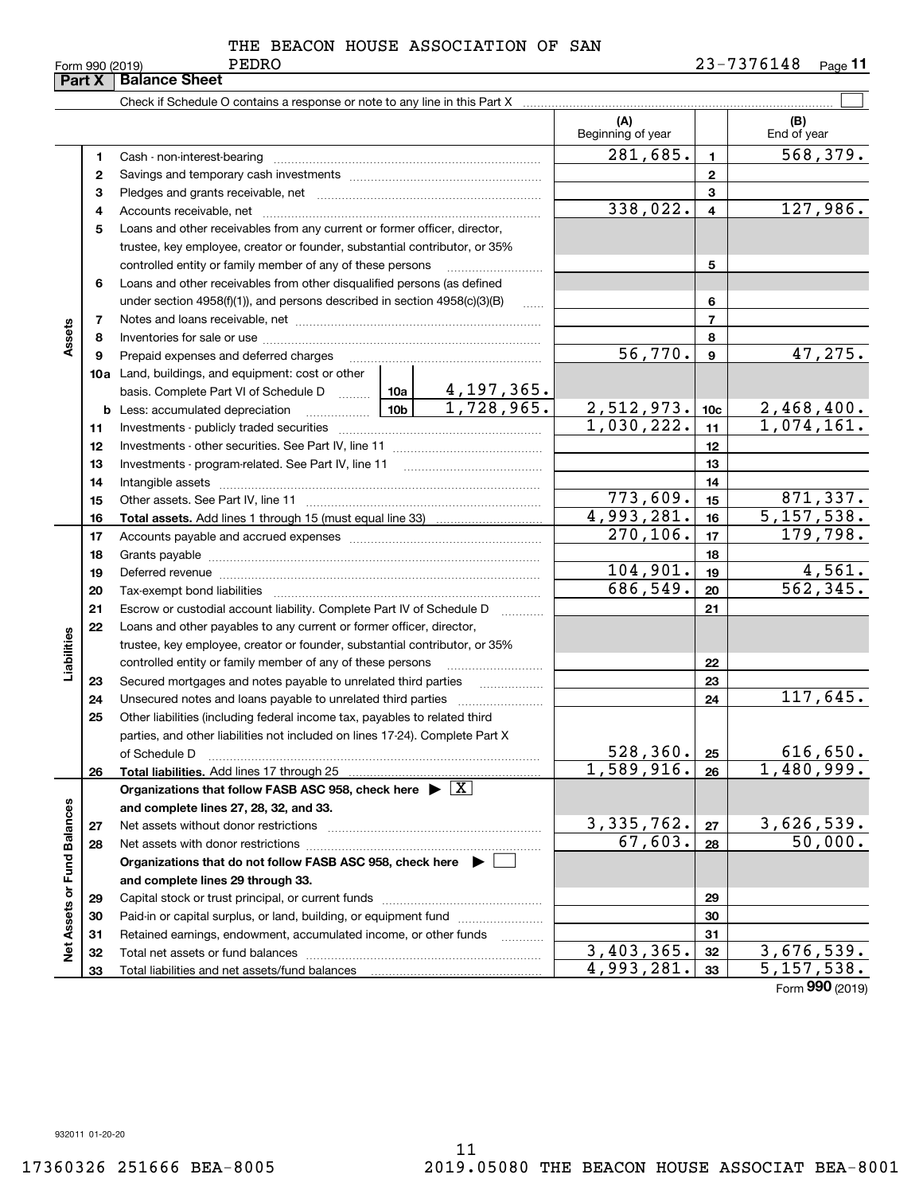|                             | Part X | <b>Balance Sheet</b>                                                                                                                                                                                                           |            |                          |                 |                           |
|-----------------------------|--------|--------------------------------------------------------------------------------------------------------------------------------------------------------------------------------------------------------------------------------|------------|--------------------------|-----------------|---------------------------|
|                             |        |                                                                                                                                                                                                                                |            |                          |                 |                           |
|                             |        |                                                                                                                                                                                                                                |            | (A)<br>Beginning of year |                 | (B)<br>End of year        |
|                             | 1      |                                                                                                                                                                                                                                |            | 281,685.                 | $\mathbf{1}$    | $\overline{568, 379}$ .   |
|                             | 2      |                                                                                                                                                                                                                                |            |                          | $\mathbf{2}$    |                           |
|                             | з      |                                                                                                                                                                                                                                |            |                          | 3               |                           |
|                             | 4      |                                                                                                                                                                                                                                |            | 338,022.                 | $\overline{4}$  | 127,986.                  |
|                             | 5      | Loans and other receivables from any current or former officer, director,                                                                                                                                                      |            |                          |                 |                           |
|                             |        | trustee, key employee, creator or founder, substantial contributor, or 35%                                                                                                                                                     |            |                          |                 |                           |
|                             |        | controlled entity or family member of any of these persons                                                                                                                                                                     |            |                          | 5               |                           |
|                             | 6      | Loans and other receivables from other disqualified persons (as defined                                                                                                                                                        |            |                          |                 |                           |
|                             |        | under section $4958(f)(1)$ , and persons described in section $4958(c)(3)(B)$                                                                                                                                                  | $\ldots$   |                          | 6               |                           |
|                             | 7      |                                                                                                                                                                                                                                |            |                          | $\overline{7}$  |                           |
| Assets                      | 8      |                                                                                                                                                                                                                                |            |                          | 8               |                           |
|                             | 9      | Prepaid expenses and deferred charges                                                                                                                                                                                          |            | 56,770.                  | $\mathbf{9}$    | 47,275.                   |
|                             |        | <b>10a</b> Land, buildings, and equipment: cost or other                                                                                                                                                                       |            |                          |                 |                           |
|                             |        | basis. Complete Part VI of Schedule D $\frac{10a}{10a}$ $\frac{4,197,365}{$                                                                                                                                                    |            |                          |                 |                           |
|                             | b      | <u>  10b</u>  <br>Less: accumulated depreciation                                                                                                                                                                               | 1,728,965. | 2,512,973.               | 10 <sub>c</sub> | 2,468,400.                |
|                             | 11     |                                                                                                                                                                                                                                |            | 1,030,222.               | 11              | 1,074,161.                |
|                             | 12     |                                                                                                                                                                                                                                |            |                          | 12              |                           |
|                             | 13     |                                                                                                                                                                                                                                |            |                          | 13              |                           |
|                             | 14     |                                                                                                                                                                                                                                |            |                          | 14              |                           |
|                             | 15     |                                                                                                                                                                                                                                |            | 773,609.                 | 15              | 871,337.                  |
|                             | 16     |                                                                                                                                                                                                                                |            | 4,993,281.               | 16              | 5, 157, 538.              |
|                             | 17     |                                                                                                                                                                                                                                |            | 270, 106.                | 17              | 179,798.                  |
|                             | 18     |                                                                                                                                                                                                                                |            | 18                       |                 |                           |
|                             | 19     | Deferred revenue manual contracts and contracts are contracted and contract and contract are contracted and contract are contracted and contract are contracted and contract are contracted and contract are contracted and co |            | 104,901.                 | 19              | 4,561.                    |
|                             | 20     |                                                                                                                                                                                                                                |            | 686,549.                 | 20              | 562, 345.                 |
|                             | 21     | Escrow or custodial account liability. Complete Part IV of Schedule D                                                                                                                                                          | $\cdots$   |                          | 21              |                           |
|                             | 22     | Loans and other payables to any current or former officer, director,                                                                                                                                                           |            |                          |                 |                           |
|                             |        | trustee, key employee, creator or founder, substantial contributor, or 35%                                                                                                                                                     |            |                          |                 |                           |
| Liabilities                 |        | controlled entity or family member of any of these persons                                                                                                                                                                     |            |                          | 22              |                           |
|                             | 23     | Secured mortgages and notes payable to unrelated third parties                                                                                                                                                                 |            |                          | 23              |                           |
|                             | 24     | Unsecured notes and loans payable to unrelated third parties                                                                                                                                                                   |            |                          | 24              | 117,645.                  |
|                             | 25     | Other liabilities (including federal income tax, payables to related third                                                                                                                                                     |            |                          |                 |                           |
|                             |        | parties, and other liabilities not included on lines 17-24). Complete Part X                                                                                                                                                   |            |                          |                 |                           |
|                             |        | of Schedule D                                                                                                                                                                                                                  |            | 528, 360.                | 25              | 616,650.                  |
|                             | 26     | Total liabilities. Add lines 17 through 25                                                                                                                                                                                     |            | 1,589,916.               | 26              | $\overline{1,}$ 480, 999. |
|                             |        | Organizations that follow FASB ASC 958, check here $\blacktriangleright \boxed{X}$                                                                                                                                             |            |                          |                 |                           |
|                             |        | and complete lines 27, 28, 32, and 33.                                                                                                                                                                                         |            |                          |                 |                           |
|                             | 27     | Net assets without donor restrictions                                                                                                                                                                                          |            | 3, 335, 762.             | 27              | 3,626,539.                |
|                             | 28     |                                                                                                                                                                                                                                |            | 67,603.                  | 28              | 50,000.                   |
|                             |        | Organizations that do not follow FASB ASC 958, check here $\blacktriangleright$                                                                                                                                                |            |                          |                 |                           |
|                             |        | and complete lines 29 through 33.                                                                                                                                                                                              |            |                          |                 |                           |
| Net Assets or Fund Balances | 29     |                                                                                                                                                                                                                                |            |                          | 29              |                           |
|                             | 30     | Paid-in or capital surplus, or land, building, or equipment fund                                                                                                                                                               |            |                          | 30              |                           |
|                             | 31     | Retained earnings, endowment, accumulated income, or other funds                                                                                                                                                               |            |                          | 31              |                           |
|                             | 32     | Total net assets or fund balances                                                                                                                                                                                              |            | 3,403,365.               | 32              | $\overline{3,676,539}$ .  |
|                             | 33     |                                                                                                                                                                                                                                |            | 4,993,281.               | 33              | 5,157,538.                |

Form (2019) **990**

932011 01-20-20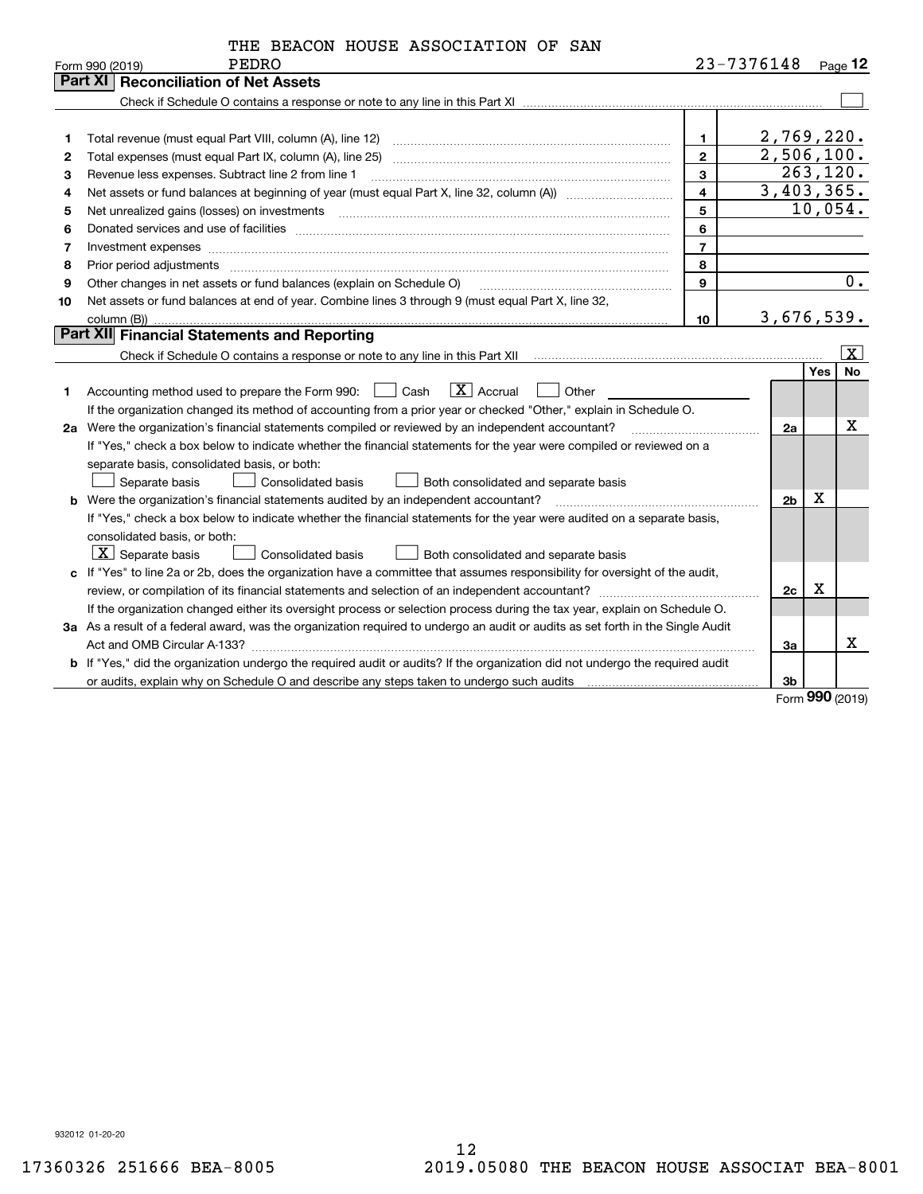|  |  |  | THE BEACON HOUSE ASSOCIATION OF SAN |  |  |
|--|--|--|-------------------------------------|--|--|
|--|--|--|-------------------------------------|--|--|

|    | PEDRO<br>Form 990 (2019)                                                                                                        |                | 23-7376148 |            | Page $12$         |
|----|---------------------------------------------------------------------------------------------------------------------------------|----------------|------------|------------|-------------------|
|    | <b>Reconciliation of Net Assets</b><br>Part XI                                                                                  |                |            |            |                   |
|    |                                                                                                                                 |                |            |            |                   |
|    |                                                                                                                                 |                |            |            |                   |
| 1  | Total revenue (must equal Part VIII, column (A), line 12)                                                                       | $\mathbf{1}$   | 2,769,220. |            |                   |
| 2  | Total expenses (must equal Part IX, column (A), line 25)                                                                        | $\overline{2}$ | 2,506,100. |            |                   |
| 3  | Revenue less expenses. Subtract line 2 from line 1                                                                              | 3              |            | 263, 120.  |                   |
| 4  |                                                                                                                                 | $\overline{4}$ | 3,403,365. |            |                   |
| 5  | Net unrealized gains (losses) on investments                                                                                    | 5              |            |            | 10,054.           |
| 6  |                                                                                                                                 | 6              |            |            |                   |
| 7  | Investment expenses                                                                                                             | $\overline{7}$ |            |            |                   |
| 8  | Prior period adjustments www.communication.communication.com/news/communication.com/news/communication.com/news/                | 8              |            |            |                   |
| 9  | Other changes in net assets or fund balances (explain on Schedule O)                                                            | 9              |            |            | 0.                |
| 10 | Net assets or fund balances at end of year. Combine lines 3 through 9 (must equal Part X, line 32,                              |                |            |            |                   |
|    |                                                                                                                                 | 10             | 3,676,539. |            |                   |
|    | Part XII Financial Statements and Reporting                                                                                     |                |            |            |                   |
|    |                                                                                                                                 |                |            |            | $\vert$ X $\vert$ |
|    |                                                                                                                                 |                |            | <b>Yes</b> | No                |
| 1  | $ X $ Accrual<br>Accounting method used to prepare the Form 990: <u>I</u> Cash<br>Other                                         |                |            |            |                   |
|    | If the organization changed its method of accounting from a prior year or checked "Other," explain in Schedule O.               |                |            |            |                   |
|    | 2a Were the organization's financial statements compiled or reviewed by an independent accountant?                              |                | 2a         |            | х                 |
|    | If "Yes," check a box below to indicate whether the financial statements for the year were compiled or reviewed on a            |                |            |            |                   |
|    | separate basis, consolidated basis, or both:                                                                                    |                |            |            |                   |
|    | Consolidated basis<br>Separate basis<br>Both consolidated and separate basis                                                    |                |            |            |                   |
|    | <b>b</b> Were the organization's financial statements audited by an independent accountant?                                     |                | 2b         | Х          |                   |
|    | If "Yes," check a box below to indicate whether the financial statements for the year were audited on a separate basis,         |                |            |            |                   |
|    | consolidated basis, or both:                                                                                                    |                |            |            |                   |
|    | $ \mathbf{X} $ Separate basis<br>Consolidated basis<br>Both consolidated and separate basis                                     |                |            |            |                   |
|    | c If "Yes" to line 2a or 2b, does the organization have a committee that assumes responsibility for oversight of the audit,     |                |            |            |                   |
|    | review, or compilation of its financial statements and selection of an independent accountant?                                  |                | 2c         | х          |                   |
|    | If the organization changed either its oversight process or selection process during the tax year, explain on Schedule O.       |                |            |            |                   |
|    | 3a As a result of a federal award, was the organization required to undergo an audit or audits as set forth in the Single Audit |                |            |            |                   |
|    | Act and OMB Circular A-133?                                                                                                     |                | За         |            | x                 |
|    | b If "Yes," did the organization undergo the required audit or audits? If the organization did not undergo the required audit   |                |            |            |                   |
|    |                                                                                                                                 |                | 3b         |            |                   |

Form (2019) **990**

932012 01-20-20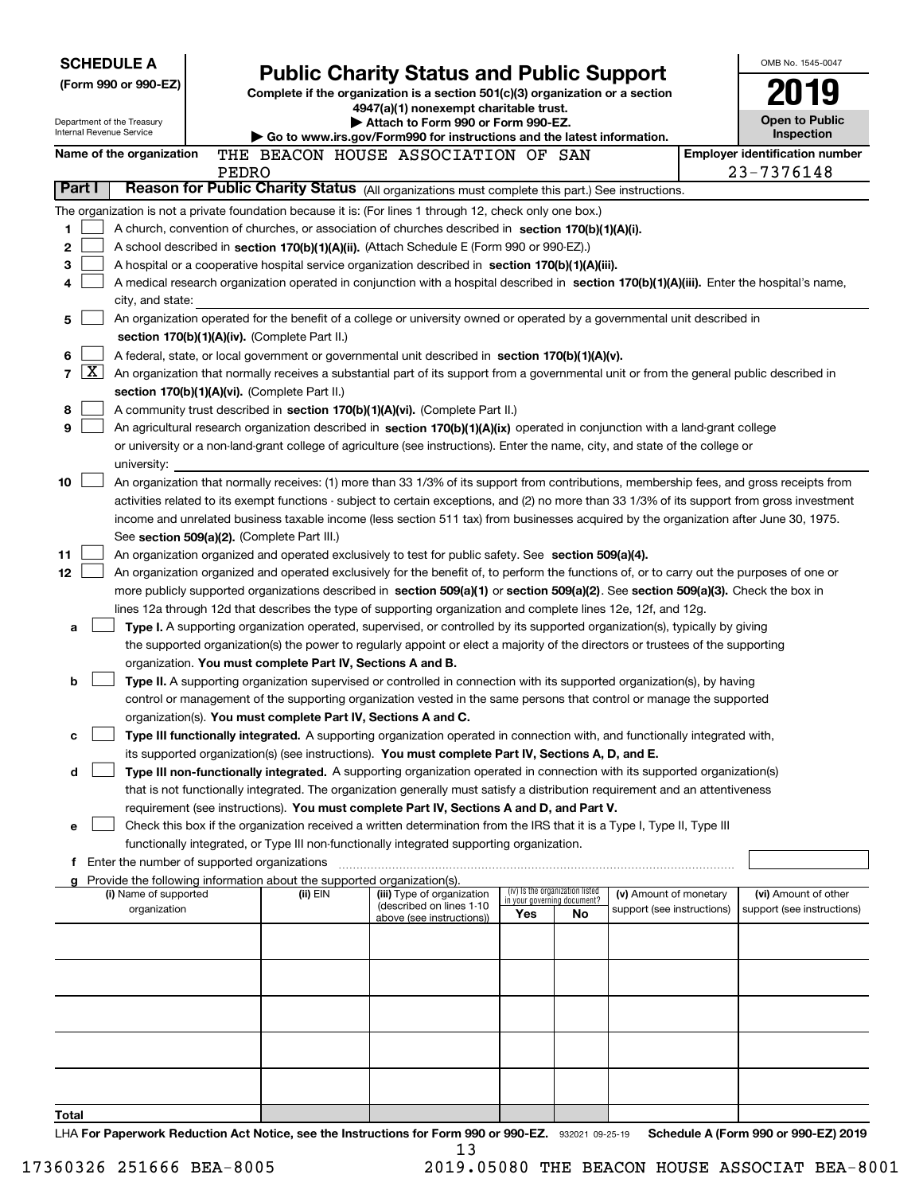| <b>SCHEDULE A</b><br>(Form 990 or 990-EZ)<br>Department of the Treasury<br>Internal Revenue Service |                    |                                               |       |                                                                          | <b>Public Charity Status and Public Support</b><br>Complete if the organization is a section 501(c)(3) organization or a section<br>4947(a)(1) nonexempt charitable trust.<br>Attach to Form 990 or Form 990-EZ.                                          |                                                                |    |                            | OMB No. 1545-0047<br><b>Open to Public</b>          |
|-----------------------------------------------------------------------------------------------------|--------------------|-----------------------------------------------|-------|--------------------------------------------------------------------------|-----------------------------------------------------------------------------------------------------------------------------------------------------------------------------------------------------------------------------------------------------------|----------------------------------------------------------------|----|----------------------------|-----------------------------------------------------|
|                                                                                                     |                    |                                               |       |                                                                          | Go to www.irs.gov/Form990 for instructions and the latest information.                                                                                                                                                                                    |                                                                |    |                            | Inspection                                          |
|                                                                                                     |                    | Name of the organization                      | PEDRO |                                                                          | THE BEACON HOUSE ASSOCIATION OF SAN                                                                                                                                                                                                                       |                                                                |    |                            | <b>Employer identification number</b><br>23-7376148 |
| Part I                                                                                              |                    |                                               |       |                                                                          | Reason for Public Charity Status (All organizations must complete this part.) See instructions.                                                                                                                                                           |                                                                |    |                            |                                                     |
|                                                                                                     |                    |                                               |       |                                                                          | The organization is not a private foundation because it is: (For lines 1 through 12, check only one box.)                                                                                                                                                 |                                                                |    |                            |                                                     |
| 1                                                                                                   |                    |                                               |       |                                                                          | A church, convention of churches, or association of churches described in section 170(b)(1)(A)(i).                                                                                                                                                        |                                                                |    |                            |                                                     |
| 2                                                                                                   |                    |                                               |       |                                                                          | A school described in section 170(b)(1)(A)(ii). (Attach Schedule E (Form 990 or 990-EZ).)                                                                                                                                                                 |                                                                |    |                            |                                                     |
| 3                                                                                                   |                    |                                               |       |                                                                          | A hospital or a cooperative hospital service organization described in section $170(b)(1)(A)(iii)$ .                                                                                                                                                      |                                                                |    |                            |                                                     |
| 4                                                                                                   |                    |                                               |       |                                                                          | A medical research organization operated in conjunction with a hospital described in section 170(b)(1)(A)(iii). Enter the hospital's name,                                                                                                                |                                                                |    |                            |                                                     |
|                                                                                                     |                    | city, and state:                              |       |                                                                          |                                                                                                                                                                                                                                                           |                                                                |    |                            |                                                     |
| 5                                                                                                   |                    |                                               |       |                                                                          | An organization operated for the benefit of a college or university owned or operated by a governmental unit described in                                                                                                                                 |                                                                |    |                            |                                                     |
|                                                                                                     |                    |                                               |       | section 170(b)(1)(A)(iv). (Complete Part II.)                            |                                                                                                                                                                                                                                                           |                                                                |    |                            |                                                     |
| 6                                                                                                   |                    |                                               |       |                                                                          | A federal, state, or local government or governmental unit described in section 170(b)(1)(A)(v).                                                                                                                                                          |                                                                |    |                            |                                                     |
| $\overline{7}$                                                                                      | $\boxed{\text{X}}$ |                                               |       |                                                                          | An organization that normally receives a substantial part of its support from a governmental unit or from the general public described in                                                                                                                 |                                                                |    |                            |                                                     |
|                                                                                                     |                    |                                               |       | section 170(b)(1)(A)(vi). (Complete Part II.)                            |                                                                                                                                                                                                                                                           |                                                                |    |                            |                                                     |
| 8                                                                                                   |                    |                                               |       |                                                                          | A community trust described in section 170(b)(1)(A)(vi). (Complete Part II.)                                                                                                                                                                              |                                                                |    |                            |                                                     |
| 9                                                                                                   |                    |                                               |       |                                                                          | An agricultural research organization described in section 170(b)(1)(A)(ix) operated in conjunction with a land-grant college                                                                                                                             |                                                                |    |                            |                                                     |
|                                                                                                     |                    |                                               |       |                                                                          | or university or a non-land-grant college of agriculture (see instructions). Enter the name, city, and state of the college or                                                                                                                            |                                                                |    |                            |                                                     |
| 10                                                                                                  |                    | university:                                   |       |                                                                          | An organization that normally receives: (1) more than 33 1/3% of its support from contributions, membership fees, and gross receipts from                                                                                                                 |                                                                |    |                            |                                                     |
|                                                                                                     |                    |                                               |       |                                                                          | activities related to its exempt functions - subject to certain exceptions, and (2) no more than 33 1/3% of its support from gross investment                                                                                                             |                                                                |    |                            |                                                     |
|                                                                                                     |                    |                                               |       |                                                                          | income and unrelated business taxable income (less section 511 tax) from businesses acquired by the organization after June 30, 1975.                                                                                                                     |                                                                |    |                            |                                                     |
|                                                                                                     |                    |                                               |       | See section 509(a)(2). (Complete Part III.)                              |                                                                                                                                                                                                                                                           |                                                                |    |                            |                                                     |
| 11                                                                                                  |                    |                                               |       |                                                                          | An organization organized and operated exclusively to test for public safety. See section 509(a)(4).                                                                                                                                                      |                                                                |    |                            |                                                     |
| 12                                                                                                  |                    |                                               |       |                                                                          | An organization organized and operated exclusively for the benefit of, to perform the functions of, or to carry out the purposes of one or                                                                                                                |                                                                |    |                            |                                                     |
|                                                                                                     |                    |                                               |       |                                                                          | more publicly supported organizations described in section 509(a)(1) or section 509(a)(2). See section 509(a)(3). Check the box in                                                                                                                        |                                                                |    |                            |                                                     |
|                                                                                                     |                    |                                               |       |                                                                          | lines 12a through 12d that describes the type of supporting organization and complete lines 12e, 12f, and 12g.                                                                                                                                            |                                                                |    |                            |                                                     |
| a                                                                                                   |                    |                                               |       |                                                                          | Type I. A supporting organization operated, supervised, or controlled by its supported organization(s), typically by giving                                                                                                                               |                                                                |    |                            |                                                     |
|                                                                                                     |                    |                                               |       |                                                                          | the supported organization(s) the power to regularly appoint or elect a majority of the directors or trustees of the supporting                                                                                                                           |                                                                |    |                            |                                                     |
|                                                                                                     |                    |                                               |       | organization. You must complete Part IV, Sections A and B.               |                                                                                                                                                                                                                                                           |                                                                |    |                            |                                                     |
| b                                                                                                   |                    |                                               |       |                                                                          | Type II. A supporting organization supervised or controlled in connection with its supported organization(s), by having                                                                                                                                   |                                                                |    |                            |                                                     |
|                                                                                                     |                    |                                               |       |                                                                          | control or management of the supporting organization vested in the same persons that control or manage the supported                                                                                                                                      |                                                                |    |                            |                                                     |
|                                                                                                     |                    |                                               |       | organization(s). You must complete Part IV, Sections A and C.            |                                                                                                                                                                                                                                                           |                                                                |    |                            |                                                     |
| c                                                                                                   |                    |                                               |       |                                                                          | Type III functionally integrated. A supporting organization operated in connection with, and functionally integrated with,                                                                                                                                |                                                                |    |                            |                                                     |
|                                                                                                     |                    |                                               |       |                                                                          | its supported organization(s) (see instructions). You must complete Part IV, Sections A, D, and E.                                                                                                                                                        |                                                                |    |                            |                                                     |
| d                                                                                                   |                    |                                               |       |                                                                          | Type III non-functionally integrated. A supporting organization operated in connection with its supported organization(s)<br>that is not functionally integrated. The organization generally must satisfy a distribution requirement and an attentiveness |                                                                |    |                            |                                                     |
|                                                                                                     |                    |                                               |       |                                                                          | requirement (see instructions). You must complete Part IV, Sections A and D, and Part V.                                                                                                                                                                  |                                                                |    |                            |                                                     |
| е                                                                                                   |                    |                                               |       |                                                                          | Check this box if the organization received a written determination from the IRS that it is a Type I, Type II, Type III                                                                                                                                   |                                                                |    |                            |                                                     |
|                                                                                                     |                    |                                               |       |                                                                          | functionally integrated, or Type III non-functionally integrated supporting organization.                                                                                                                                                                 |                                                                |    |                            |                                                     |
|                                                                                                     |                    | f Enter the number of supported organizations |       |                                                                          |                                                                                                                                                                                                                                                           |                                                                |    |                            |                                                     |
|                                                                                                     |                    |                                               |       | g Provide the following information about the supported organization(s). |                                                                                                                                                                                                                                                           |                                                                |    |                            |                                                     |
|                                                                                                     |                    | (i) Name of supported                         |       | (ii) EIN                                                                 | (iii) Type of organization<br>(described on lines 1-10)                                                                                                                                                                                                   | (iv) Is the organization listed<br>in your governing document? |    | (v) Amount of monetary     | (vi) Amount of other                                |
|                                                                                                     |                    | organization                                  |       |                                                                          | above (see instructions))                                                                                                                                                                                                                                 | Yes                                                            | No | support (see instructions) | support (see instructions)                          |
|                                                                                                     |                    |                                               |       |                                                                          |                                                                                                                                                                                                                                                           |                                                                |    |                            |                                                     |
|                                                                                                     |                    |                                               |       |                                                                          |                                                                                                                                                                                                                                                           |                                                                |    |                            |                                                     |
|                                                                                                     |                    |                                               |       |                                                                          |                                                                                                                                                                                                                                                           |                                                                |    |                            |                                                     |
|                                                                                                     |                    |                                               |       |                                                                          |                                                                                                                                                                                                                                                           |                                                                |    |                            |                                                     |
|                                                                                                     |                    |                                               |       |                                                                          |                                                                                                                                                                                                                                                           |                                                                |    |                            |                                                     |
|                                                                                                     |                    |                                               |       |                                                                          |                                                                                                                                                                                                                                                           |                                                                |    |                            |                                                     |
|                                                                                                     |                    |                                               |       |                                                                          |                                                                                                                                                                                                                                                           |                                                                |    |                            |                                                     |
|                                                                                                     |                    |                                               |       |                                                                          |                                                                                                                                                                                                                                                           |                                                                |    |                            |                                                     |
|                                                                                                     |                    |                                               |       |                                                                          |                                                                                                                                                                                                                                                           |                                                                |    |                            |                                                     |
| Total                                                                                               |                    |                                               |       |                                                                          |                                                                                                                                                                                                                                                           |                                                                |    |                            |                                                     |
|                                                                                                     |                    |                                               |       |                                                                          | UA For Departuark Poduction Act Notice, and the Instructions for Form 000 or 000 FZ. correct so as to                                                                                                                                                     |                                                                |    |                            | <b>Cohodulo A (Form 000 or 000 EZ) 2010</b>         |

LHA For Paperwork Reduction Act Notice, see the Instructions for Form 990 or 990-EZ. 932021 09-25-19 Schedule A (Form 990 or 990-EZ) 2019 13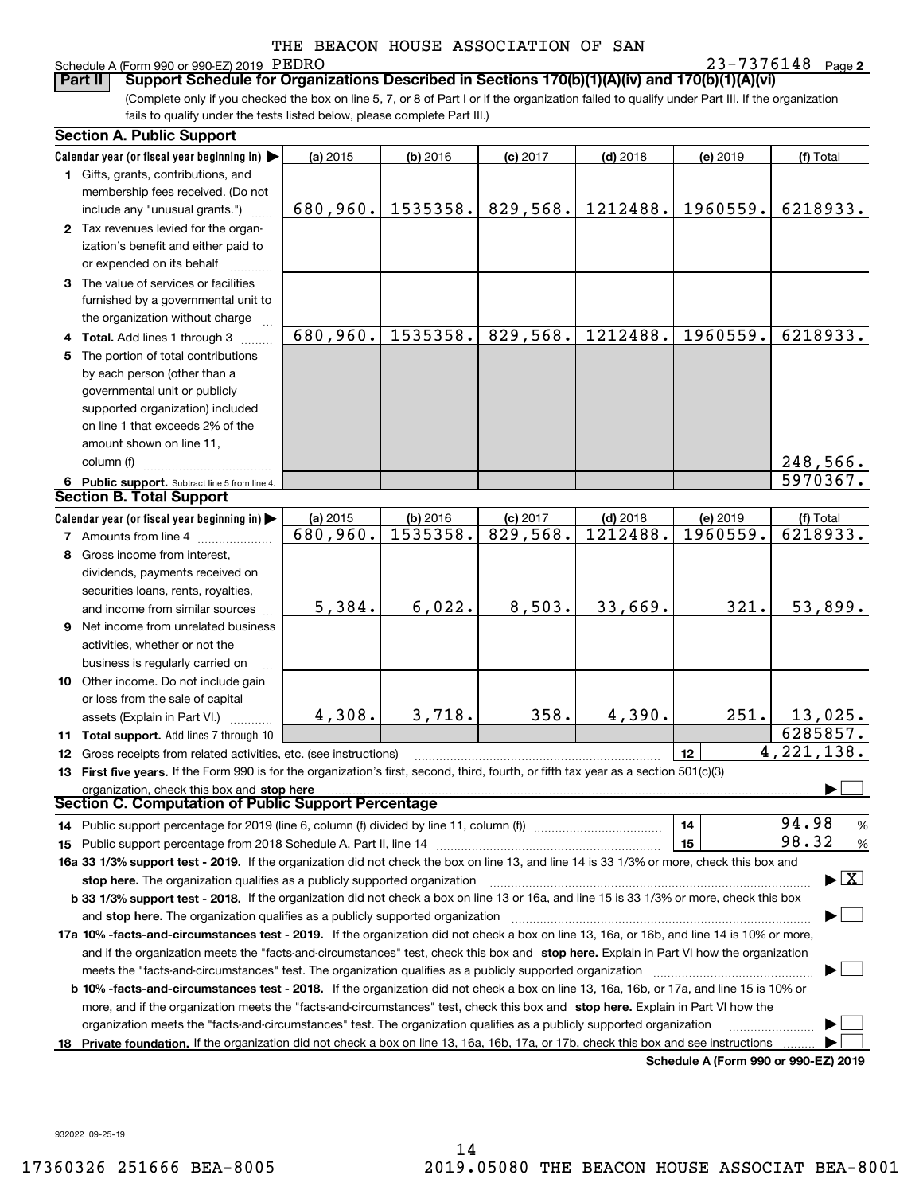## Schedule A (Form 990 or 990-EZ) 2019 PEDRO

**2** PEDRO 23-7376148

(Complete only if you checked the box on line 5, 7, or 8 of Part I or if the organization failed to qualify under Part III. If the organization fails to qualify under the tests listed below, please complete Part III.) **Part II Support Schedule for Organizations Described in Sections 170(b)(1)(A)(iv) and 170(b)(1)(A)(vi)**

|    | <b>Section A. Public Support</b>                                                                                                           |          |          |            |            |          |                                          |
|----|--------------------------------------------------------------------------------------------------------------------------------------------|----------|----------|------------|------------|----------|------------------------------------------|
|    | Calendar year (or fiscal year beginning in)                                                                                                | (a) 2015 | (b) 2016 | $(c)$ 2017 | $(d)$ 2018 | (e) 2019 | (f) Total                                |
|    | 1 Gifts, grants, contributions, and                                                                                                        |          |          |            |            |          |                                          |
|    | membership fees received. (Do not                                                                                                          |          |          |            |            |          |                                          |
|    | include any "unusual grants.")                                                                                                             | 680,960. | 1535358. | 829,568.   | 1212488.   | 1960559. | 6218933.                                 |
|    | 2 Tax revenues levied for the organ-                                                                                                       |          |          |            |            |          |                                          |
|    | ization's benefit and either paid to                                                                                                       |          |          |            |            |          |                                          |
|    | or expended on its behalf                                                                                                                  |          |          |            |            |          |                                          |
|    | 3 The value of services or facilities                                                                                                      |          |          |            |            |          |                                          |
|    | furnished by a governmental unit to                                                                                                        |          |          |            |            |          |                                          |
|    | the organization without charge                                                                                                            |          |          |            |            |          |                                          |
|    | 4 Total. Add lines 1 through 3                                                                                                             | 680,960. | 1535358. | 829,568.   | 1212488.   | 1960559. | 6218933.                                 |
| 5. | The portion of total contributions                                                                                                         |          |          |            |            |          |                                          |
|    | by each person (other than a                                                                                                               |          |          |            |            |          |                                          |
|    | governmental unit or publicly                                                                                                              |          |          |            |            |          |                                          |
|    | supported organization) included                                                                                                           |          |          |            |            |          |                                          |
|    | on line 1 that exceeds 2% of the                                                                                                           |          |          |            |            |          |                                          |
|    | amount shown on line 11,                                                                                                                   |          |          |            |            |          |                                          |
|    | column (f)                                                                                                                                 |          |          |            |            |          | 248,566.                                 |
|    | 6 Public support. Subtract line 5 from line 4.                                                                                             |          |          |            |            |          | $\overline{5970367}$ .                   |
|    | <b>Section B. Total Support</b>                                                                                                            |          |          |            |            |          |                                          |
|    | Calendar year (or fiscal year beginning in)                                                                                                | (a) 2015 | (b) 2016 | $(c)$ 2017 | $(d)$ 2018 | (e) 2019 | (f) Total                                |
|    | <b>7</b> Amounts from line 4                                                                                                               | 680,960. | 1535358. | 829,568.   | 1212488.   | 1960559. | 6218933.                                 |
|    | 8 Gross income from interest,                                                                                                              |          |          |            |            |          |                                          |
|    | dividends, payments received on                                                                                                            |          |          |            |            |          |                                          |
|    | securities loans, rents, royalties,                                                                                                        |          |          |            |            |          |                                          |
|    | and income from similar sources                                                                                                            | 5,384.   | 6,022.   | 8,503.     | 33,669.    | 321.     | 53,899.                                  |
|    | 9 Net income from unrelated business                                                                                                       |          |          |            |            |          |                                          |
|    | activities, whether or not the                                                                                                             |          |          |            |            |          |                                          |
|    | business is regularly carried on                                                                                                           |          |          |            |            |          |                                          |
|    | 10 Other income. Do not include gain                                                                                                       |          |          |            |            |          |                                          |
|    | or loss from the sale of capital                                                                                                           |          |          |            |            |          |                                          |
|    | assets (Explain in Part VI.)                                                                                                               | 4,308.   | 3,718.   | 358.       | 4,390.     | 251.     | 13,025.                                  |
|    | 11 Total support. Add lines 7 through 10                                                                                                   |          |          |            |            |          | 6285857.                                 |
|    | 12 Gross receipts from related activities, etc. (see instructions)                                                                         |          |          |            |            | 12       | 4, 221, 138.                             |
|    | 13 First five years. If the Form 990 is for the organization's first, second, third, fourth, or fifth tax year as a section 501(c)(3)      |          |          |            |            |          |                                          |
|    | organization, check this box and stop here                                                                                                 |          |          |            |            |          |                                          |
|    | <b>Section C. Computation of Public Support Percentage</b>                                                                                 |          |          |            |            |          |                                          |
|    | 14 Public support percentage for 2019 (line 6, column (f) divided by line 11, column (f) <i>mummumumum</i>                                 |          |          |            |            | 14       | 94.98<br>%                               |
|    |                                                                                                                                            |          |          |            |            | 15       | 98.32<br>$\%$                            |
|    | 16a 33 1/3% support test - 2019. If the organization did not check the box on line 13, and line 14 is 33 1/3% or more, check this box and  |          |          |            |            |          |                                          |
|    | stop here. The organization qualifies as a publicly supported organization                                                                 |          |          |            |            |          | $\blacktriangleright$ $\boxed{\text{X}}$ |
|    | b 33 1/3% support test - 2018. If the organization did not check a box on line 13 or 16a, and line 15 is 33 1/3% or more, check this box   |          |          |            |            |          |                                          |
|    | and stop here. The organization qualifies as a publicly supported organization                                                             |          |          |            |            |          |                                          |
|    | 17a 10% -facts-and-circumstances test - 2019. If the organization did not check a box on line 13, 16a, or 16b, and line 14 is 10% or more, |          |          |            |            |          |                                          |
|    | and if the organization meets the "facts-and-circumstances" test, check this box and stop here. Explain in Part VI how the organization    |          |          |            |            |          |                                          |
|    | meets the "facts-and-circumstances" test. The organization qualifies as a publicly supported organization <i>manumumumumumum</i>           |          |          |            |            |          |                                          |
|    | b 10% -facts-and-circumstances test - 2018. If the organization did not check a box on line 13, 16a, 16b, or 17a, and line 15 is 10% or    |          |          |            |            |          |                                          |
|    | more, and if the organization meets the "facts-and-circumstances" test, check this box and stop here. Explain in Part VI how the           |          |          |            |            |          |                                          |
|    | organization meets the "facts-and-circumstances" test. The organization qualifies as a publicly supported organization                     |          |          |            |            |          |                                          |
|    | 18 Private foundation. If the organization did not check a box on line 13, 16a, 16b, 17a, or 17b, check this box and see instructions      |          |          |            |            |          |                                          |
|    |                                                                                                                                            |          |          |            |            |          | Schedule A (Form 990 or 990-F7) 2019     |

**Schedule A (Form 990 or 990-EZ) 2019**

932022 09-25-19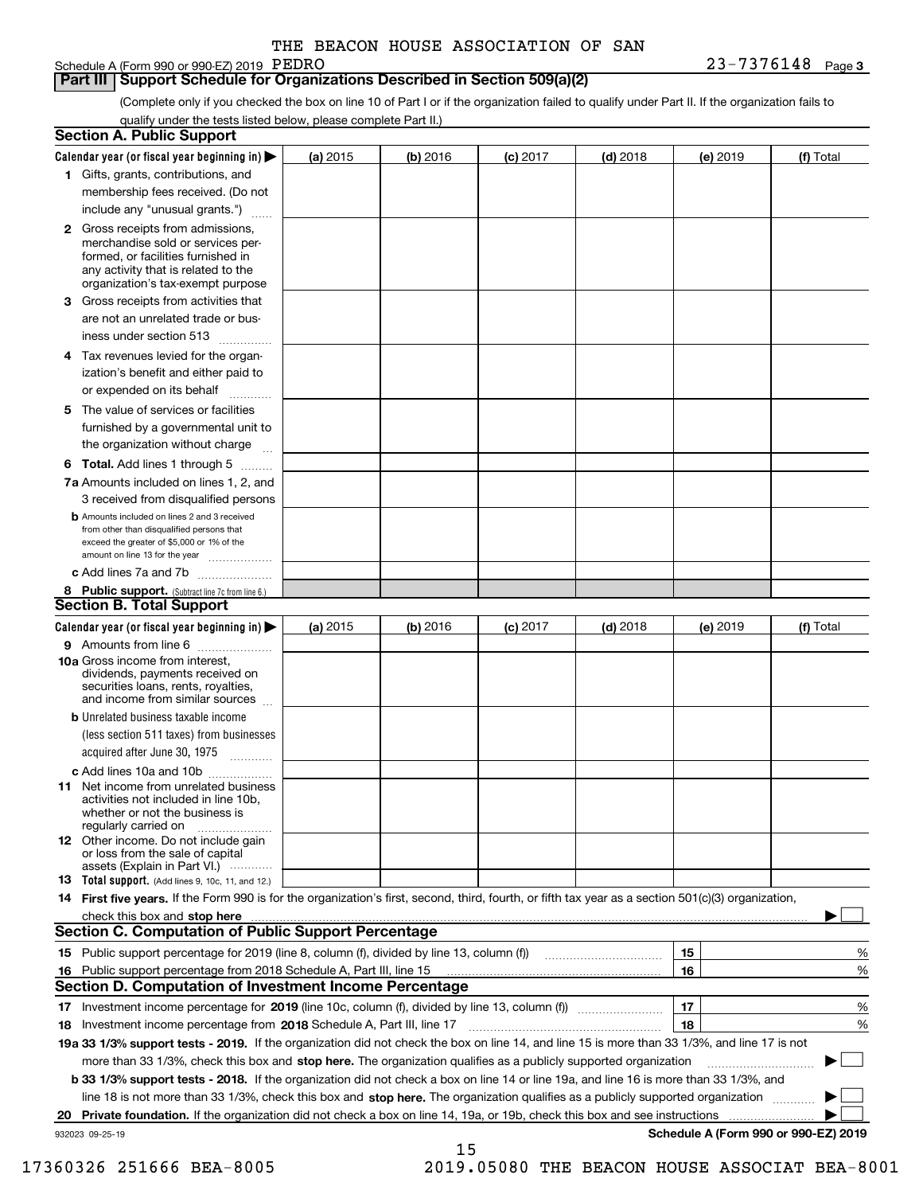## Schedule A (Form 990 or 990-EZ) 2019 PEDRO

**Part III Support Schedule for Organizations Described in Section 509(a)(2)** 

(Complete only if you checked the box on line 10 of Part I or if the organization failed to qualify under Part II. If the organization fails to qualify under the tests listed below, please complete Part II.)

|    | <b>Section A. Public Support</b>                                                                                                                                                         |            |          |            |            |          |                                      |
|----|------------------------------------------------------------------------------------------------------------------------------------------------------------------------------------------|------------|----------|------------|------------|----------|--------------------------------------|
|    | Calendar year (or fiscal year beginning in) $\blacktriangleright$                                                                                                                        | (a) 2015   | (b) 2016 | $(c)$ 2017 | $(d)$ 2018 | (e) 2019 | (f) Total                            |
|    | 1 Gifts, grants, contributions, and                                                                                                                                                      |            |          |            |            |          |                                      |
|    | membership fees received. (Do not                                                                                                                                                        |            |          |            |            |          |                                      |
|    | include any "unusual grants.")                                                                                                                                                           |            |          |            |            |          |                                      |
|    | 2 Gross receipts from admissions,<br>merchandise sold or services per-<br>formed, or facilities furnished in<br>any activity that is related to the<br>organization's tax-exempt purpose |            |          |            |            |          |                                      |
|    | 3 Gross receipts from activities that<br>are not an unrelated trade or bus-                                                                                                              |            |          |            |            |          |                                      |
|    | iness under section 513                                                                                                                                                                  |            |          |            |            |          |                                      |
|    | 4 Tax revenues levied for the organ-<br>ization's benefit and either paid to<br>or expended on its behalf                                                                                |            |          |            |            |          |                                      |
|    | .<br>5 The value of services or facilities                                                                                                                                               |            |          |            |            |          |                                      |
|    | furnished by a governmental unit to<br>the organization without charge                                                                                                                   |            |          |            |            |          |                                      |
|    | <b>6 Total.</b> Add lines 1 through 5                                                                                                                                                    |            |          |            |            |          |                                      |
|    | 7a Amounts included on lines 1, 2, and<br>3 received from disqualified persons                                                                                                           |            |          |            |            |          |                                      |
|    | <b>b</b> Amounts included on lines 2 and 3 received<br>from other than disqualified persons that<br>exceed the greater of \$5,000 or 1% of the                                           |            |          |            |            |          |                                      |
|    | amount on line 13 for the year<br>c Add lines 7a and 7b                                                                                                                                  |            |          |            |            |          |                                      |
|    | 8 Public support. (Subtract line 7c from line 6.)                                                                                                                                        |            |          |            |            |          |                                      |
|    | <b>Section B. Total Support</b>                                                                                                                                                          |            |          |            |            |          |                                      |
|    | Calendar year (or fiscal year beginning in) $\blacktriangleright$                                                                                                                        | (a) $2015$ | (b) 2016 | $(c)$ 2017 | $(d)$ 2018 | (e) 2019 | (f) Total                            |
|    | 9 Amounts from line 6                                                                                                                                                                    |            |          |            |            |          |                                      |
|    | 10a Gross income from interest,<br>dividends, payments received on<br>securities loans, rents, royalties,<br>and income from similar sources                                             |            |          |            |            |          |                                      |
|    | <b>b</b> Unrelated business taxable income                                                                                                                                               |            |          |            |            |          |                                      |
|    | (less section 511 taxes) from businesses<br>acquired after June 30, 1975<br>1.1.1.1.1.1.1.1.1.1                                                                                          |            |          |            |            |          |                                      |
|    | c Add lines 10a and 10b                                                                                                                                                                  |            |          |            |            |          |                                      |
|    | <b>11</b> Net income from unrelated business<br>activities not included in line 10b,<br>whether or not the business is<br>regularly carried on                                           |            |          |            |            |          |                                      |
|    | <b>12</b> Other income. Do not include gain<br>or loss from the sale of capital<br>assets (Explain in Part VI.)                                                                          |            |          |            |            |          |                                      |
|    | <b>13 Total support.</b> (Add lines 9, 10c, 11, and 12.)                                                                                                                                 |            |          |            |            |          |                                      |
|    | 14 First five years. If the Form 990 is for the organization's first, second, third, fourth, or fifth tax year as a section 501(c)(3) organization,                                      |            |          |            |            |          |                                      |
|    |                                                                                                                                                                                          |            |          |            |            |          |                                      |
|    | <b>Section C. Computation of Public Support Percentage</b>                                                                                                                               |            |          |            |            |          |                                      |
|    | 15 Public support percentage for 2019 (line 8, column (f), divided by line 13, column (f))                                                                                               |            |          |            |            | 15       | %                                    |
|    | 16 Public support percentage from 2018 Schedule A, Part III, line 15                                                                                                                     |            |          |            |            | 16       | %                                    |
|    | <b>Section D. Computation of Investment Income Percentage</b>                                                                                                                            |            |          |            |            |          |                                      |
|    | 17 Investment income percentage for 2019 (line 10c, column (f), divided by line 13, column (f))                                                                                          |            |          |            |            | 17       | %                                    |
|    | 18 Investment income percentage from 2018 Schedule A, Part III, line 17                                                                                                                  |            |          |            |            | 18       | %                                    |
|    | 19a 33 1/3% support tests - 2019. If the organization did not check the box on line 14, and line 15 is more than 33 1/3%, and line 17 is not                                             |            |          |            |            |          |                                      |
|    | more than 33 1/3%, check this box and stop here. The organization qualifies as a publicly supported organization                                                                         |            |          |            |            |          |                                      |
|    | b 33 1/3% support tests - 2018. If the organization did not check a box on line 14 or line 19a, and line 16 is more than 33 1/3%, and                                                    |            |          |            |            |          |                                      |
|    | line 18 is not more than 33 1/3%, check this box and stop here. The organization qualifies as a publicly supported organization                                                          |            |          |            |            |          |                                      |
| 20 | Private foundation. If the organization did not check a box on line 14, 19a, or 19b, check this box and see instructions                                                                 |            |          |            |            |          | Schedule A (Form 990 or 990-EZ) 2019 |
|    | 932023 09-25-19                                                                                                                                                                          |            |          |            |            |          |                                      |

15

17360326 251666 BEA-8005 2019.05080 THE BEACON HOUSE ASSOCIAT BEA-8001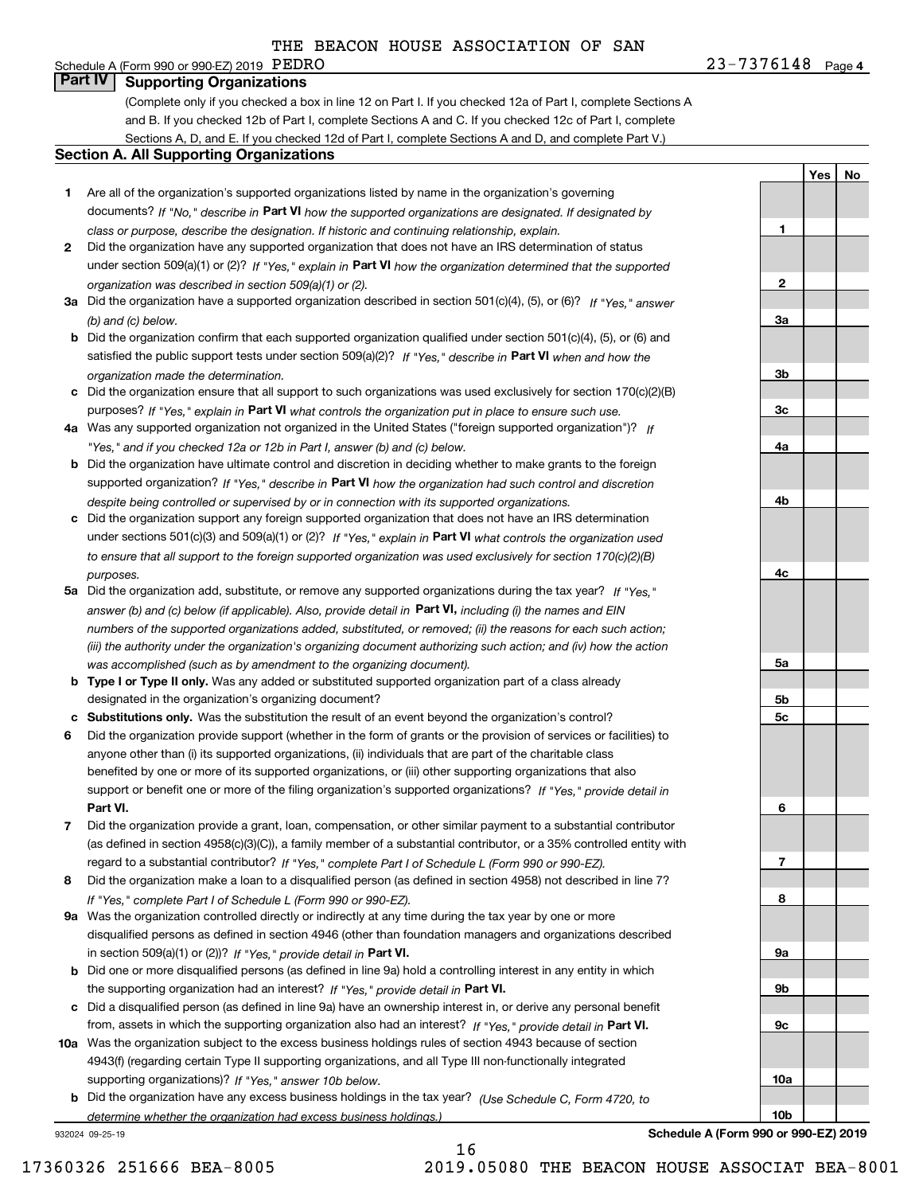#### **4**PEDRO 23-7376148 Schedule A (Form 990 or 990-EZ) 2019  $PEDRO$ **Part IV Supporting Organizations**

(Complete only if you checked a box in line 12 on Part I. If you checked 12a of Part I, complete Sections A and B. If you checked 12b of Part I, complete Sections A and C. If you checked 12c of Part I, complete Sections A, D, and E. If you checked 12d of Part I, complete Sections A and D, and complete Part V.)

#### **Section A. All Supporting Organizations**

- **1** Are all of the organization's supported organizations listed by name in the organization's governing documents? If "No," describe in **Part VI** how the supported organizations are designated. If designated by *class or purpose, describe the designation. If historic and continuing relationship, explain.*
- **2** Did the organization have any supported organization that does not have an IRS determination of status under section 509(a)(1) or (2)? If "Yes," explain in Part VI how the organization determined that the supported *organization was described in section 509(a)(1) or (2).*
- **3a** Did the organization have a supported organization described in section 501(c)(4), (5), or (6)? If "Yes," answer *(b) and (c) below.*
- **b** Did the organization confirm that each supported organization qualified under section 501(c)(4), (5), or (6) and satisfied the public support tests under section 509(a)(2)? If "Yes," describe in **Part VI** when and how the *organization made the determination.*
- **c**Did the organization ensure that all support to such organizations was used exclusively for section 170(c)(2)(B) purposes? If "Yes," explain in **Part VI** what controls the organization put in place to ensure such use.
- **4a***If* Was any supported organization not organized in the United States ("foreign supported organization")? *"Yes," and if you checked 12a or 12b in Part I, answer (b) and (c) below.*
- **b** Did the organization have ultimate control and discretion in deciding whether to make grants to the foreign supported organization? If "Yes," describe in **Part VI** how the organization had such control and discretion *despite being controlled or supervised by or in connection with its supported organizations.*
- **c** Did the organization support any foreign supported organization that does not have an IRS determination under sections 501(c)(3) and 509(a)(1) or (2)? If "Yes," explain in **Part VI** what controls the organization used *to ensure that all support to the foreign supported organization was used exclusively for section 170(c)(2)(B) purposes.*
- **5a** Did the organization add, substitute, or remove any supported organizations during the tax year? If "Yes," answer (b) and (c) below (if applicable). Also, provide detail in **Part VI,** including (i) the names and EIN *numbers of the supported organizations added, substituted, or removed; (ii) the reasons for each such action; (iii) the authority under the organization's organizing document authorizing such action; and (iv) how the action was accomplished (such as by amendment to the organizing document).*
- **b** Type I or Type II only. Was any added or substituted supported organization part of a class already designated in the organization's organizing document?
- **cSubstitutions only.**  Was the substitution the result of an event beyond the organization's control?
- **6** Did the organization provide support (whether in the form of grants or the provision of services or facilities) to **Part VI.** *If "Yes," provide detail in* support or benefit one or more of the filing organization's supported organizations? anyone other than (i) its supported organizations, (ii) individuals that are part of the charitable class benefited by one or more of its supported organizations, or (iii) other supporting organizations that also
- **7**Did the organization provide a grant, loan, compensation, or other similar payment to a substantial contributor *If "Yes," complete Part I of Schedule L (Form 990 or 990-EZ).* regard to a substantial contributor? (as defined in section 4958(c)(3)(C)), a family member of a substantial contributor, or a 35% controlled entity with
- **8** Did the organization make a loan to a disqualified person (as defined in section 4958) not described in line 7? *If "Yes," complete Part I of Schedule L (Form 990 or 990-EZ).*
- **9a** Was the organization controlled directly or indirectly at any time during the tax year by one or more in section 509(a)(1) or (2))? If "Yes," *provide detail in* <code>Part VI.</code> disqualified persons as defined in section 4946 (other than foundation managers and organizations described
- **b** Did one or more disqualified persons (as defined in line 9a) hold a controlling interest in any entity in which the supporting organization had an interest? If "Yes," provide detail in P**art VI**.
- **c**Did a disqualified person (as defined in line 9a) have an ownership interest in, or derive any personal benefit from, assets in which the supporting organization also had an interest? If "Yes," provide detail in P**art VI.**
- **10a** Was the organization subject to the excess business holdings rules of section 4943 because of section supporting organizations)? If "Yes," answer 10b below. 4943(f) (regarding certain Type II supporting organizations, and all Type III non-functionally integrated
- **b** Did the organization have any excess business holdings in the tax year? (Use Schedule C, Form 4720, to *determine whether the organization had excess business holdings.)*

16

932024 09-25-19

**Schedule A (Form 990 or 990-EZ) 2019**

**YesNo**

**1**

**2**

**3a**

**3b**

**3c**

**4a**

**4b**

**4c**

**5a**

**5b5c**

**6**

**7**

**8**

**9a**

**9b**

**9c**

**10a**

**10b**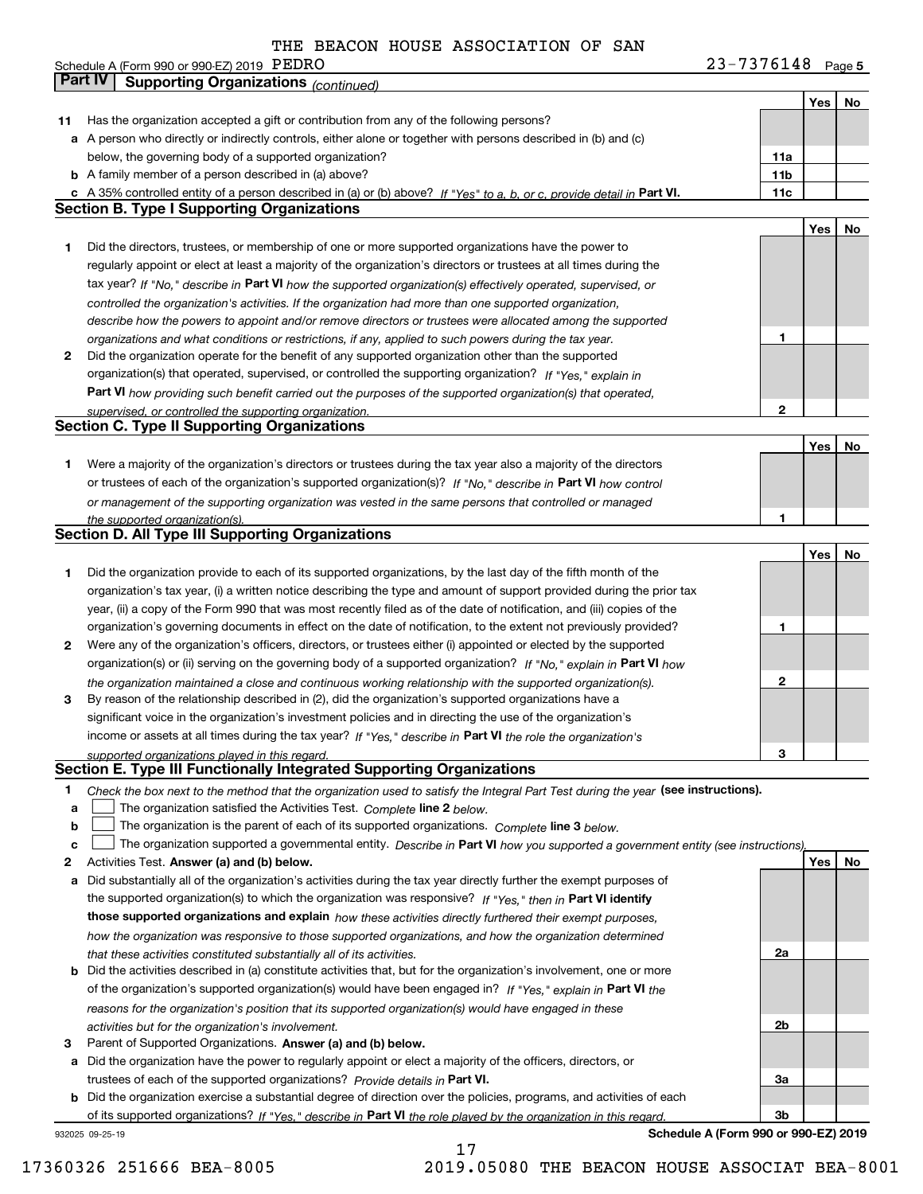| Schedule A (Form 990 or 990-EZ) 2019 $\rm~PEDRO$ | 7376148<br>$23 -$<br>Page 5 |
|--------------------------------------------------|-----------------------------|
|--------------------------------------------------|-----------------------------|

|        | Part IV<br><b>Supporting Organizations (continued)</b>                                                                                                                                                        |                 |     |    |
|--------|---------------------------------------------------------------------------------------------------------------------------------------------------------------------------------------------------------------|-----------------|-----|----|
|        |                                                                                                                                                                                                               |                 | Yes | No |
| 11     | Has the organization accepted a gift or contribution from any of the following persons?                                                                                                                       |                 |     |    |
|        | a A person who directly or indirectly controls, either alone or together with persons described in (b) and (c)                                                                                                |                 |     |    |
|        | below, the governing body of a supported organization?                                                                                                                                                        | 11a             |     |    |
|        | <b>b</b> A family member of a person described in (a) above?                                                                                                                                                  | 11 <sub>b</sub> |     |    |
|        | c A 35% controlled entity of a person described in (a) or (b) above? If "Yes" to a, b, or c, provide detail in Part VI.                                                                                       | 11c             |     |    |
|        | <b>Section B. Type I Supporting Organizations</b>                                                                                                                                                             |                 |     |    |
|        |                                                                                                                                                                                                               |                 | Yes | No |
| 1      | Did the directors, trustees, or membership of one or more supported organizations have the power to                                                                                                           |                 |     |    |
|        | regularly appoint or elect at least a majority of the organization's directors or trustees at all times during the                                                                                            |                 |     |    |
|        | tax year? If "No," describe in Part VI how the supported organization(s) effectively operated, supervised, or                                                                                                 |                 |     |    |
|        | controlled the organization's activities. If the organization had more than one supported organization,                                                                                                       |                 |     |    |
|        | describe how the powers to appoint and/or remove directors or trustees were allocated among the supported                                                                                                     | 1               |     |    |
| 2      | organizations and what conditions or restrictions, if any, applied to such powers during the tax year.<br>Did the organization operate for the benefit of any supported organization other than the supported |                 |     |    |
|        | organization(s) that operated, supervised, or controlled the supporting organization? If "Yes," explain in                                                                                                    |                 |     |    |
|        | Part VI how providing such benefit carried out the purposes of the supported organization(s) that operated,                                                                                                   |                 |     |    |
|        |                                                                                                                                                                                                               | $\mathbf{2}$    |     |    |
|        | supervised, or controlled the supporting organization.<br><b>Section C. Type II Supporting Organizations</b>                                                                                                  |                 |     |    |
|        |                                                                                                                                                                                                               |                 | Yes | No |
| 1      | Were a majority of the organization's directors or trustees during the tax year also a majority of the directors                                                                                              |                 |     |    |
|        | or trustees of each of the organization's supported organization(s)? If "No," describe in Part VI how control                                                                                                 |                 |     |    |
|        | or management of the supporting organization was vested in the same persons that controlled or managed                                                                                                        |                 |     |    |
|        | the supported organization(s).                                                                                                                                                                                | 1               |     |    |
|        | <b>Section D. All Type III Supporting Organizations</b>                                                                                                                                                       |                 |     |    |
|        |                                                                                                                                                                                                               |                 | Yes | No |
| 1      | Did the organization provide to each of its supported organizations, by the last day of the fifth month of the                                                                                                |                 |     |    |
|        | organization's tax year, (i) a written notice describing the type and amount of support provided during the prior tax                                                                                         |                 |     |    |
|        | year, (ii) a copy of the Form 990 that was most recently filed as of the date of notification, and (iii) copies of the                                                                                        |                 |     |    |
|        | organization's governing documents in effect on the date of notification, to the extent not previously provided?                                                                                              | 1               |     |    |
| 2      | Were any of the organization's officers, directors, or trustees either (i) appointed or elected by the supported                                                                                              |                 |     |    |
|        | organization(s) or (ii) serving on the governing body of a supported organization? If "No," explain in Part VI how                                                                                            |                 |     |    |
|        | the organization maintained a close and continuous working relationship with the supported organization(s).                                                                                                   | $\mathbf{2}$    |     |    |
| 3      | By reason of the relationship described in (2), did the organization's supported organizations have a                                                                                                         |                 |     |    |
|        | significant voice in the organization's investment policies and in directing the use of the organization's                                                                                                    |                 |     |    |
|        | income or assets at all times during the tax year? If "Yes," describe in Part VI the role the organization's                                                                                                  |                 |     |    |
|        | supported organizations played in this regard.<br>Section E. Type III Functionally Integrated Supporting Organizations                                                                                        | 3               |     |    |
|        |                                                                                                                                                                                                               |                 |     |    |
| 1      | Check the box next to the method that the organization used to satisfy the Integral Part Test during the year (see instructions).                                                                             |                 |     |    |
| a<br>b | The organization satisfied the Activities Test. Complete line 2 below.<br>The organization is the parent of each of its supported organizations. Complete line 3 below.                                       |                 |     |    |
| c      | The organization supported a governmental entity. Describe in Part VI how you supported a government entity (see instructions)                                                                                |                 |     |    |
| 2      | Activities Test. Answer (a) and (b) below.                                                                                                                                                                    |                 | Yes | No |
| а      | Did substantially all of the organization's activities during the tax year directly further the exempt purposes of                                                                                            |                 |     |    |
|        | the supported organization(s) to which the organization was responsive? If "Yes," then in Part VI identify                                                                                                    |                 |     |    |
|        | those supported organizations and explain how these activities directly furthered their exempt purposes,                                                                                                      |                 |     |    |
|        | how the organization was responsive to those supported organizations, and how the organization determined                                                                                                     |                 |     |    |
|        | that these activities constituted substantially all of its activities.                                                                                                                                        | 2a              |     |    |
| b      | Did the activities described in (a) constitute activities that, but for the organization's involvement, one or more                                                                                           |                 |     |    |
|        | of the organization's supported organization(s) would have been engaged in? If "Yes," explain in Part VI the                                                                                                  |                 |     |    |
|        | reasons for the organization's position that its supported organization(s) would have engaged in these                                                                                                        |                 |     |    |
|        | activities but for the organization's involvement.                                                                                                                                                            | 2b              |     |    |
| з      | Parent of Supported Organizations. Answer (a) and (b) below.                                                                                                                                                  |                 |     |    |
| а      | Did the organization have the power to regularly appoint or elect a majority of the officers, directors, or                                                                                                   |                 |     |    |
|        | trustees of each of the supported organizations? Provide details in Part VI.                                                                                                                                  | За              |     |    |
|        | <b>b</b> Did the organization exercise a substantial degree of direction over the policies, programs, and activities of each                                                                                  |                 |     |    |
|        | of its supported organizations? If "Yes," describe in Part VI the role played by the organization in this regard.                                                                                             | Зb              |     |    |

17

932025 09-25-19

**Schedule A (Form 990 or 990-EZ) 2019**

17360326 251666 BEA-8005 2019.05080 THE BEACON HOUSE ASSOCIAT BEA-8001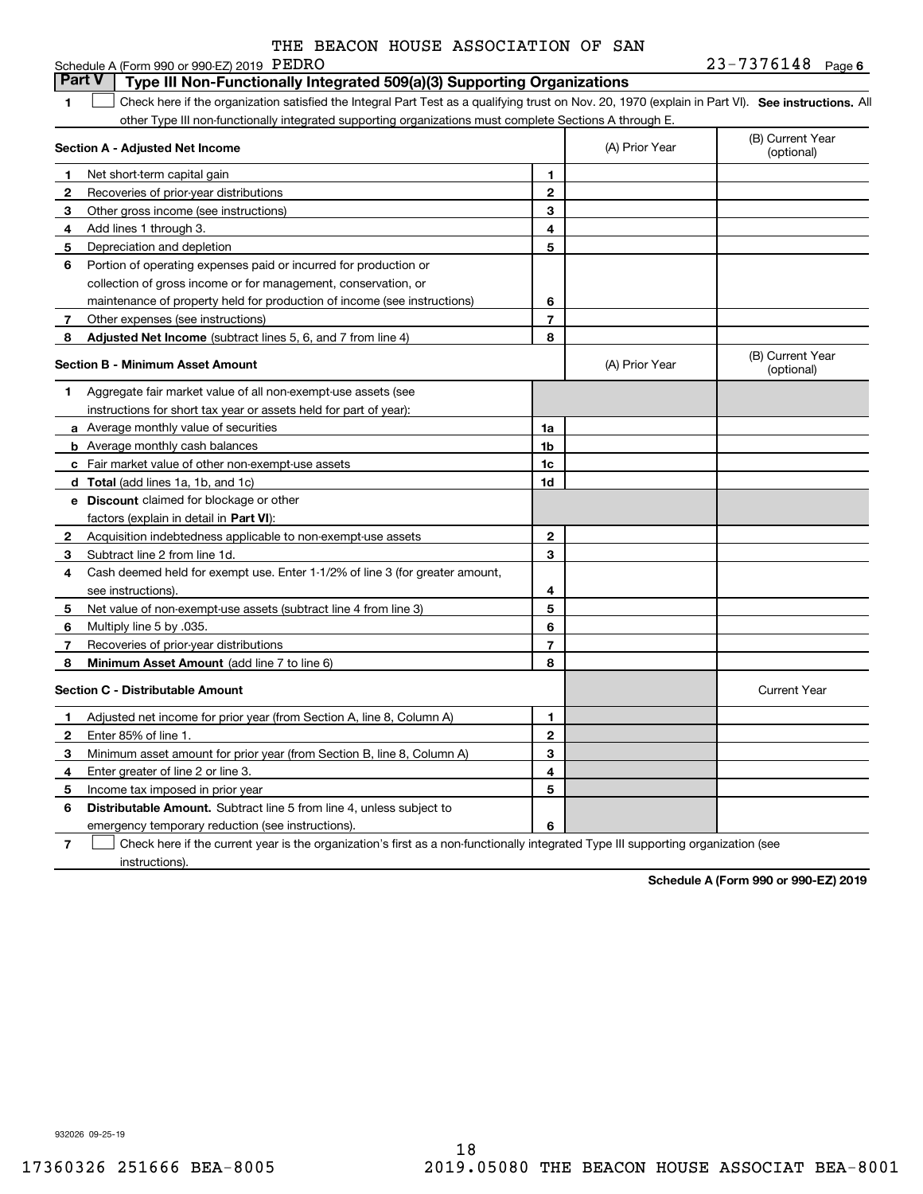|              | Schedule A (Form 990 or 990-EZ) 2019 PEDRO                                                                                                         |                |                                | $23 - 7376148$ Page 6          |
|--------------|----------------------------------------------------------------------------------------------------------------------------------------------------|----------------|--------------------------------|--------------------------------|
|              | <b>Part V</b><br>Type III Non-Functionally Integrated 509(a)(3) Supporting Organizations                                                           |                |                                |                                |
| 1            | Check here if the organization satisfied the Integral Part Test as a qualifying trust on Nov. 20, 1970 (explain in Part VI). See instructions. All |                |                                |                                |
|              | other Type III non-functionally integrated supporting organizations must complete Sections A through E.                                            |                |                                |                                |
|              | Section A - Adjusted Net Income                                                                                                                    | (A) Prior Year | (B) Current Year<br>(optional) |                                |
| 1            | Net short-term capital gain                                                                                                                        | 1              |                                |                                |
| 2            | Recoveries of prior-year distributions                                                                                                             | $\overline{2}$ |                                |                                |
| 3            | Other gross income (see instructions)                                                                                                              | 3              |                                |                                |
| 4            | Add lines 1 through 3.                                                                                                                             | 4              |                                |                                |
| 5            | Depreciation and depletion                                                                                                                         | 5              |                                |                                |
| 6            | Portion of operating expenses paid or incurred for production or                                                                                   |                |                                |                                |
|              | collection of gross income or for management, conservation, or                                                                                     |                |                                |                                |
|              | maintenance of property held for production of income (see instructions)                                                                           | 6              |                                |                                |
| 7            | Other expenses (see instructions)                                                                                                                  | $\overline{7}$ |                                |                                |
| 8            | Adjusted Net Income (subtract lines 5, 6, and 7 from line 4)                                                                                       | 8              |                                |                                |
|              | Section B - Minimum Asset Amount                                                                                                                   |                | (A) Prior Year                 | (B) Current Year<br>(optional) |
| 1            | Aggregate fair market value of all non-exempt-use assets (see                                                                                      |                |                                |                                |
|              | instructions for short tax year or assets held for part of year):                                                                                  |                |                                |                                |
|              | a Average monthly value of securities                                                                                                              | 1a             |                                |                                |
|              | <b>b</b> Average monthly cash balances                                                                                                             | 1b             |                                |                                |
|              | c Fair market value of other non-exempt-use assets                                                                                                 | 1c             |                                |                                |
|              | d Total (add lines 1a, 1b, and 1c)                                                                                                                 | 1d             |                                |                                |
|              | <b>e</b> Discount claimed for blockage or other                                                                                                    |                |                                |                                |
|              | factors (explain in detail in Part VI):                                                                                                            |                |                                |                                |
| 2            | Acquisition indebtedness applicable to non-exempt-use assets                                                                                       | $\mathbf{2}$   |                                |                                |
| З            | Subtract line 2 from line 1d.                                                                                                                      | 3              |                                |                                |
| 4            | Cash deemed held for exempt use. Enter 1-1/2% of line 3 (for greater amount,                                                                       |                |                                |                                |
|              | see instructions).                                                                                                                                 | 4              |                                |                                |
| 5            | Net value of non-exempt-use assets (subtract line 4 from line 3)                                                                                   | 5              |                                |                                |
| 6            | Multiply line 5 by .035.                                                                                                                           | 6              |                                |                                |
| 7            | Recoveries of prior-year distributions                                                                                                             | $\overline{7}$ |                                |                                |
| 8            | <b>Minimum Asset Amount</b> (add line 7 to line 6)                                                                                                 | 8              |                                |                                |
|              | <b>Section C - Distributable Amount</b>                                                                                                            |                |                                | <b>Current Year</b>            |
| 1            | Adjusted net income for prior year (from Section A, line 8, Column A)                                                                              | 1              |                                |                                |
| $\mathbf{2}$ | Enter 85% of line 1.                                                                                                                               | $\mathbf{2}$   |                                |                                |
| З            | Minimum asset amount for prior year (from Section B, line 8, Column A)                                                                             | 3              |                                |                                |
| 4            | Enter greater of line 2 or line 3.                                                                                                                 | 4              |                                |                                |
| 5            | Income tax imposed in prior year                                                                                                                   | 5              |                                |                                |
| 6            | <b>Distributable Amount.</b> Subtract line 5 from line 4, unless subject to                                                                        |                |                                |                                |
|              | emergency temporary reduction (see instructions).                                                                                                  | 6              |                                |                                |

**7**Check here if the current year is the organization's first as a non-functionally integrated Type III supporting organization (see instructions).

**Schedule A (Form 990 or 990-EZ) 2019**

932026 09-25-19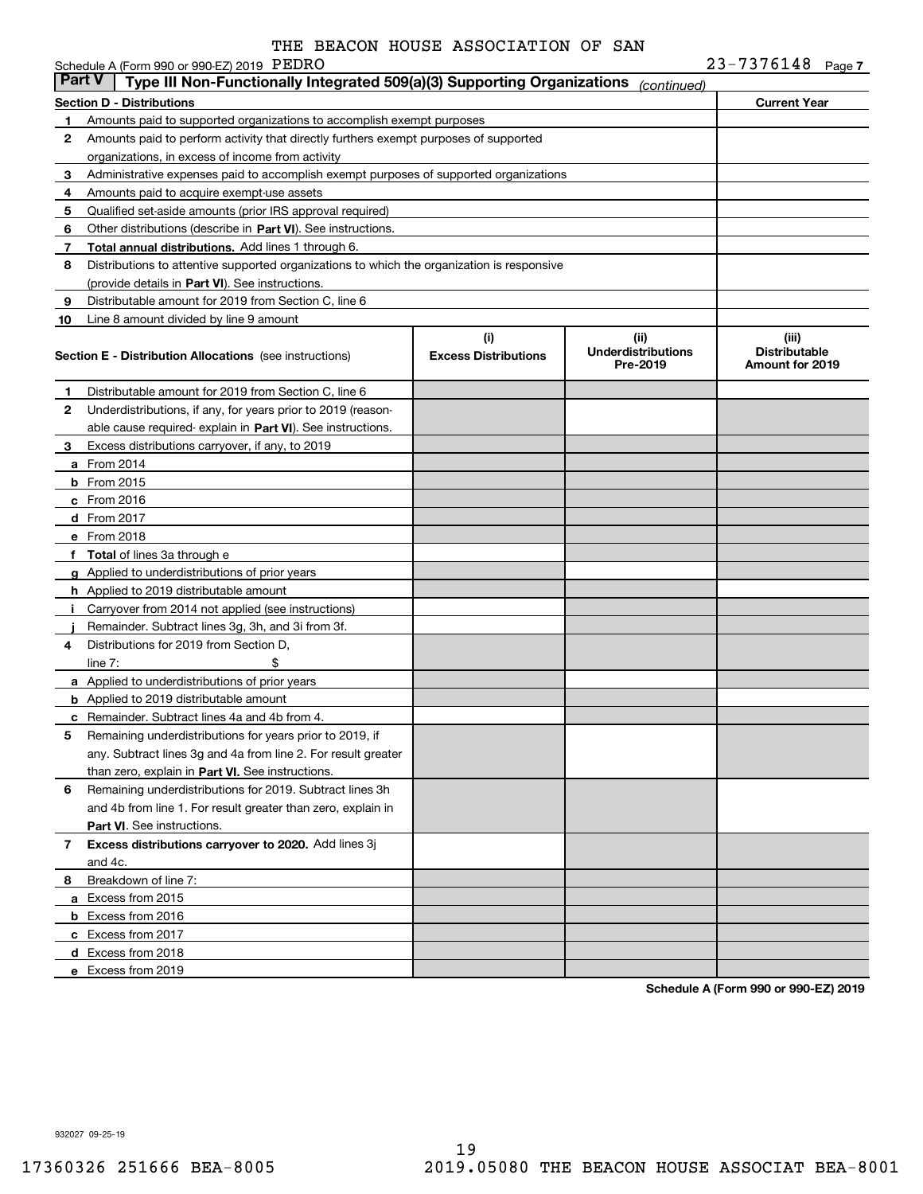|               | Schedule A (Form 990 or 990-EZ) 2019 PEDRO                                                 |                                    |                                               | 23-7376148 Page 7                                |
|---------------|--------------------------------------------------------------------------------------------|------------------------------------|-----------------------------------------------|--------------------------------------------------|
| <b>Part V</b> | Type III Non-Functionally Integrated 509(a)(3) Supporting Organizations                    |                                    | (continued)                                   |                                                  |
|               | <b>Section D - Distributions</b>                                                           |                                    |                                               | <b>Current Year</b>                              |
| 1             | Amounts paid to supported organizations to accomplish exempt purposes                      |                                    |                                               |                                                  |
| 2             | Amounts paid to perform activity that directly furthers exempt purposes of supported       |                                    |                                               |                                                  |
|               | organizations, in excess of income from activity                                           |                                    |                                               |                                                  |
| 3             | Administrative expenses paid to accomplish exempt purposes of supported organizations      |                                    |                                               |                                                  |
| 4             | Amounts paid to acquire exempt-use assets                                                  |                                    |                                               |                                                  |
| 5             | Qualified set-aside amounts (prior IRS approval required)                                  |                                    |                                               |                                                  |
| 6             | Other distributions (describe in Part VI). See instructions.                               |                                    |                                               |                                                  |
| 7             | Total annual distributions. Add lines 1 through 6.                                         |                                    |                                               |                                                  |
| 8             | Distributions to attentive supported organizations to which the organization is responsive |                                    |                                               |                                                  |
|               | (provide details in Part VI). See instructions.                                            |                                    |                                               |                                                  |
| 9             | Distributable amount for 2019 from Section C, line 6                                       |                                    |                                               |                                                  |
| 10            | Line 8 amount divided by line 9 amount                                                     |                                    |                                               |                                                  |
|               | <b>Section E - Distribution Allocations</b> (see instructions)                             | (i)<br><b>Excess Distributions</b> | (ii)<br><b>Underdistributions</b><br>Pre-2019 | (iii)<br><b>Distributable</b><br>Amount for 2019 |
| 1             | Distributable amount for 2019 from Section C, line 6                                       |                                    |                                               |                                                  |
| 2             | Underdistributions, if any, for years prior to 2019 (reason-                               |                                    |                                               |                                                  |
|               | able cause required- explain in Part VI). See instructions.                                |                                    |                                               |                                                  |
| 3             | Excess distributions carryover, if any, to 2019                                            |                                    |                                               |                                                  |
|               | a From 2014                                                                                |                                    |                                               |                                                  |
|               | <b>b</b> From 2015                                                                         |                                    |                                               |                                                  |
|               | c From 2016                                                                                |                                    |                                               |                                                  |
|               | d From 2017                                                                                |                                    |                                               |                                                  |
|               | e From 2018                                                                                |                                    |                                               |                                                  |
| f             | <b>Total</b> of lines 3a through e                                                         |                                    |                                               |                                                  |
|               | g Applied to underdistributions of prior years                                             |                                    |                                               |                                                  |
|               | <b>h</b> Applied to 2019 distributable amount                                              |                                    |                                               |                                                  |
|               | Carryover from 2014 not applied (see instructions)                                         |                                    |                                               |                                                  |
|               | Remainder. Subtract lines 3g, 3h, and 3i from 3f.                                          |                                    |                                               |                                                  |
| 4             | Distributions for 2019 from Section D.                                                     |                                    |                                               |                                                  |
|               | line $7:$                                                                                  |                                    |                                               |                                                  |
|               | a Applied to underdistributions of prior years                                             |                                    |                                               |                                                  |
|               | <b>b</b> Applied to 2019 distributable amount                                              |                                    |                                               |                                                  |
|               | <b>c</b> Remainder. Subtract lines 4a and 4b from 4.                                       |                                    |                                               |                                                  |
|               | Remaining underdistributions for years prior to 2019, if                                   |                                    |                                               |                                                  |
|               | any. Subtract lines 3g and 4a from line 2. For result greater                              |                                    |                                               |                                                  |
|               | than zero, explain in Part VI. See instructions.                                           |                                    |                                               |                                                  |
| 6             | Remaining underdistributions for 2019. Subtract lines 3h                                   |                                    |                                               |                                                  |
|               | and 4b from line 1. For result greater than zero, explain in                               |                                    |                                               |                                                  |
|               | Part VI. See instructions.                                                                 |                                    |                                               |                                                  |
| 7             | Excess distributions carryover to 2020. Add lines 3j                                       |                                    |                                               |                                                  |
|               | and 4c.                                                                                    |                                    |                                               |                                                  |
| 8             | Breakdown of line 7:                                                                       |                                    |                                               |                                                  |
|               | a Excess from 2015                                                                         |                                    |                                               |                                                  |
|               | <b>b</b> Excess from 2016                                                                  |                                    |                                               |                                                  |
|               | c Excess from 2017                                                                         |                                    |                                               |                                                  |
|               | d Excess from 2018                                                                         |                                    |                                               |                                                  |
|               | e Excess from 2019                                                                         |                                    |                                               |                                                  |
|               |                                                                                            |                                    |                                               |                                                  |

**Schedule A (Form 990 or 990-EZ) 2019**

932027 09-25-19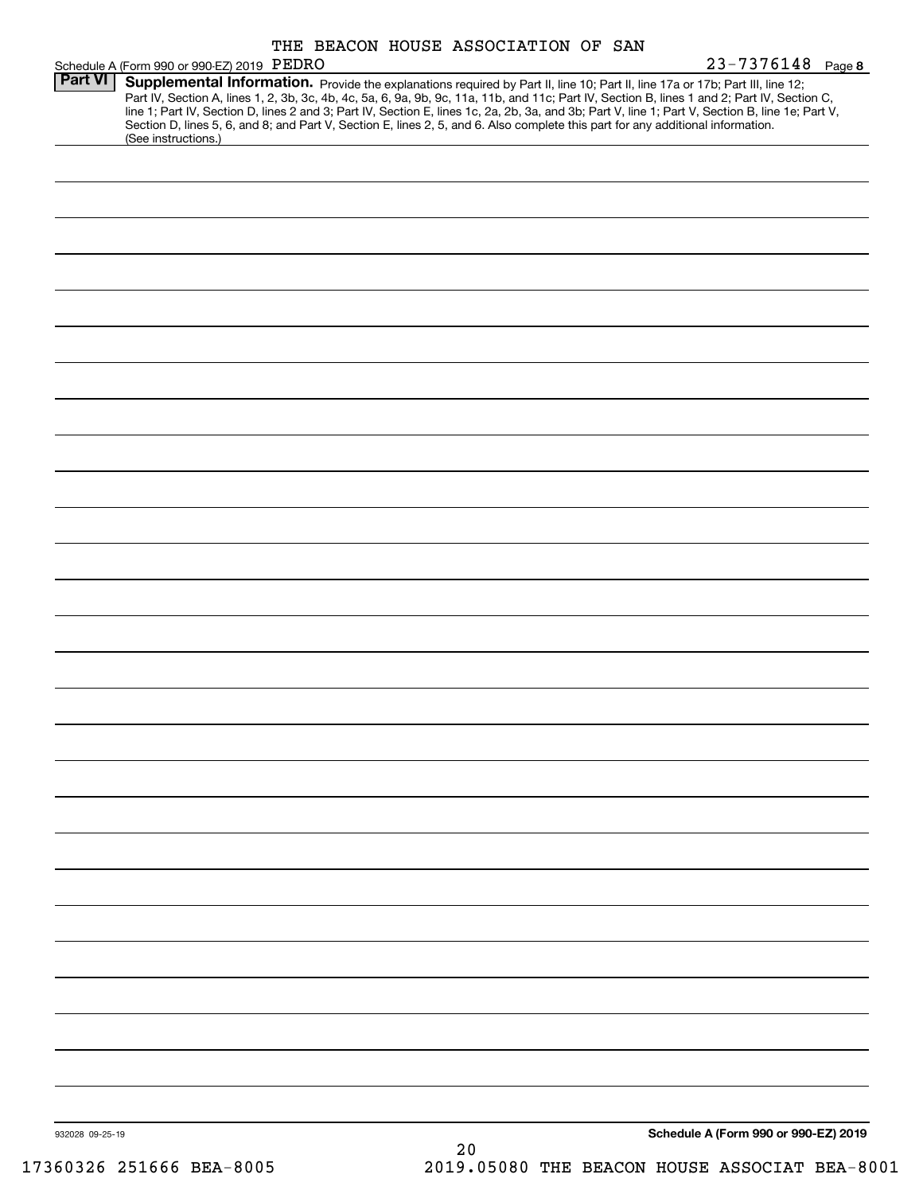|                | Schedule A (Form 990 or 990-EZ) 2019 PEDRO                                                                                                                                                                                                                                              | THE BEACON HOUSE ASSOCIATION OF SAN |  |  | $23 - 7376148$ Page 8                                                                                                                                                                                                                                                                            |
|----------------|-----------------------------------------------------------------------------------------------------------------------------------------------------------------------------------------------------------------------------------------------------------------------------------------|-------------------------------------|--|--|--------------------------------------------------------------------------------------------------------------------------------------------------------------------------------------------------------------------------------------------------------------------------------------------------|
| <b>Part VI</b> | Supplemental Information. Provide the explanations required by Part II, line 10; Part II, line 17a or 17b; Part III, line 12;<br>Section D, lines 5, 6, and 8; and Part V, Section E, lines 2, 5, and 6. Also complete this part for any additional information.<br>(See instructions.) |                                     |  |  | Part IV, Section A, lines 1, 2, 3b, 3c, 4b, 4c, 5a, 6, 9a, 9b, 9c, 11a, 11b, and 11c; Part IV, Section B, lines 1 and 2; Part IV, Section C,<br>line 1; Part IV, Section D, lines 2 and 3; Part IV, Section E, lines 1c, 2a, 2b, 3a, and 3b; Part V, line 1; Part V, Section B, line 1e; Part V, |
|                |                                                                                                                                                                                                                                                                                         |                                     |  |  |                                                                                                                                                                                                                                                                                                  |
|                |                                                                                                                                                                                                                                                                                         |                                     |  |  |                                                                                                                                                                                                                                                                                                  |
|                |                                                                                                                                                                                                                                                                                         |                                     |  |  |                                                                                                                                                                                                                                                                                                  |
|                |                                                                                                                                                                                                                                                                                         |                                     |  |  |                                                                                                                                                                                                                                                                                                  |
|                |                                                                                                                                                                                                                                                                                         |                                     |  |  |                                                                                                                                                                                                                                                                                                  |
|                |                                                                                                                                                                                                                                                                                         |                                     |  |  |                                                                                                                                                                                                                                                                                                  |
|                |                                                                                                                                                                                                                                                                                         |                                     |  |  |                                                                                                                                                                                                                                                                                                  |
|                |                                                                                                                                                                                                                                                                                         |                                     |  |  |                                                                                                                                                                                                                                                                                                  |
|                |                                                                                                                                                                                                                                                                                         |                                     |  |  |                                                                                                                                                                                                                                                                                                  |
|                |                                                                                                                                                                                                                                                                                         |                                     |  |  |                                                                                                                                                                                                                                                                                                  |
|                |                                                                                                                                                                                                                                                                                         |                                     |  |  |                                                                                                                                                                                                                                                                                                  |
|                |                                                                                                                                                                                                                                                                                         |                                     |  |  |                                                                                                                                                                                                                                                                                                  |
|                |                                                                                                                                                                                                                                                                                         |                                     |  |  |                                                                                                                                                                                                                                                                                                  |
|                |                                                                                                                                                                                                                                                                                         |                                     |  |  |                                                                                                                                                                                                                                                                                                  |
|                |                                                                                                                                                                                                                                                                                         |                                     |  |  |                                                                                                                                                                                                                                                                                                  |
|                |                                                                                                                                                                                                                                                                                         |                                     |  |  |                                                                                                                                                                                                                                                                                                  |
|                |                                                                                                                                                                                                                                                                                         |                                     |  |  |                                                                                                                                                                                                                                                                                                  |
|                |                                                                                                                                                                                                                                                                                         |                                     |  |  |                                                                                                                                                                                                                                                                                                  |
|                |                                                                                                                                                                                                                                                                                         |                                     |  |  |                                                                                                                                                                                                                                                                                                  |
|                |                                                                                                                                                                                                                                                                                         |                                     |  |  |                                                                                                                                                                                                                                                                                                  |
|                |                                                                                                                                                                                                                                                                                         |                                     |  |  |                                                                                                                                                                                                                                                                                                  |
|                |                                                                                                                                                                                                                                                                                         |                                     |  |  |                                                                                                                                                                                                                                                                                                  |
|                |                                                                                                                                                                                                                                                                                         |                                     |  |  |                                                                                                                                                                                                                                                                                                  |
|                |                                                                                                                                                                                                                                                                                         |                                     |  |  |                                                                                                                                                                                                                                                                                                  |
|                |                                                                                                                                                                                                                                                                                         |                                     |  |  |                                                                                                                                                                                                                                                                                                  |

**Schedule A (Form 990 or 990-EZ) 2019**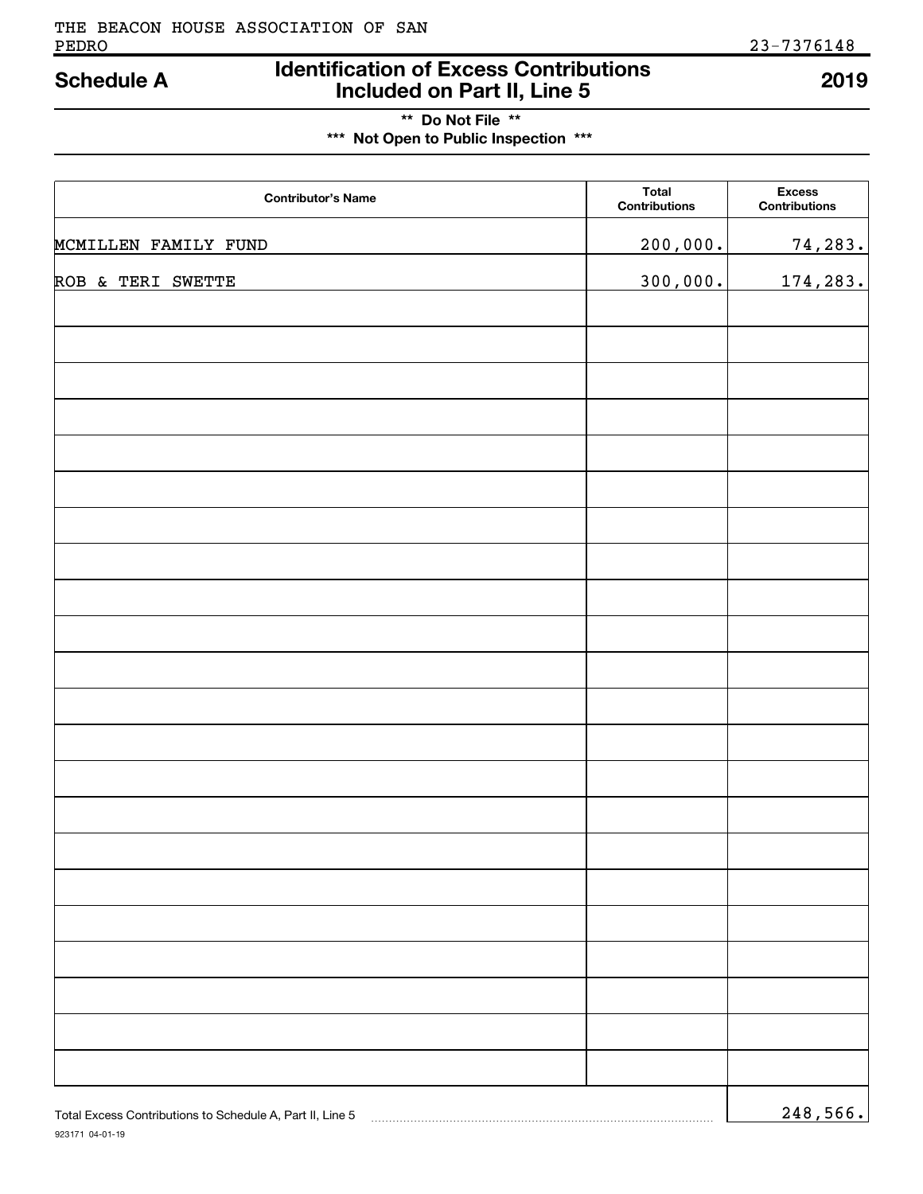## **Identification of Excess Contributions Included on Part II, Line 5 Schedule A 2019**

## **\*\* Do Not File \*\* \*\*\* Not Open to Public Inspection \*\*\***

| <b>Contributor's Name</b>                                 | <b>Total</b><br>Contributions | <b>Excess</b><br>Contributions |
|-----------------------------------------------------------|-------------------------------|--------------------------------|
| MCMILLEN FAMILY FUND                                      | 200,000.                      | 74,283.                        |
| ROB & TERI SWETTE                                         | 300,000.                      | 174,283.                       |
|                                                           |                               |                                |
|                                                           |                               |                                |
|                                                           |                               |                                |
|                                                           |                               |                                |
|                                                           |                               |                                |
|                                                           |                               |                                |
|                                                           |                               |                                |
|                                                           |                               |                                |
|                                                           |                               |                                |
|                                                           |                               |                                |
|                                                           |                               |                                |
|                                                           |                               |                                |
|                                                           |                               |                                |
|                                                           |                               |                                |
|                                                           |                               |                                |
|                                                           |                               |                                |
|                                                           |                               |                                |
|                                                           |                               |                                |
|                                                           |                               |                                |
|                                                           |                               |                                |
|                                                           |                               |                                |
| Total Excess Contributions to Schedule A, Part II, Line 5 |                               | 248,566.                       |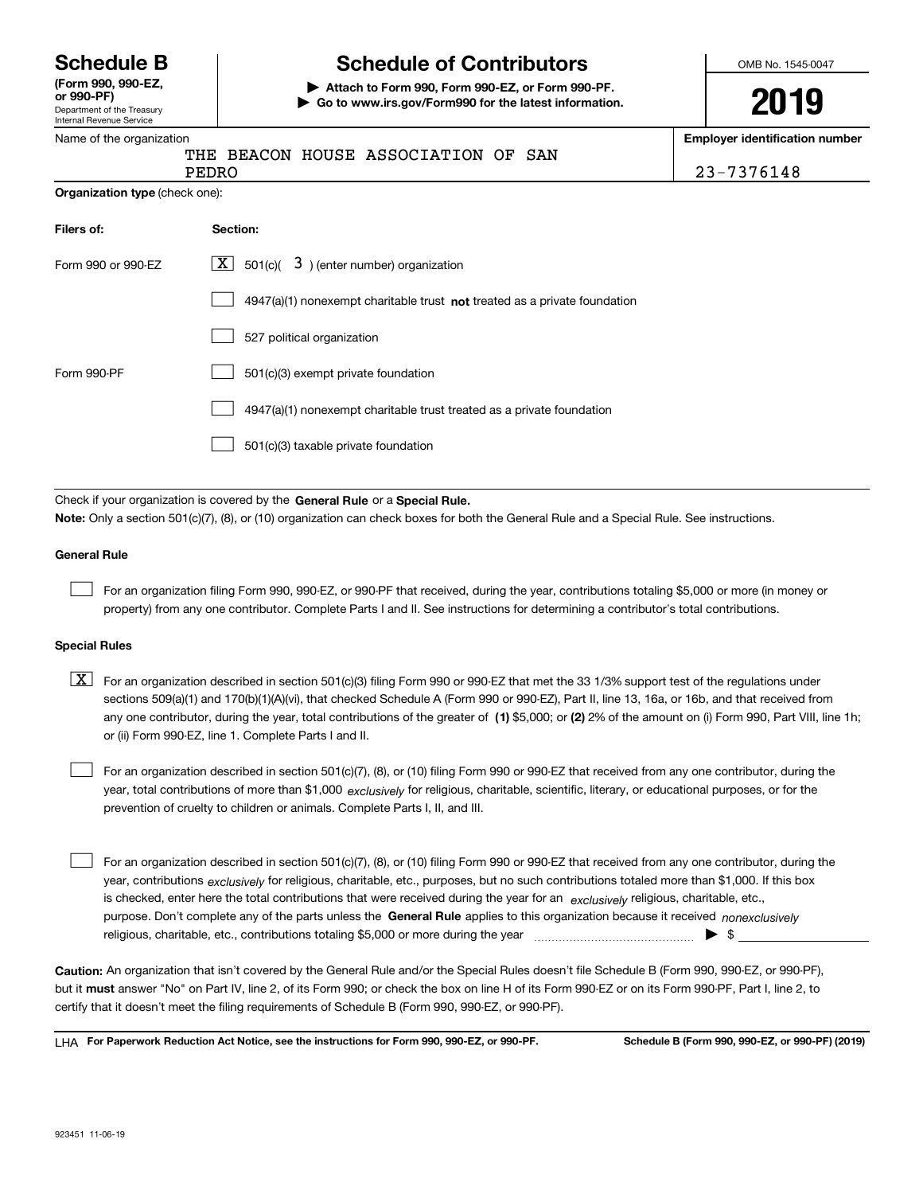Department of the Treasury Internal Revenue Service **(Form 990, 990-EZ, or 990-PF)**

## **Schedule B Schedule of Contributors**

**| Attach to Form 990, Form 990-EZ, or Form 990-PF. | Go to www.irs.gov/Form990 for the latest information.** OMB No. 1545-0047

# **2019**

**Employer identification number**

| Name of the organization       |                                                                                                                                                                                                                                                                                  | <b>Employer identification number</b> |
|--------------------------------|----------------------------------------------------------------------------------------------------------------------------------------------------------------------------------------------------------------------------------------------------------------------------------|---------------------------------------|
|                                | THE BEACON HOUSE ASSOCIATION OF<br>SAN<br>PEDRO                                                                                                                                                                                                                                  | 23-7376148                            |
| Organization type (check one): |                                                                                                                                                                                                                                                                                  |                                       |
| Filers of:                     | Section:                                                                                                                                                                                                                                                                         |                                       |
| Form 990 or 990-EZ             | $\boxed{\mathbf{X}}$ 501(c)( 3) (enter number) organization                                                                                                                                                                                                                      |                                       |
|                                | $4947(a)(1)$ nonexempt charitable trust not treated as a private foundation                                                                                                                                                                                                      |                                       |
|                                | 527 political organization                                                                                                                                                                                                                                                       |                                       |
| Form 990-PF                    | 501(c)(3) exempt private foundation                                                                                                                                                                                                                                              |                                       |
|                                | 4947(a)(1) nonexempt charitable trust treated as a private foundation                                                                                                                                                                                                            |                                       |
|                                | 501(c)(3) taxable private foundation                                                                                                                                                                                                                                             |                                       |
|                                |                                                                                                                                                                                                                                                                                  |                                       |
|                                | Check if your organization is covered by the General Rule or a Special Rule.<br>Note: Only a section 501(c)(7), (8), or (10) organization can check boxes for both the General Rule and a Special Rule. See instructions.                                                        |                                       |
|                                |                                                                                                                                                                                                                                                                                  |                                       |
| <b>General Rule</b>            |                                                                                                                                                                                                                                                                                  |                                       |
|                                | For an organization filing Form 990, 990-EZ, or 990-PF that received, during the year, contributions totaling \$5,000 or more (in money or<br>property) from any one contributor. Complete Parts I and II. See instructions for determining a contributor's total contributions. |                                       |
| <b>Special Rules</b>           |                                                                                                                                                                                                                                                                                  |                                       |

any one contributor, during the year, total contributions of the greater of  $\,$  (1) \$5,000; or **(2)** 2% of the amount on (i) Form 990, Part VIII, line 1h;  $\boxed{\textbf{X}}$  For an organization described in section 501(c)(3) filing Form 990 or 990-EZ that met the 33 1/3% support test of the regulations under sections 509(a)(1) and 170(b)(1)(A)(vi), that checked Schedule A (Form 990 or 990-EZ), Part II, line 13, 16a, or 16b, and that received from or (ii) Form 990-EZ, line 1. Complete Parts I and II.

year, total contributions of more than \$1,000 *exclusively* for religious, charitable, scientific, literary, or educational purposes, or for the For an organization described in section 501(c)(7), (8), or (10) filing Form 990 or 990-EZ that received from any one contributor, during the prevention of cruelty to children or animals. Complete Parts I, II, and III.

purpose. Don't complete any of the parts unless the **General Rule** applies to this organization because it received *nonexclusively* year, contributions <sub>exclusively</sub> for religious, charitable, etc., purposes, but no such contributions totaled more than \$1,000. If this box is checked, enter here the total contributions that were received during the year for an  $\;$ exclusively religious, charitable, etc., For an organization described in section 501(c)(7), (8), or (10) filing Form 990 or 990-EZ that received from any one contributor, during the religious, charitable, etc., contributions totaling \$5,000 or more during the year  $\Box$ — $\Box$  =  $\Box$  $\mathcal{L}^{\text{max}}$ 

**Caution:**  An organization that isn't covered by the General Rule and/or the Special Rules doesn't file Schedule B (Form 990, 990-EZ, or 990-PF),  **must** but it answer "No" on Part IV, line 2, of its Form 990; or check the box on line H of its Form 990-EZ or on its Form 990-PF, Part I, line 2, to certify that it doesn't meet the filing requirements of Schedule B (Form 990, 990-EZ, or 990-PF).

**For Paperwork Reduction Act Notice, see the instructions for Form 990, 990-EZ, or 990-PF. Schedule B (Form 990, 990-EZ, or 990-PF) (2019)** LHA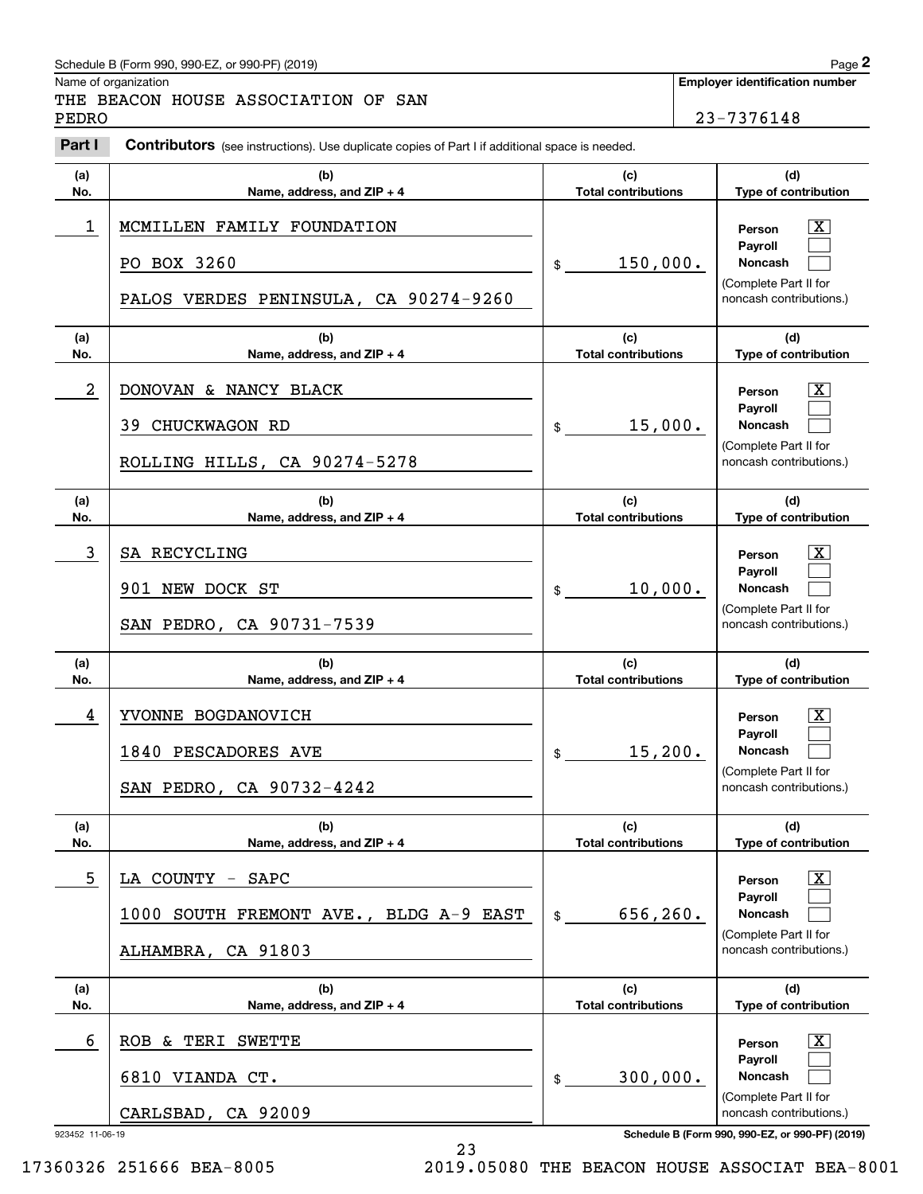## Schedule B (Form 990, 990-EZ, or 990-PF) (2019) **Page 2** and the state of the state of the state of the state of the state of the state of the state of the state of the state of the state of the state of the state of the s

Name of organization

**Employer identification number**

PEDRO 23-7376148

## THE BEACON HOUSE ASSOCIATION OF SAN

#### **(a)No.(b) Name, address, and ZIP + 4 (c)Total contributions (d)Type of contribution PersonPayrollNoncash (a)No.(b)Name, address, and ZIP + 4 (c)Total contributions (d)Type of contribution PersonPayrollNoncash (a)No.(b)Name, address, and ZIP + 4 (c)Total contributions (d)Type of contribution PersonPayrollNoncash (a) No.(b)Name, address, and ZIP + 4 (c) Total contributions (d)Type of contribution PersonPayrollNoncash (a) No.(b)Name, address, and ZIP + 4 (c)Total contributions (d)Type of contribution PersonPayrollNoncash(a)No.(b)Name, address, and ZIP + 4 (c)Total contributions (d)Type of contribution PersonPayrollNoncash Contributors** (see instructions). Use duplicate copies of Part I if additional space is needed. \$(Complete Part II for noncash contributions.) \$(Complete Part II for noncash contributions.) \$(Complete Part II for noncash contributions.) \$(Complete Part II for noncash contributions.) \$(Complete Part II for noncash contributions.) \$(Complete Part II for noncash contributions.) Chedule B (Form 990, 990-EZ, or 990-PF) (2019)<br> **2Part BEACON HOUSE ASSOCIATION OF SAN**<br> **2Part I Contributors** (see instructions). Use duplicate copies of Part I if additional space is needed.<br> **Part I Contributors** (  $\lceil \text{X} \rceil$  $\mathcal{L}^{\text{max}}$  $\mathcal{L}^{\text{max}}$  $\boxed{\text{X}}$  $\mathcal{L}^{\text{max}}$  $\mathcal{L}^{\text{max}}$  $|X|$  $\mathcal{L}^{\text{max}}$  $\mathcal{L}^{\text{max}}$  $|X|$  $\mathcal{L}^{\text{max}}$  $\mathcal{L}^{\text{max}}$  $|X|$  $\mathcal{L}^{\text{max}}$  $\mathcal{L}^{\text{max}}$  $\boxed{\text{X}}$  $\mathcal{L}^{\text{max}}$  $\mathcal{L}^{\text{max}}$ 1 X MCMILLEN FAMILY FOUNDATION 150,000. PO BOX 3260 PALOS VERDES PENINSULA, CA 90274-9260 2 X DONOVAN & NANCY BLACK 15,000. 39 CHUCKWAGON RD ROLLING HILLS, CA 90274-5278 3 SA RECYCLING THE SALE RECONSTITUTION OF THE SALE RECONSTITUTION OF THE SALE RECONSTITUTION OF THE SALE RECONSTITUTION OF THE SALE RECONSTITUTION OF THE SALE RECONSTITUTION OF THE SALE RECONSTITUTION OF THE SALE RECONSTIT 10,000. 901 NEW DOCK ST SAN PEDRO, CA 90731-7539 4 X YVONNE BOGDANOVICH 15,200. 1840 PESCADORES AVE SAN PEDRO, CA 90732-4242 5 X LA COUNTY - SAPC 656,260. 1000 SOUTH FREMONT AVE., BLDG A-9 EAST ALHAMBRA, CA 91803 6 X ROB & TERI SWETTE 300,000. 6810 VIANDA CT. CARLSBAD, CA 92009

923452 11-06-19 **Schedule B (Form 990, 990-EZ, or 990-PF) (2019)**

17360326 251666 BEA-8005 2019.05080 THE BEACON HOUSE ASSOCIAT BEA-8001

23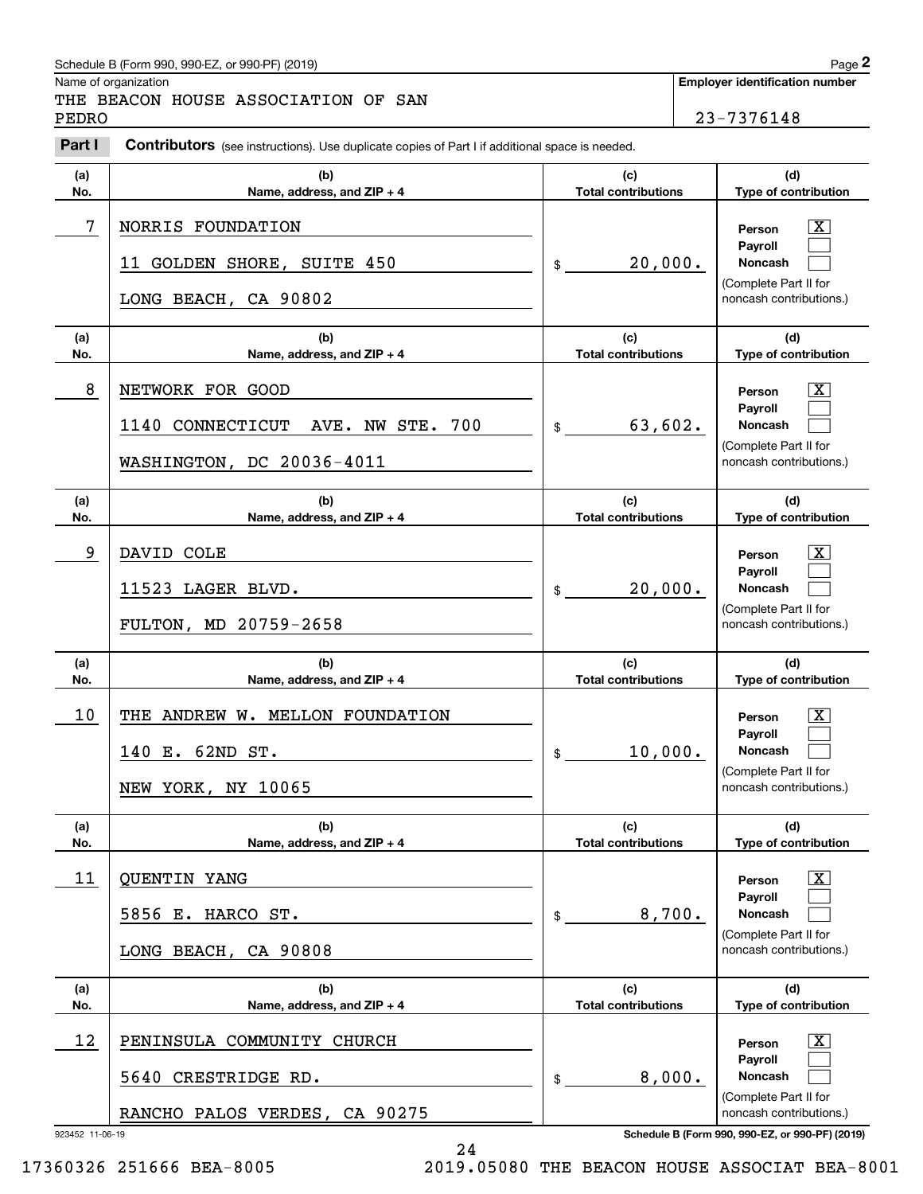## Schedule B (Form 990, 990-EZ, or 990-PF) (2019) Page 2

|            | Schedule B (Form 990, 990-EZ, or 990-PF) (2019)                                                       |                                                     |  | Page 2                                                                                                        |  |
|------------|-------------------------------------------------------------------------------------------------------|-----------------------------------------------------|--|---------------------------------------------------------------------------------------------------------------|--|
| PEDRO      | Name of organization<br>THE BEACON HOUSE ASSOCIATION OF SAN                                           | <b>Employer identification number</b><br>23-7376148 |  |                                                                                                               |  |
| Part I     | <b>Contributors</b> (see instructions). Use duplicate copies of Part I if additional space is needed. |                                                     |  |                                                                                                               |  |
| (a)<br>No. | (b)<br><b>Total contributions</b><br>Name, address, and ZIP + 4                                       |                                                     |  | (d)<br>Type of contribution                                                                                   |  |
| 7          | NORRIS FOUNDATION<br>20,000.<br>11 GOLDEN SHORE, SUITE 450<br>\$<br>LONG BEACH, CA 90802              |                                                     |  | $\mathbf{X}$<br>Person<br>Payroll<br>Noncash<br>(Complete Part II for<br>noncash contributions.)              |  |
| (a)<br>No. | (b)<br>Name, address, and ZIP + 4                                                                     | (c)<br><b>Total contributions</b>                   |  | (d)<br>Type of contribution                                                                                   |  |
| 8          | NETWORK FOR GOOD<br>1140 CONNECTICUT<br>700<br>AVE. NW STE.<br>WASHINGTON, DC 20036-4011              | 63,602.<br>$$\mathbb{S}$$                           |  | $\mathbf{X}$<br>Person<br>Payroll<br>Noncash<br>(Complete Part II for<br>noncash contributions.)              |  |
| (a)<br>No. | (b)<br>Name, address, and ZIP + 4                                                                     | (c)<br><b>Total contributions</b>                   |  | (d)<br>Type of contribution                                                                                   |  |
| 9          | DAVID COLE<br>11523 LAGER BLVD.<br>FULTON, MD 20759-2658                                              | 20,000.<br>\$                                       |  | $\mathbf{X}$<br>Person<br>Payroll<br>Noncash<br>(Complete Part II for<br>noncash contributions.)              |  |
| (a)<br>No. | (b)<br>Name, address, and ZIP + 4                                                                     | (c)<br><b>Total contributions</b>                   |  | (d)<br>Type of contribution                                                                                   |  |
| 10         | THE ANDREW W. MELLON FOUNDATION<br>140 E. 62ND ST.<br>NEW YORK, NY 10065                              | 10,000.<br>$\frac{1}{2}$                            |  | $\mathbf{X}$<br>Person<br><b>Payroll</b><br>Noncash<br>(Complete Part II for<br>noncash contributions.)       |  |
| (a)<br>No. | (b)<br>Name, address, and ZIP + 4                                                                     | (c)<br><b>Total contributions</b>                   |  | (d)<br>Type of contribution                                                                                   |  |
| 11         | <b>QUENTIN YANG</b><br>5856 E. HARCO ST.<br>LONG BEACH, CA 90808                                      | 8,700.<br>\$                                        |  | $\boxed{\text{X}}$<br>Person<br>Payroll<br><b>Noncash</b><br>(Complete Part II for<br>noncash contributions.) |  |
| (a)<br>No. | (b)<br>Name, address, and ZIP + 4                                                                     | (c)<br><b>Total contributions</b>                   |  | (d)<br>Type of contribution                                                                                   |  |
| 12         | PENINSULA COMMUNITY CHURCH<br>5640 CRESTRIDGE RD.<br>RANCHO PALOS VERDES, CA 90275                    | 8,000.<br>\$                                        |  | $\boxed{\text{X}}$<br>Person<br>Payroll<br><b>Noncash</b><br>(Complete Part II for<br>noncash contributions.) |  |

923452 11-06-19 **Schedule B (Form 990, 990-EZ, or 990-PF) (2019)**

24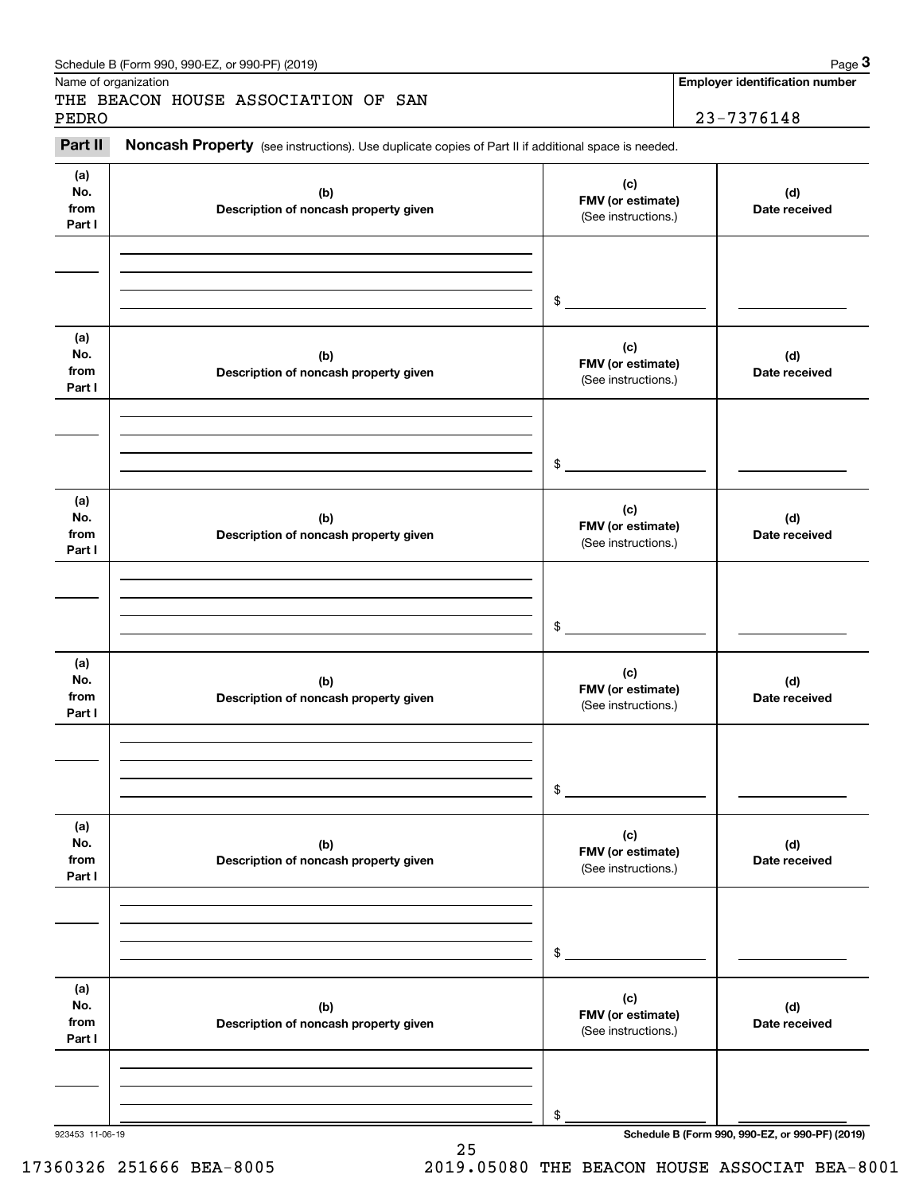|                              | Schedule B (Form 990, 990-EZ, or 990-PF) (2019)                                                     |                                                 | Page 3                                          |
|------------------------------|-----------------------------------------------------------------------------------------------------|-------------------------------------------------|-------------------------------------------------|
|                              | Name of organization<br>THE BEACON HOUSE ASSOCIATION OF SAN                                         |                                                 | <b>Employer identification number</b>           |
| PEDRO<br>Part II             | Noncash Property (see instructions). Use duplicate copies of Part II if additional space is needed. |                                                 | 23-7376148                                      |
|                              |                                                                                                     |                                                 |                                                 |
| (a)<br>No.<br>from<br>Part I | (b)<br>Description of noncash property given                                                        | (c)<br>FMV (or estimate)<br>(See instructions.) | (d)<br>Date received                            |
|                              |                                                                                                     |                                                 |                                                 |
|                              |                                                                                                     | \$                                              |                                                 |
|                              |                                                                                                     |                                                 |                                                 |
| (a)<br>No.<br>from<br>Part I | (b)<br>Description of noncash property given                                                        | (c)<br>FMV (or estimate)<br>(See instructions.) | (d)<br>Date received                            |
|                              |                                                                                                     |                                                 |                                                 |
|                              |                                                                                                     | \$                                              |                                                 |
| (a)<br>No.<br>from<br>Part I | (b)<br>Description of noncash property given                                                        | (c)<br>FMV (or estimate)<br>(See instructions.) | (d)<br>Date received                            |
|                              |                                                                                                     |                                                 |                                                 |
|                              |                                                                                                     | \$                                              |                                                 |
| (a)<br>No.<br>from<br>Part I | (b)<br>Description of noncash property given                                                        | (c)<br>FMV (or estimate)<br>(See instructions.) | (d)<br>Date received                            |
|                              |                                                                                                     |                                                 |                                                 |
|                              |                                                                                                     | \$                                              |                                                 |
| (a)<br>No.<br>from<br>Part I | (b)<br>Description of noncash property given                                                        | (c)<br>FMV (or estimate)<br>(See instructions.) | (d)<br>Date received                            |
|                              |                                                                                                     |                                                 |                                                 |
|                              |                                                                                                     | \$                                              |                                                 |
| (a)<br>No.<br>from<br>Part I | (b)<br>Description of noncash property given                                                        | (c)<br>FMV (or estimate)<br>(See instructions.) | (d)<br>Date received                            |
|                              |                                                                                                     |                                                 |                                                 |
|                              |                                                                                                     |                                                 |                                                 |
| 923453 11-06-19              |                                                                                                     | \$                                              | Schedule B (Form 990, 990-EZ, or 990-PF) (2019) |

25

17360326 251666 BEA-8005 2019.05080 THE BEACON HOUSE ASSOCIAT BEA-8001

923453 11-06-19 **Schedule B (Form 990, 990-EZ, or 990-PF) (2019)**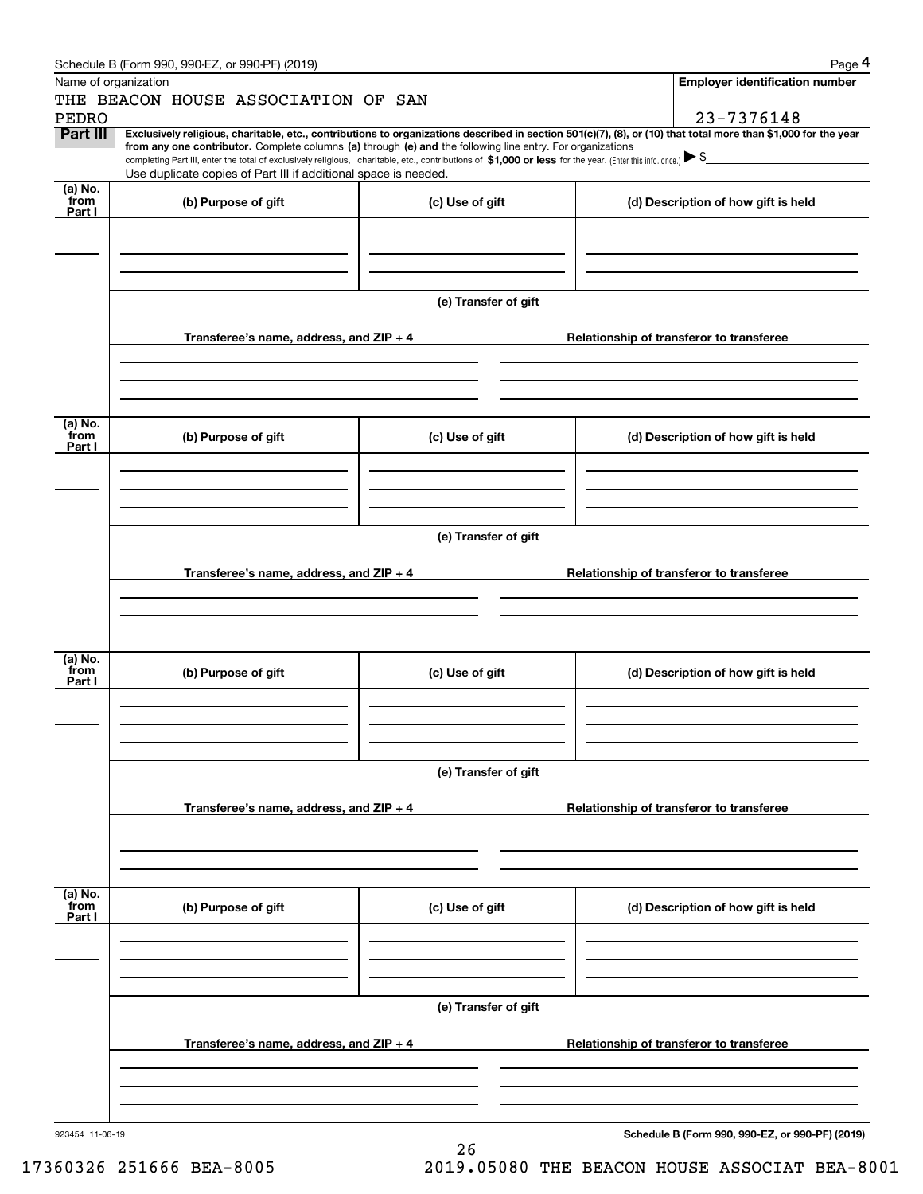| Schedule B (Form 990, 990-EZ, or 990-PF) (2019) | Page |
|-------------------------------------------------|------|
|-------------------------------------------------|------|

|                 | Schedule B (Form 990, 990-EZ, or 990-PF) (2019)                                                                                                                                                                                                                                                 |                      |                                          | Page 4                                          |  |  |  |
|-----------------|-------------------------------------------------------------------------------------------------------------------------------------------------------------------------------------------------------------------------------------------------------------------------------------------------|----------------------|------------------------------------------|-------------------------------------------------|--|--|--|
|                 | Name of organization                                                                                                                                                                                                                                                                            |                      |                                          | <b>Employer identification number</b>           |  |  |  |
|                 | THE BEACON HOUSE ASSOCIATION OF SAN                                                                                                                                                                                                                                                             |                      |                                          |                                                 |  |  |  |
| <b>PEDRO</b>    |                                                                                                                                                                                                                                                                                                 |                      |                                          | 23-7376148                                      |  |  |  |
| Part III        | Exclusively religious, charitable, etc., contributions to organizations described in section 501(c)(7), (8), or (10) that total more than \$1,000 for the year                                                                                                                                  |                      |                                          |                                                 |  |  |  |
|                 | from any one contributor. Complete columns (a) through (e) and the following line entry. For organizations<br>completing Part III, enter the total of exclusively religious, charitable, etc., contributions of \$1,000 or less for the year. (Enter this info. once.) $\blacktriangleright$ \$ |                      |                                          |                                                 |  |  |  |
|                 | Use duplicate copies of Part III if additional space is needed.                                                                                                                                                                                                                                 |                      |                                          |                                                 |  |  |  |
| (a) No.         |                                                                                                                                                                                                                                                                                                 |                      |                                          |                                                 |  |  |  |
| from<br>Part I  | (b) Purpose of gift                                                                                                                                                                                                                                                                             | (c) Use of gift      |                                          | (d) Description of how gift is held             |  |  |  |
|                 |                                                                                                                                                                                                                                                                                                 |                      |                                          |                                                 |  |  |  |
|                 |                                                                                                                                                                                                                                                                                                 |                      |                                          |                                                 |  |  |  |
|                 |                                                                                                                                                                                                                                                                                                 |                      |                                          |                                                 |  |  |  |
|                 |                                                                                                                                                                                                                                                                                                 |                      |                                          |                                                 |  |  |  |
|                 | (e) Transfer of gift                                                                                                                                                                                                                                                                            |                      |                                          |                                                 |  |  |  |
|                 |                                                                                                                                                                                                                                                                                                 |                      |                                          |                                                 |  |  |  |
|                 | Transferee's name, address, and ZIP + 4                                                                                                                                                                                                                                                         |                      |                                          | Relationship of transferor to transferee        |  |  |  |
|                 |                                                                                                                                                                                                                                                                                                 |                      |                                          |                                                 |  |  |  |
|                 |                                                                                                                                                                                                                                                                                                 |                      |                                          |                                                 |  |  |  |
|                 |                                                                                                                                                                                                                                                                                                 |                      |                                          |                                                 |  |  |  |
|                 |                                                                                                                                                                                                                                                                                                 |                      |                                          |                                                 |  |  |  |
| (a) No.<br>from |                                                                                                                                                                                                                                                                                                 |                      |                                          |                                                 |  |  |  |
| Part I          | (b) Purpose of gift                                                                                                                                                                                                                                                                             | (c) Use of gift      |                                          | (d) Description of how gift is held             |  |  |  |
|                 |                                                                                                                                                                                                                                                                                                 |                      |                                          |                                                 |  |  |  |
|                 |                                                                                                                                                                                                                                                                                                 |                      |                                          |                                                 |  |  |  |
|                 |                                                                                                                                                                                                                                                                                                 |                      |                                          |                                                 |  |  |  |
|                 |                                                                                                                                                                                                                                                                                                 |                      |                                          |                                                 |  |  |  |
|                 | (e) Transfer of gift                                                                                                                                                                                                                                                                            |                      |                                          |                                                 |  |  |  |
|                 |                                                                                                                                                                                                                                                                                                 |                      |                                          |                                                 |  |  |  |
|                 | Transferee's name, address, and ZIP + 4                                                                                                                                                                                                                                                         |                      |                                          | Relationship of transferor to transferee        |  |  |  |
|                 |                                                                                                                                                                                                                                                                                                 |                      |                                          |                                                 |  |  |  |
|                 |                                                                                                                                                                                                                                                                                                 |                      |                                          |                                                 |  |  |  |
|                 |                                                                                                                                                                                                                                                                                                 |                      |                                          |                                                 |  |  |  |
| (a) No.         |                                                                                                                                                                                                                                                                                                 |                      |                                          |                                                 |  |  |  |
| from            | (b) Purpose of gift                                                                                                                                                                                                                                                                             | (c) Use of gift      |                                          | (d) Description of how gift is held             |  |  |  |
| Part I          |                                                                                                                                                                                                                                                                                                 |                      |                                          |                                                 |  |  |  |
|                 |                                                                                                                                                                                                                                                                                                 |                      |                                          |                                                 |  |  |  |
|                 |                                                                                                                                                                                                                                                                                                 |                      |                                          |                                                 |  |  |  |
|                 |                                                                                                                                                                                                                                                                                                 |                      |                                          |                                                 |  |  |  |
|                 |                                                                                                                                                                                                                                                                                                 | (e) Transfer of gift |                                          |                                                 |  |  |  |
|                 |                                                                                                                                                                                                                                                                                                 |                      |                                          |                                                 |  |  |  |
|                 | Transferee's name, address, and $ZIP + 4$                                                                                                                                                                                                                                                       |                      | Relationship of transferor to transferee |                                                 |  |  |  |
|                 |                                                                                                                                                                                                                                                                                                 |                      |                                          |                                                 |  |  |  |
|                 |                                                                                                                                                                                                                                                                                                 |                      |                                          |                                                 |  |  |  |
|                 |                                                                                                                                                                                                                                                                                                 |                      |                                          |                                                 |  |  |  |
|                 |                                                                                                                                                                                                                                                                                                 |                      |                                          |                                                 |  |  |  |
| (a) No.<br>from |                                                                                                                                                                                                                                                                                                 |                      |                                          |                                                 |  |  |  |
| Part I          | (b) Purpose of gift                                                                                                                                                                                                                                                                             | (c) Use of gift      |                                          | (d) Description of how gift is held             |  |  |  |
|                 |                                                                                                                                                                                                                                                                                                 |                      |                                          |                                                 |  |  |  |
|                 |                                                                                                                                                                                                                                                                                                 |                      |                                          |                                                 |  |  |  |
|                 |                                                                                                                                                                                                                                                                                                 |                      |                                          |                                                 |  |  |  |
|                 |                                                                                                                                                                                                                                                                                                 |                      |                                          |                                                 |  |  |  |
|                 |                                                                                                                                                                                                                                                                                                 | (e) Transfer of gift |                                          |                                                 |  |  |  |
|                 |                                                                                                                                                                                                                                                                                                 |                      |                                          |                                                 |  |  |  |
|                 | Transferee's name, address, and ZIP + 4                                                                                                                                                                                                                                                         |                      |                                          | Relationship of transferor to transferee        |  |  |  |
|                 |                                                                                                                                                                                                                                                                                                 |                      |                                          |                                                 |  |  |  |
|                 |                                                                                                                                                                                                                                                                                                 |                      |                                          |                                                 |  |  |  |
|                 |                                                                                                                                                                                                                                                                                                 |                      |                                          |                                                 |  |  |  |
|                 |                                                                                                                                                                                                                                                                                                 |                      |                                          |                                                 |  |  |  |
| 923454 11-06-19 |                                                                                                                                                                                                                                                                                                 |                      |                                          | Schedule B (Form 990, 990-EZ, or 990-PF) (2019) |  |  |  |

26

17360326 251666 BEA-8005 2019.05080 THE BEACON HOUSE ASSOCIAT BEA-8001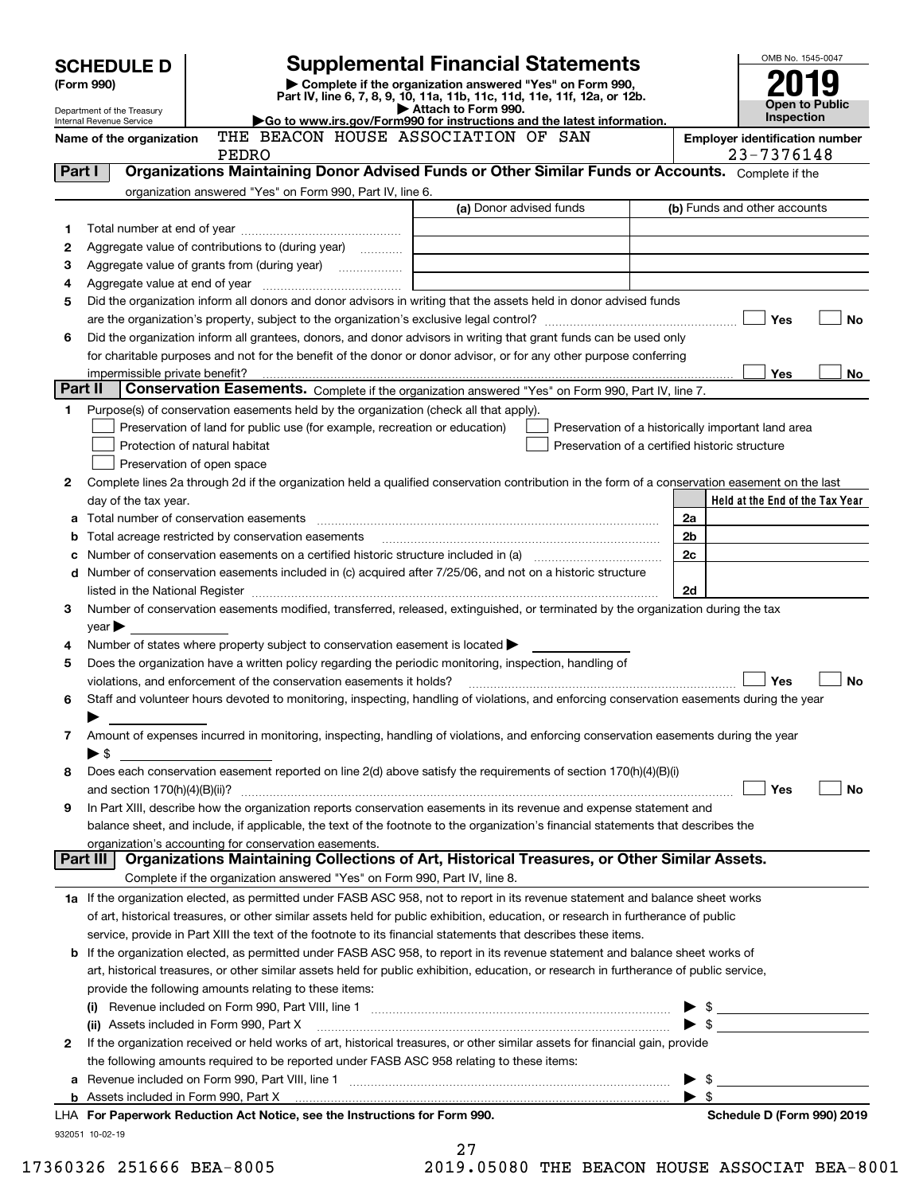|         | <b>SCHEDULE D</b>                                      |                                                                                                   | <b>Supplemental Financial Statements</b>                                                                                                                                                                                                            |                | OMB No. 1545-0047                                   |
|---------|--------------------------------------------------------|---------------------------------------------------------------------------------------------------|-----------------------------------------------------------------------------------------------------------------------------------------------------------------------------------------------------------------------------------------------------|----------------|-----------------------------------------------------|
|         | (Form 990)                                             |                                                                                                   | Complete if the organization answered "Yes" on Form 990,                                                                                                                                                                                            |                |                                                     |
|         |                                                        |                                                                                                   | Part IV, line 6, 7, 8, 9, 10, 11a, 11b, 11c, 11d, 11e, 11f, 12a, or 12b.<br>Attach to Form 990.                                                                                                                                                     |                | Open to Public                                      |
|         | Department of the Treasury<br>Internal Revenue Service |                                                                                                   | Go to www.irs.gov/Form990 for instructions and the latest information.                                                                                                                                                                              |                | Inspection                                          |
|         | Name of the organization                               | THE BEACON HOUSE ASSOCIATION OF SAN<br>PEDRO                                                      |                                                                                                                                                                                                                                                     |                | <b>Employer identification number</b><br>23-7376148 |
| Part I  |                                                        |                                                                                                   | Organizations Maintaining Donor Advised Funds or Other Similar Funds or Accounts. Complete if the                                                                                                                                                   |                |                                                     |
|         |                                                        | organization answered "Yes" on Form 990, Part IV, line 6.                                         |                                                                                                                                                                                                                                                     |                |                                                     |
|         |                                                        |                                                                                                   | (a) Donor advised funds                                                                                                                                                                                                                             |                | (b) Funds and other accounts                        |
| 1       |                                                        |                                                                                                   |                                                                                                                                                                                                                                                     |                |                                                     |
| 2       |                                                        | Aggregate value of contributions to (during year)                                                 |                                                                                                                                                                                                                                                     |                |                                                     |
| з<br>4  |                                                        |                                                                                                   |                                                                                                                                                                                                                                                     |                |                                                     |
| 5       |                                                        |                                                                                                   | Did the organization inform all donors and donor advisors in writing that the assets held in donor advised funds                                                                                                                                    |                |                                                     |
|         |                                                        |                                                                                                   |                                                                                                                                                                                                                                                     |                | Yes<br>No                                           |
| 6       |                                                        |                                                                                                   | Did the organization inform all grantees, donors, and donor advisors in writing that grant funds can be used only                                                                                                                                   |                |                                                     |
|         |                                                        |                                                                                                   | for charitable purposes and not for the benefit of the donor or donor advisor, or for any other purpose conferring                                                                                                                                  |                |                                                     |
|         | impermissible private benefit?                         |                                                                                                   |                                                                                                                                                                                                                                                     |                | Yes<br>No.                                          |
| Part II |                                                        |                                                                                                   | Conservation Easements. Complete if the organization answered "Yes" on Form 990, Part IV, line 7.                                                                                                                                                   |                |                                                     |
| 1       |                                                        | Purpose(s) of conservation easements held by the organization (check all that apply).             |                                                                                                                                                                                                                                                     |                |                                                     |
|         | Protection of natural habitat                          | Preservation of land for public use (for example, recreation or education)                        | Preservation of a historically important land area<br>Preservation of a certified historic structure                                                                                                                                                |                |                                                     |
|         | Preservation of open space                             |                                                                                                   |                                                                                                                                                                                                                                                     |                |                                                     |
| 2       |                                                        |                                                                                                   | Complete lines 2a through 2d if the organization held a qualified conservation contribution in the form of a conservation easement on the last                                                                                                      |                |                                                     |
|         | day of the tax year.                                   |                                                                                                   |                                                                                                                                                                                                                                                     |                | Held at the End of the Tax Year                     |
| а       | Total number of conservation easements                 |                                                                                                   |                                                                                                                                                                                                                                                     | 2a             |                                                     |
| b       |                                                        | Total acreage restricted by conservation easements                                                |                                                                                                                                                                                                                                                     | 2 <sub>b</sub> |                                                     |
| с       |                                                        |                                                                                                   | Number of conservation easements on a certified historic structure included in (a) manufacture included in (a)                                                                                                                                      | 2c             |                                                     |
| d       |                                                        |                                                                                                   | Number of conservation easements included in (c) acquired after 7/25/06, and not on a historic structure                                                                                                                                            |                |                                                     |
|         |                                                        |                                                                                                   | listed in the National Register [11, 1200] [12] The National Register [11, 1200] [12] The National Register [11, 1200] [12] The National Register [11, 1200] [12] The National Register [11, 1200] [12] The National Register                       | 2d             |                                                     |
| з       | year                                                   |                                                                                                   | Number of conservation easements modified, transferred, released, extinguished, or terminated by the organization during the tax                                                                                                                    |                |                                                     |
| 4       |                                                        | Number of states where property subject to conservation easement is located $\blacktriangleright$ |                                                                                                                                                                                                                                                     |                |                                                     |
| 5       |                                                        |                                                                                                   | Does the organization have a written policy regarding the periodic monitoring, inspection, handling of                                                                                                                                              |                |                                                     |
|         |                                                        | violations, and enforcement of the conservation easements it holds?                               |                                                                                                                                                                                                                                                     |                | Yes<br>No                                           |
| 6       |                                                        |                                                                                                   | Staff and volunteer hours devoted to monitoring, inspecting, handling of violations, and enforcing conservation easements during the year                                                                                                           |                |                                                     |
|         |                                                        |                                                                                                   |                                                                                                                                                                                                                                                     |                |                                                     |
| 7       |                                                        |                                                                                                   | Amount of expenses incurred in monitoring, inspecting, handling of violations, and enforcing conservation easements during the year                                                                                                                 |                |                                                     |
|         | $\blacktriangleright$ \$                               |                                                                                                   |                                                                                                                                                                                                                                                     |                |                                                     |
| 8       |                                                        |                                                                                                   | Does each conservation easement reported on line 2(d) above satisfy the requirements of section 170(h)(4)(B)(i)                                                                                                                                     |                | Yes<br>No                                           |
| 9       |                                                        |                                                                                                   | In Part XIII, describe how the organization reports conservation easements in its revenue and expense statement and                                                                                                                                 |                |                                                     |
|         |                                                        |                                                                                                   | balance sheet, and include, if applicable, the text of the footnote to the organization's financial statements that describes the                                                                                                                   |                |                                                     |
|         |                                                        | organization's accounting for conservation easements.                                             |                                                                                                                                                                                                                                                     |                |                                                     |
|         | Part III                                               |                                                                                                   | Organizations Maintaining Collections of Art, Historical Treasures, or Other Similar Assets.                                                                                                                                                        |                |                                                     |
|         |                                                        | Complete if the organization answered "Yes" on Form 990, Part IV, line 8.                         |                                                                                                                                                                                                                                                     |                |                                                     |
|         |                                                        |                                                                                                   | 1a If the organization elected, as permitted under FASB ASC 958, not to report in its revenue statement and balance sheet works                                                                                                                     |                |                                                     |
|         |                                                        |                                                                                                   | of art, historical treasures, or other similar assets held for public exhibition, education, or research in furtherance of public<br>service, provide in Part XIII the text of the footnote to its financial statements that describes these items. |                |                                                     |
| b       |                                                        |                                                                                                   | If the organization elected, as permitted under FASB ASC 958, to report in its revenue statement and balance sheet works of                                                                                                                         |                |                                                     |
|         |                                                        |                                                                                                   | art, historical treasures, or other similar assets held for public exhibition, education, or research in furtherance of public service,                                                                                                             |                |                                                     |
|         |                                                        | provide the following amounts relating to these items:                                            |                                                                                                                                                                                                                                                     |                |                                                     |
|         | (i)                                                    |                                                                                                   |                                                                                                                                                                                                                                                     |                |                                                     |
|         |                                                        |                                                                                                   |                                                                                                                                                                                                                                                     |                |                                                     |
| 2       |                                                        |                                                                                                   | If the organization received or held works of art, historical treasures, or other similar assets for financial gain, provide                                                                                                                        |                |                                                     |
|         |                                                        | the following amounts required to be reported under FASB ASC 958 relating to these items:         |                                                                                                                                                                                                                                                     |                |                                                     |
| а       |                                                        |                                                                                                   |                                                                                                                                                                                                                                                     |                |                                                     |
|         |                                                        | LHA For Paperwork Reduction Act Notice, see the Instructions for Form 990.                        |                                                                                                                                                                                                                                                     | \$             | Schedule D (Form 990) 2019                          |
|         | 932051 10-02-19                                        |                                                                                                   |                                                                                                                                                                                                                                                     |                |                                                     |
|         |                                                        |                                                                                                   | 27                                                                                                                                                                                                                                                  |                |                                                     |

| 17360326 251666 BEA-8005 | 2019.05080 THE BEACON HOUSE ASSOCIAT BEA-8001 |  |  |  |
|--------------------------|-----------------------------------------------|--|--|--|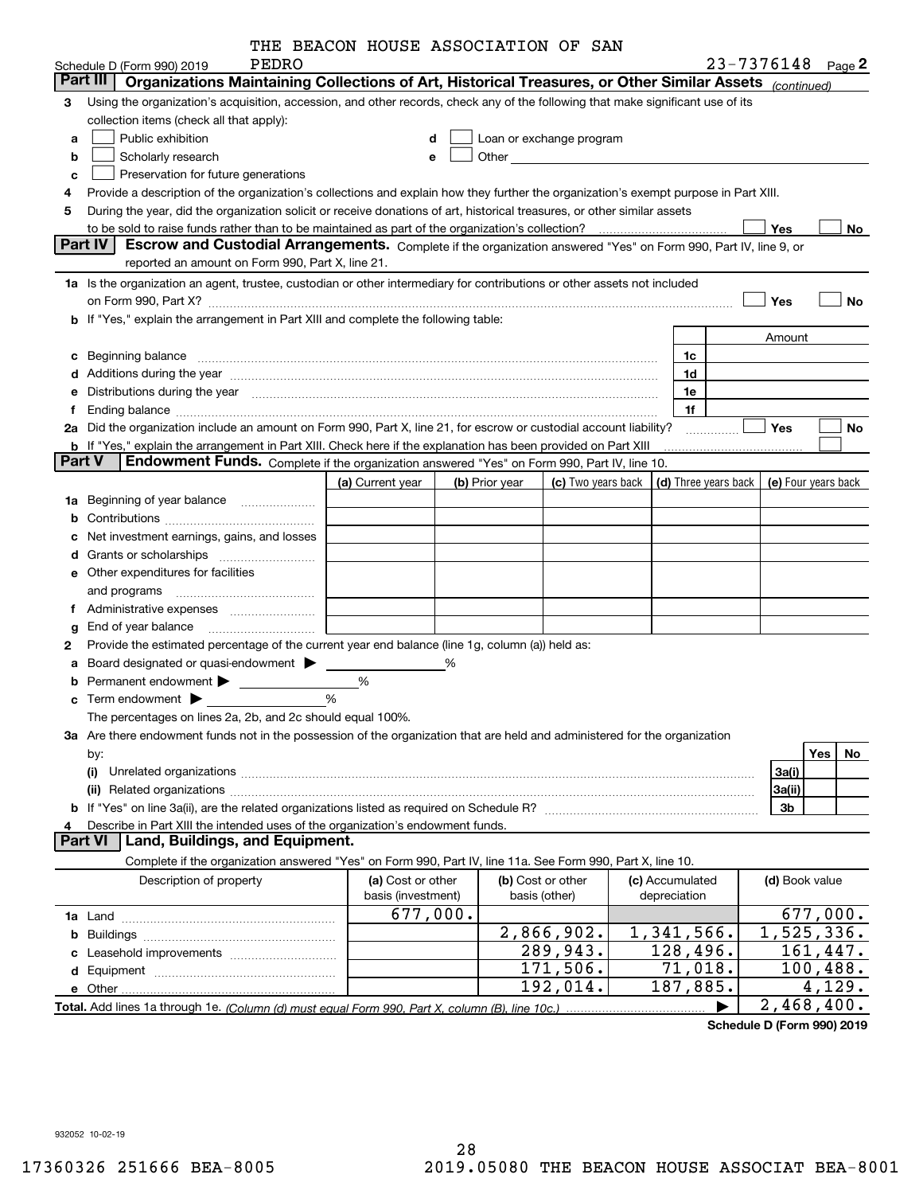| THE BEACON HOUSE ASSOCIATION OF SAN |
|-------------------------------------|
|                                     |

|        |                                                                                                                                                                                                                                      | THE BEACON HOUSE ASSOCIATION OF SAN |   |                |                                                                                                                                                                                                                               |                      |                            |           |
|--------|--------------------------------------------------------------------------------------------------------------------------------------------------------------------------------------------------------------------------------------|-------------------------------------|---|----------------|-------------------------------------------------------------------------------------------------------------------------------------------------------------------------------------------------------------------------------|----------------------|----------------------------|-----------|
|        | PEDRO<br>Schedule D (Form 990) 2019<br>Part III<br>Organizations Maintaining Collections of Art, Historical Treasures, or Other Similar Assets (continued)                                                                           |                                     |   |                |                                                                                                                                                                                                                               |                      | 23-7376148 Page 2          |           |
|        |                                                                                                                                                                                                                                      |                                     |   |                |                                                                                                                                                                                                                               |                      |                            |           |
| з      | Using the organization's acquisition, accession, and other records, check any of the following that make significant use of its                                                                                                      |                                     |   |                |                                                                                                                                                                                                                               |                      |                            |           |
|        | collection items (check all that apply):                                                                                                                                                                                             |                                     |   |                |                                                                                                                                                                                                                               |                      |                            |           |
| a      | Public exhibition                                                                                                                                                                                                                    | d                                   |   |                | Loan or exchange program                                                                                                                                                                                                      |                      |                            |           |
| b      | Scholarly research                                                                                                                                                                                                                   | e                                   |   |                | Other and the contract of the contract of the contract of the contract of the contract of the contract of the contract of the contract of the contract of the contract of the contract of the contract of the contract of the |                      |                            |           |
| c      | Preservation for future generations                                                                                                                                                                                                  |                                     |   |                |                                                                                                                                                                                                                               |                      |                            |           |
| 4      | Provide a description of the organization's collections and explain how they further the organization's exempt purpose in Part XIII.                                                                                                 |                                     |   |                |                                                                                                                                                                                                                               |                      |                            |           |
| 5      | During the year, did the organization solicit or receive donations of art, historical treasures, or other similar assets                                                                                                             |                                     |   |                |                                                                                                                                                                                                                               |                      |                            |           |
|        | <b>Part IV</b>                                                                                                                                                                                                                       |                                     |   |                |                                                                                                                                                                                                                               |                      | <b>Yes</b>                 | No        |
|        | Escrow and Custodial Arrangements. Complete if the organization answered "Yes" on Form 990, Part IV, line 9, or<br>reported an amount on Form 990, Part X, line 21.                                                                  |                                     |   |                |                                                                                                                                                                                                                               |                      |                            |           |
|        |                                                                                                                                                                                                                                      |                                     |   |                |                                                                                                                                                                                                                               |                      |                            |           |
|        | 1a Is the organization an agent, trustee, custodian or other intermediary for contributions or other assets not included                                                                                                             |                                     |   |                |                                                                                                                                                                                                                               |                      |                            |           |
|        |                                                                                                                                                                                                                                      |                                     |   |                |                                                                                                                                                                                                                               |                      | Yes                        | <b>No</b> |
|        | b If "Yes," explain the arrangement in Part XIII and complete the following table:                                                                                                                                                   |                                     |   |                |                                                                                                                                                                                                                               |                      |                            |           |
|        |                                                                                                                                                                                                                                      |                                     |   |                |                                                                                                                                                                                                                               |                      | Amount                     |           |
| c      | Beginning balance <b>with the control of the control of the control of the control of the control of the control of the control of the control of the control of the control of the control of the control of the control of the</b> |                                     |   |                |                                                                                                                                                                                                                               | 1c                   |                            |           |
|        | d Additions during the year manufactured and an account of a state of the year manufactured and a state of the                                                                                                                       |                                     |   |                |                                                                                                                                                                                                                               | 1d                   |                            |           |
|        | e Distributions during the year measurement contracts and all the basic of the contract of the contract of the                                                                                                                       |                                     |   |                |                                                                                                                                                                                                                               | 1e                   |                            |           |
| f      |                                                                                                                                                                                                                                      |                                     |   |                |                                                                                                                                                                                                                               | 1f                   |                            |           |
|        | 2a Did the organization include an amount on Form 990, Part X, line 21, for escrow or custodial account liability?                                                                                                                   |                                     |   |                |                                                                                                                                                                                                                               | .                    | <b>Yes</b>                 | No        |
|        | b If "Yes," explain the arrangement in Part XIII. Check here if the explanation has been provided on Part XIII                                                                                                                       |                                     |   |                |                                                                                                                                                                                                                               |                      |                            |           |
| Part V | Endowment Funds. Complete if the organization answered "Yes" on Form 990, Part IV, line 10.                                                                                                                                          |                                     |   |                |                                                                                                                                                                                                                               |                      |                            |           |
|        |                                                                                                                                                                                                                                      | (a) Current year                    |   | (b) Prior year | (c) Two years back                                                                                                                                                                                                            | (d) Three years back | (e) Four years back        |           |
|        | 1a Beginning of year balance                                                                                                                                                                                                         |                                     |   |                |                                                                                                                                                                                                                               |                      |                            |           |
| b      |                                                                                                                                                                                                                                      |                                     |   |                |                                                                                                                                                                                                                               |                      |                            |           |
|        | Net investment earnings, gains, and losses                                                                                                                                                                                           |                                     |   |                |                                                                                                                                                                                                                               |                      |                            |           |
| d      |                                                                                                                                                                                                                                      |                                     |   |                |                                                                                                                                                                                                                               |                      |                            |           |
|        | <b>e</b> Other expenditures for facilities                                                                                                                                                                                           |                                     |   |                |                                                                                                                                                                                                                               |                      |                            |           |
|        | and programs                                                                                                                                                                                                                         |                                     |   |                |                                                                                                                                                                                                                               |                      |                            |           |
|        | f Administrative expenses <i>manually community</i>                                                                                                                                                                                  |                                     |   |                |                                                                                                                                                                                                                               |                      |                            |           |
| g      |                                                                                                                                                                                                                                      |                                     |   |                |                                                                                                                                                                                                                               |                      |                            |           |
| 2      | Provide the estimated percentage of the current year end balance (line 1g, column (a)) held as:                                                                                                                                      |                                     |   |                |                                                                                                                                                                                                                               |                      |                            |           |
| а      |                                                                                                                                                                                                                                      |                                     | % |                |                                                                                                                                                                                                                               |                      |                            |           |
|        | Permanent endowment > 1                                                                                                                                                                                                              | %                                   |   |                |                                                                                                                                                                                                                               |                      |                            |           |
|        | Term endowment <b>Department</b>                                                                                                                                                                                                     | %                                   |   |                |                                                                                                                                                                                                                               |                      |                            |           |
|        | The percentages on lines 2a, 2b, and 2c should equal 100%.                                                                                                                                                                           |                                     |   |                |                                                                                                                                                                                                                               |                      |                            |           |
|        | 3a Are there endowment funds not in the possession of the organization that are held and administered for the organization                                                                                                           |                                     |   |                |                                                                                                                                                                                                                               |                      |                            |           |
|        | by:                                                                                                                                                                                                                                  |                                     |   |                |                                                                                                                                                                                                                               |                      | Yes                        | No        |
|        | (i)                                                                                                                                                                                                                                  |                                     |   |                |                                                                                                                                                                                                                               |                      | 3a(i)                      |           |
|        |                                                                                                                                                                                                                                      |                                     |   |                |                                                                                                                                                                                                                               |                      | 3a(ii)                     |           |
|        |                                                                                                                                                                                                                                      |                                     |   |                |                                                                                                                                                                                                                               |                      | 3b                         |           |
| 4      | Describe in Part XIII the intended uses of the organization's endowment funds.                                                                                                                                                       |                                     |   |                |                                                                                                                                                                                                                               |                      |                            |           |
|        | Land, Buildings, and Equipment.<br>Part VI                                                                                                                                                                                           |                                     |   |                |                                                                                                                                                                                                                               |                      |                            |           |
|        | Complete if the organization answered "Yes" on Form 990, Part IV, line 11a. See Form 990, Part X, line 10.                                                                                                                           |                                     |   |                |                                                                                                                                                                                                                               |                      |                            |           |
|        | Description of property                                                                                                                                                                                                              | (a) Cost or other                   |   |                | (b) Cost or other                                                                                                                                                                                                             | (c) Accumulated      | (d) Book value             |           |
|        |                                                                                                                                                                                                                                      | basis (investment)                  |   |                | basis (other)                                                                                                                                                                                                                 | depreciation         |                            |           |
|        |                                                                                                                                                                                                                                      | 677,000.                            |   |                |                                                                                                                                                                                                                               |                      | 677,000.                   |           |
| b      |                                                                                                                                                                                                                                      |                                     |   |                | 2,866,902.                                                                                                                                                                                                                    | 1,341,566.           | 1,525,336.                 |           |
|        |                                                                                                                                                                                                                                      |                                     |   |                | 289,943.                                                                                                                                                                                                                      | 128,496.             | 161,447.                   |           |
|        |                                                                                                                                                                                                                                      |                                     |   |                | 171,506.                                                                                                                                                                                                                      | 71,018.              | 100,488.                   |           |
|        | e Other.                                                                                                                                                                                                                             |                                     |   |                | 192,014.                                                                                                                                                                                                                      | 187,885.             | 4,129.                     |           |
|        |                                                                                                                                                                                                                                      |                                     |   |                |                                                                                                                                                                                                                               |                      | $\overline{2}$ , 468, 400. |           |

**Schedule D (Form 990) 2019**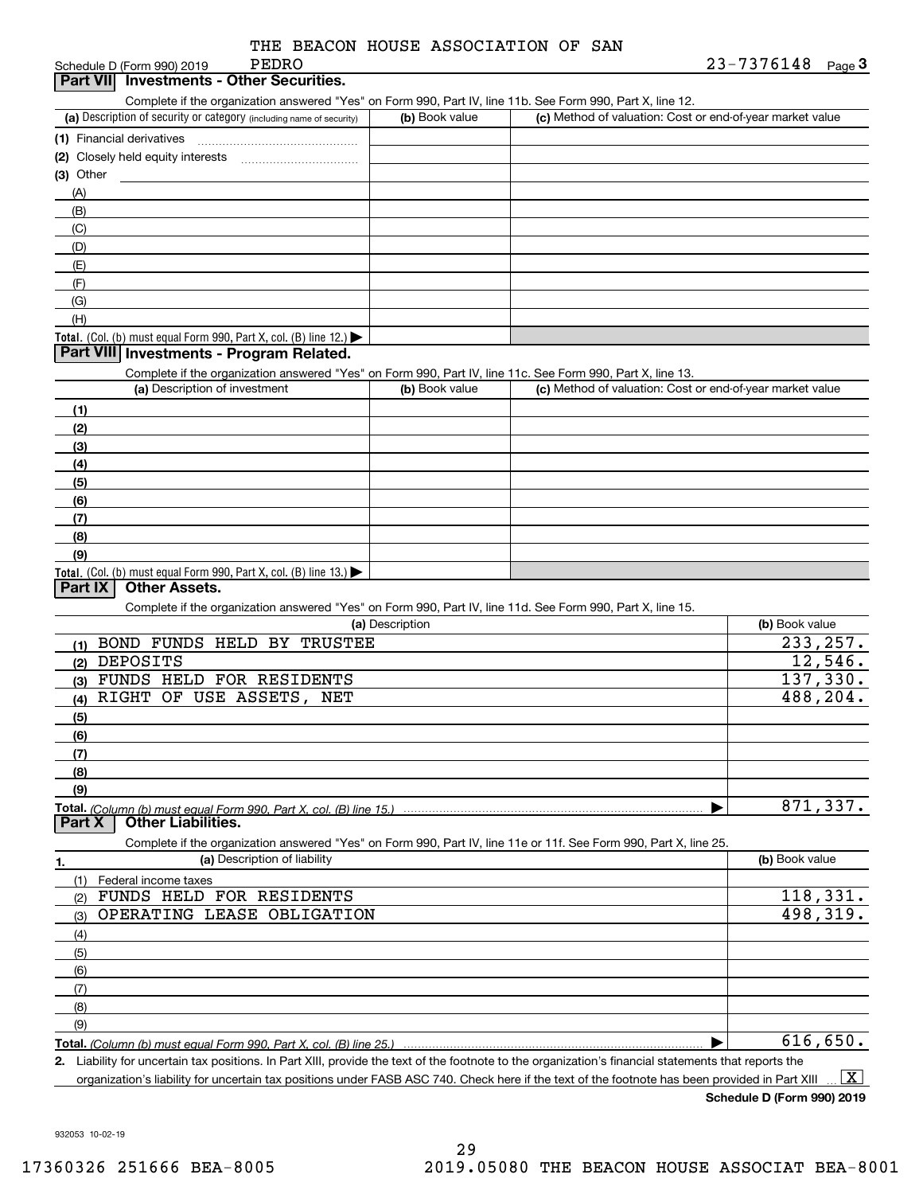Schedule D (Form 990) 2019

## **3Part VII Investments - Other Securities.**

Complete if the organization answered "Yes" on Form 990, Part IV, line 11b. See Form 990, Part X, line 12.

| (a) Description of security or category (including name of security) | (b) Book value | (c) Method of valuation: Cost or end-of-year market value |
|----------------------------------------------------------------------|----------------|-----------------------------------------------------------|
| (1) Financial derivatives                                            |                |                                                           |
| (2) Closely held equity interests                                    |                |                                                           |
| $(3)$ Other                                                          |                |                                                           |
| (A)                                                                  |                |                                                           |
| (B)                                                                  |                |                                                           |
| (C)                                                                  |                |                                                           |
| (D)                                                                  |                |                                                           |
| (E)                                                                  |                |                                                           |
| (F)                                                                  |                |                                                           |
| (G)                                                                  |                |                                                           |
| (H)                                                                  |                |                                                           |
| Total. (Col. (b) must equal Form 990, Part X, col. (B) line $12$ .)  |                |                                                           |

#### **Part VIII Investments - Program Related.**

Complete if the organization answered "Yes" on Form 990, Part IV, line 11c. See Form 990, Part X, line 13.

| (a) Description of investment                                                          | (b) Book value | (c) Method of valuation: Cost or end-of-year market value |
|----------------------------------------------------------------------------------------|----------------|-----------------------------------------------------------|
| (1)                                                                                    |                |                                                           |
| (2)                                                                                    |                |                                                           |
| $\frac{1}{2}$                                                                          |                |                                                           |
| (4)                                                                                    |                |                                                           |
| (5)                                                                                    |                |                                                           |
| (6)                                                                                    |                |                                                           |
| (7)                                                                                    |                |                                                           |
| (8)                                                                                    |                |                                                           |
| (9)                                                                                    |                |                                                           |
| Total. (Col. (b) must equal Form 990, Part X, col. (B) line 13.) $\blacktriangleright$ |                |                                                           |

## **Part IX Other Assets.**

Complete if the organization answered "Yes" on Form 990, Part IV, line 11d. See Form 990, Part X, line 15.

| (a) Description                                                                                                                                           | (b) Book value |
|-----------------------------------------------------------------------------------------------------------------------------------------------------------|----------------|
| BOND FUNDS HELD BY TRUSTEE                                                                                                                                | 233, 257.      |
| DEPOSITS<br>(2)                                                                                                                                           | 12,546.        |
| FUNDS HELD FOR RESIDENTS<br>(3)                                                                                                                           | 137,330.       |
| RIGHT OF USE ASSETS, NET<br>(4)                                                                                                                           | 488,204.       |
| (5)                                                                                                                                                       |                |
| (6)                                                                                                                                                       |                |
| (7)                                                                                                                                                       |                |
| (8)                                                                                                                                                       |                |
| (9)                                                                                                                                                       |                |
|                                                                                                                                                           | 871,337.       |
| <b>Other Liabilities.</b><br><b>Part X</b>                                                                                                                |                |
| $\mathbf{r} = \mathbf{r}$ , and $\mathbf{r} = \mathbf{r}$ , and $\mathbf{r} = \mathbf{r}$ , and $\mathbf{r} = \mathbf{r}$ , and $\mathbf{r} = \mathbf{r}$ |                |

Complete if the organization answered "Yes" on Form 990, Part IV, line 11e or 11f. See Form 990, Part X, line 25.

|     | (a) Description of liability | (b) Book value |
|-----|------------------------------|----------------|
|     | (1) Federal income taxes     |                |
| (2) | FUNDS HELD FOR RESIDENTS     | 118,331.       |
| (3) | OPERATING LEASE OBLIGATION   | 498,319.       |
| (4) |                              |                |
| (5) |                              |                |
| (6) |                              |                |
| (7) |                              |                |
| (8) |                              |                |
| (9) |                              |                |
|     |                              | 616,650.       |

**2.**Liability for uncertain tax positions. In Part XIII, provide the text of the footnote to the organization's financial statements that reports the organization's liability for uncertain tax positions under FASB ASC 740. Check here if the text of the footnote has been provided in Part XIII  $\boxed{\text{X}}$ 

**Schedule D (Form 990) 2019**

932053 10-02-19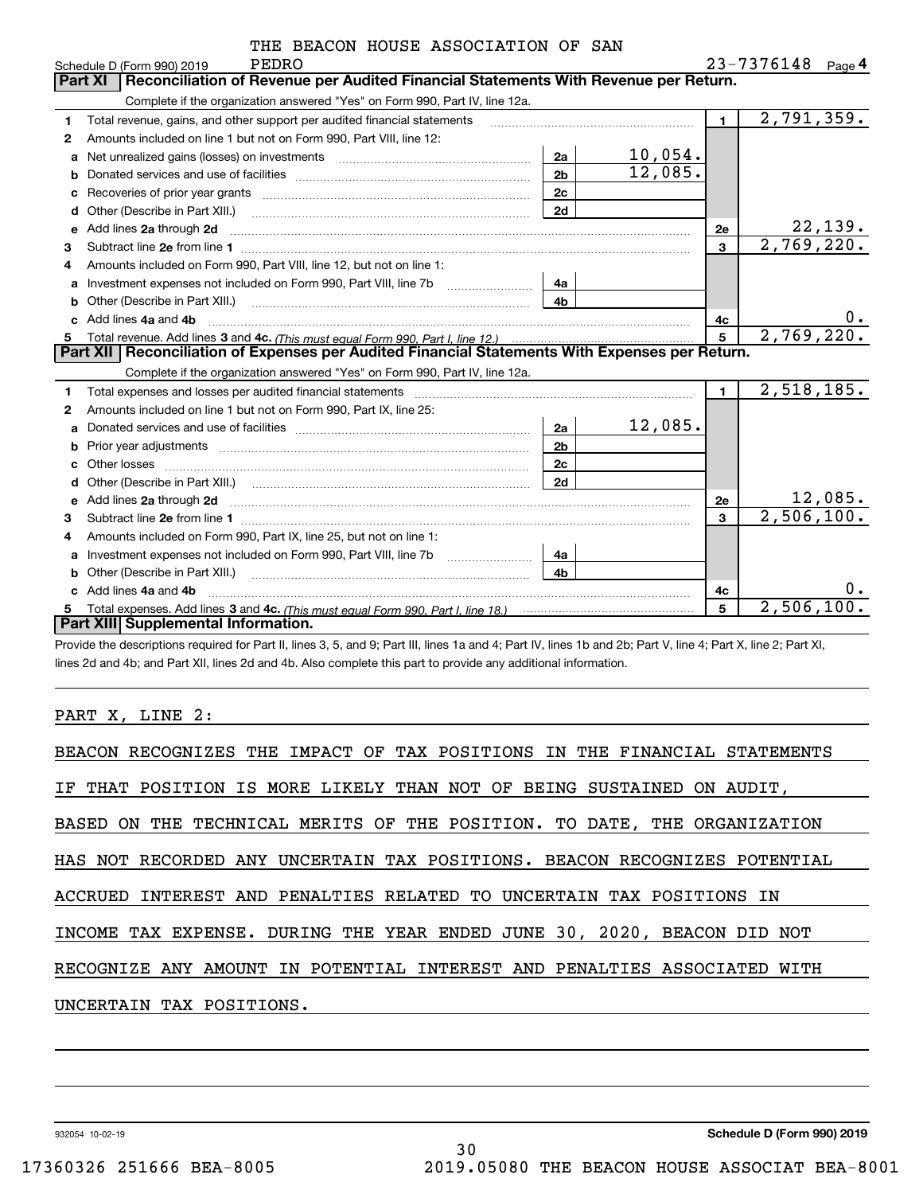|    | PEDRO<br>Schedule D (Form 990) 2019                                                                                                                                                                                                                                              |                           |                | 23-7376148<br>Page $4$   |
|----|----------------------------------------------------------------------------------------------------------------------------------------------------------------------------------------------------------------------------------------------------------------------------------|---------------------------|----------------|--------------------------|
|    | Reconciliation of Revenue per Audited Financial Statements With Revenue per Return.<br><b>Part XI</b>                                                                                                                                                                            |                           |                |                          |
|    | Complete if the organization answered "Yes" on Form 990, Part IV, line 12a.                                                                                                                                                                                                      |                           |                |                          |
| 1  | Total revenue, gains, and other support per audited financial statements                                                                                                                                                                                                         |                           | $\blacksquare$ | $\overline{2,791},359.$  |
| 2  | Amounts included on line 1 but not on Form 990, Part VIII, line 12:                                                                                                                                                                                                              |                           |                |                          |
| a  |                                                                                                                                                                                                                                                                                  | 10,054.<br>2a             |                |                          |
| b  |                                                                                                                                                                                                                                                                                  | 12,085.<br>2 <sub>b</sub> |                |                          |
| c  |                                                                                                                                                                                                                                                                                  | 2c                        |                |                          |
| d  | Other (Describe in Part XIII.)                                                                                                                                                                                                                                                   | 2d                        |                |                          |
| е  | Add lines 2a through 2d                                                                                                                                                                                                                                                          |                           | 2e             | <u>22,139.</u>           |
| З  |                                                                                                                                                                                                                                                                                  |                           | $\mathbf{3}$   | 2,769,220.               |
| 4  | Amounts included on Form 990, Part VIII, line 12, but not on line 1:                                                                                                                                                                                                             |                           |                |                          |
|    | Investment expenses not included on Form 990, Part VIII, line 7b                                                                                                                                                                                                                 | 4a                        |                |                          |
| b  |                                                                                                                                                                                                                                                                                  | 4 <sub>b</sub>            |                |                          |
| C. | Add lines 4a and 4b                                                                                                                                                                                                                                                              |                           | 4c             | 0.                       |
| 5  |                                                                                                                                                                                                                                                                                  |                           | 5              | 2,769,220.               |
|    |                                                                                                                                                                                                                                                                                  |                           |                |                          |
|    | Part XII   Reconciliation of Expenses per Audited Financial Statements With Expenses per Return.                                                                                                                                                                                 |                           |                |                          |
|    | Complete if the organization answered "Yes" on Form 990, Part IV, line 12a.                                                                                                                                                                                                      |                           |                |                          |
| 1. | Total expenses and losses per audited financial statements [11] [12] contraction control in the statements [11] [12] and the statements [12] and the statements [12] and the statements [12] and the statements [12] and the s                                                   |                           | $\blacksquare$ | 2,518,185.               |
| 2  | Amounts included on line 1 but not on Form 990, Part IX, line 25:                                                                                                                                                                                                                |                           |                |                          |
| a  |                                                                                                                                                                                                                                                                                  | 12,085.<br>2a             |                |                          |
| b  | Prior year adjustments <i>communically contained and all examples the contained and all examples the contained and all examples the contained and all examples the contained and all examples the contained and all examples the</i>                                             | 2 <sub>b</sub>            |                |                          |
| C  |                                                                                                                                                                                                                                                                                  | 2c                        |                |                          |
|    | Other (Describe in Part XIII.) (COLORGIAN CONTEXT) and Contact the Contract of Contact Text Contact Text Contact Text Contact Text Contact Text Contact Text Contact Text Contact Text Contact Text Contact Text Contact Text                                                    | 2d                        |                |                          |
| e  | Add lines 2a through 2d <b>[10]</b> [20] <b>All (20)</b> [20] [20] <b>All (20)</b> [30] <b>All (20)</b> [30] <b>All (20)</b> [30] <b>All (20)</b> [30] <b>All (20)</b> [30] <b>All (20)</b> [30] <b>All (20)</b> [30] <b>All (20)</b> [30] <b>All (20) All (20) All (20) All</b> |                           | <b>2e</b>      | 12,085.                  |
| 3  |                                                                                                                                                                                                                                                                                  |                           | 3              | $\overline{2,506,100}$ . |
| 4  | Amounts included on Form 990, Part IX, line 25, but not on line 1:                                                                                                                                                                                                               |                           |                |                          |
| a  |                                                                                                                                                                                                                                                                                  | 4a                        |                |                          |
|    | Other (Describe in Part XIII.) <b>Construction Contract Construction</b> Chern Construction Construction Construction                                                                                                                                                            | 4 <sub>b</sub>            |                |                          |
|    | Add lines 4a and 4b                                                                                                                                                                                                                                                              |                           | 4c             | 0.                       |
| 5  | Part XIII Supplemental Information.                                                                                                                                                                                                                                              |                           | 5              | 2,506,100.               |

Provide the descriptions required for Part II, lines 3, 5, and 9; Part III, lines 1a and 4; Part IV, lines 1b and 2b; Part V, line 4; Part X, line 2; Part XI, lines 2d and 4b; and Part XII, lines 2d and 4b. Also complete this part to provide any additional information.

## PART X, LINE 2:

| BEACON RECOGNIZES THE IMPACT OF TAX POSITIONS IN THE FINANCIAL STATEMENTS |
|---------------------------------------------------------------------------|
| IF THAT POSITION IS MORE LIKELY THAN NOT OF BEING SUSTAINED ON AUDIT,     |
| BASED ON THE TECHNICAL MERITS OF THE POSITION. TO DATE, THE ORGANIZATION  |
| HAS NOT RECORDED ANY UNCERTAIN TAX POSITIONS. BEACON RECOGNIZES POTENTIAL |
| ACCRUED INTEREST AND PENALTIES RELATED TO UNCERTAIN TAX POSITIONS IN      |
| INCOME TAX EXPENSE. DURING THE YEAR ENDED JUNE 30, 2020, BEACON DID NOT   |
| RECOGNIZE ANY AMOUNT IN POTENTIAL INTEREST AND PENALTIES ASSOCIATED WITH  |
| UNCERTAIN TAX POSITIONS.                                                  |
|                                                                           |

30

932054 10-02-19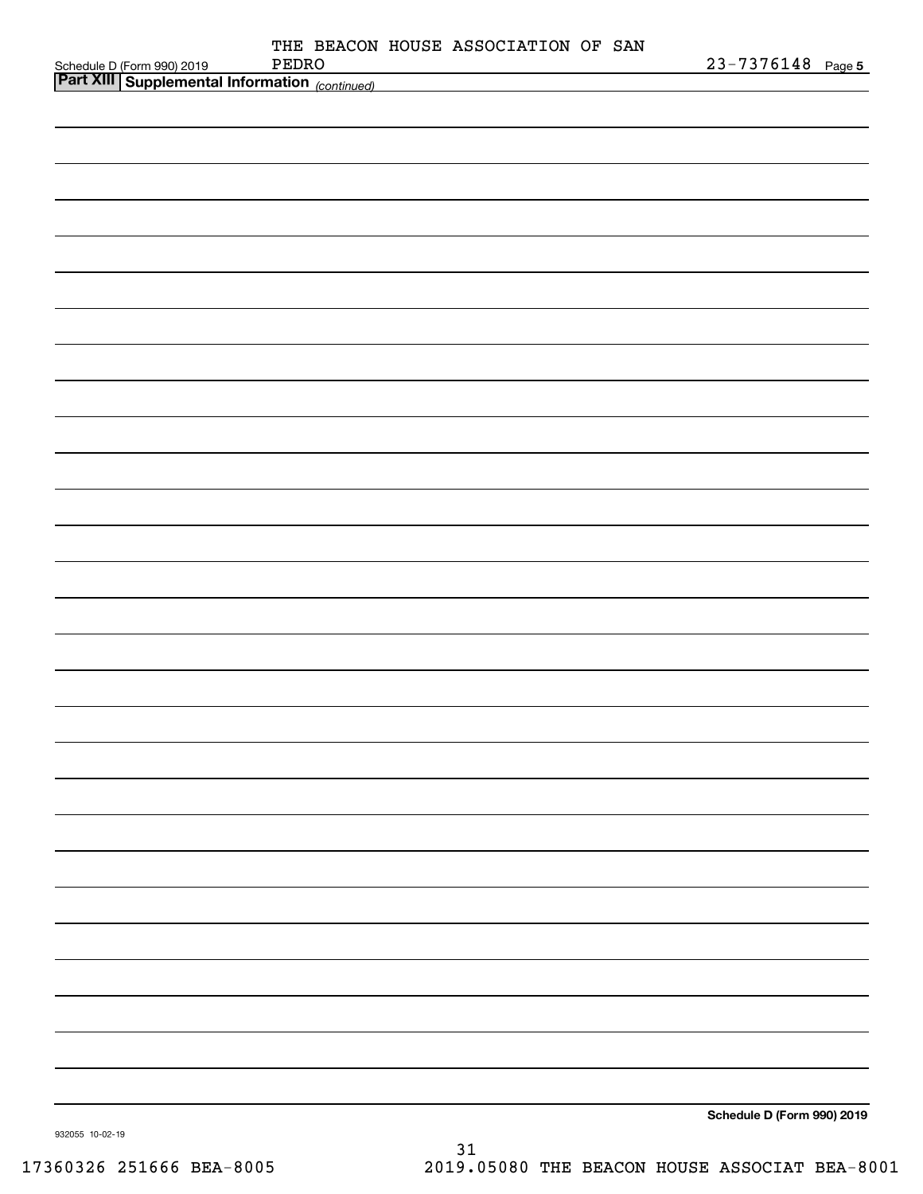|                                                                                             | THE BEACON HOUSE ASSOCIATION OF SAN |                            |
|---------------------------------------------------------------------------------------------|-------------------------------------|----------------------------|
| Schedule D (Form 990) 2019 PEDRO<br><b>Part XIII   Supplemental Information</b> (continued) | PEDRO                               | 23-7376148 Page 5          |
|                                                                                             |                                     |                            |
|                                                                                             |                                     |                            |
|                                                                                             |                                     |                            |
|                                                                                             |                                     |                            |
|                                                                                             |                                     |                            |
|                                                                                             |                                     |                            |
|                                                                                             |                                     |                            |
|                                                                                             |                                     |                            |
|                                                                                             |                                     |                            |
|                                                                                             |                                     |                            |
|                                                                                             |                                     |                            |
|                                                                                             |                                     |                            |
|                                                                                             |                                     |                            |
|                                                                                             |                                     |                            |
|                                                                                             |                                     |                            |
|                                                                                             |                                     |                            |
|                                                                                             |                                     |                            |
|                                                                                             |                                     |                            |
|                                                                                             |                                     |                            |
|                                                                                             |                                     |                            |
|                                                                                             |                                     |                            |
|                                                                                             |                                     |                            |
|                                                                                             |                                     |                            |
|                                                                                             |                                     |                            |
|                                                                                             |                                     |                            |
|                                                                                             |                                     |                            |
|                                                                                             |                                     |                            |
|                                                                                             |                                     |                            |
|                                                                                             |                                     |                            |
|                                                                                             |                                     |                            |
|                                                                                             |                                     |                            |
|                                                                                             |                                     |                            |
|                                                                                             |                                     |                            |
|                                                                                             |                                     |                            |
|                                                                                             |                                     |                            |
|                                                                                             |                                     |                            |
|                                                                                             |                                     |                            |
|                                                                                             |                                     |                            |
|                                                                                             |                                     |                            |
|                                                                                             |                                     |                            |
|                                                                                             |                                     |                            |
|                                                                                             |                                     |                            |
|                                                                                             |                                     |                            |
|                                                                                             |                                     |                            |
|                                                                                             |                                     |                            |
|                                                                                             |                                     | Schedule D (Form 990) 2019 |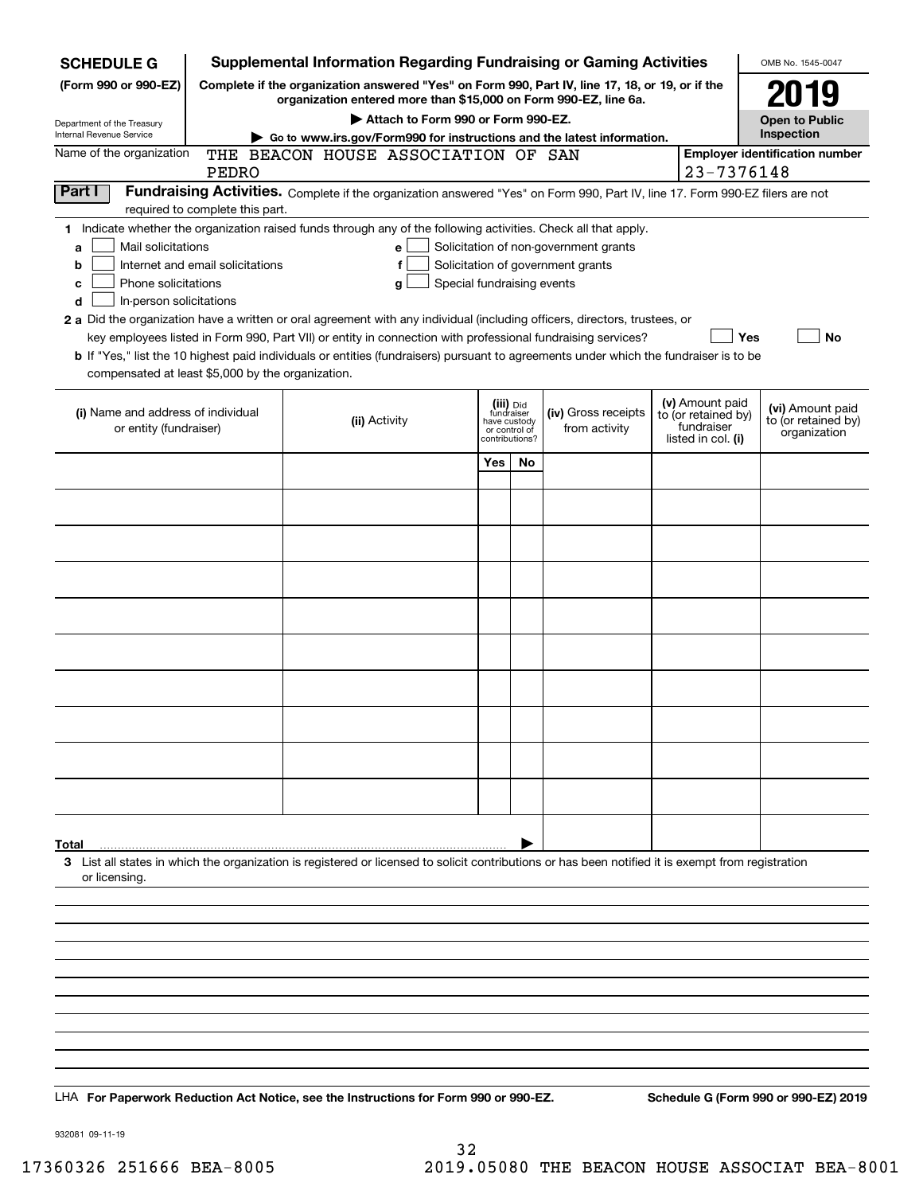| <b>SCHEDULE G</b>                                                                                                                                                          |                                                                                                                                                                     | <b>Supplemental Information Regarding Fundraising or Gaming Activities</b>                                                                                                                                                                                                                                                                                                                                                                                                                                                                                |                                                                            |     |                                                                            |            |                                                                            | OMB No. 1545-0047                                       |
|----------------------------------------------------------------------------------------------------------------------------------------------------------------------------|---------------------------------------------------------------------------------------------------------------------------------------------------------------------|-----------------------------------------------------------------------------------------------------------------------------------------------------------------------------------------------------------------------------------------------------------------------------------------------------------------------------------------------------------------------------------------------------------------------------------------------------------------------------------------------------------------------------------------------------------|----------------------------------------------------------------------------|-----|----------------------------------------------------------------------------|------------|----------------------------------------------------------------------------|---------------------------------------------------------|
| (Form 990 or 990-EZ)                                                                                                                                                       | Complete if the organization answered "Yes" on Form 990, Part IV, line 17, 18, or 19, or if the<br>organization entered more than \$15,000 on Form 990-EZ, line 6a. |                                                                                                                                                                                                                                                                                                                                                                                                                                                                                                                                                           |                                                                            |     |                                                                            |            |                                                                            | 2019                                                    |
| Department of the Treasury                                                                                                                                                 | Attach to Form 990 or Form 990-EZ.                                                                                                                                  |                                                                                                                                                                                                                                                                                                                                                                                                                                                                                                                                                           |                                                                            |     |                                                                            |            | <b>Open to Public</b>                                                      |                                                         |
| Internal Revenue Service                                                                                                                                                   | Go to www.irs.gov/Form990 for instructions and the latest information.                                                                                              |                                                                                                                                                                                                                                                                                                                                                                                                                                                                                                                                                           |                                                                            |     |                                                                            |            |                                                                            | Inspection                                              |
| Name of the organization                                                                                                                                                   | THE BEACON HOUSE ASSOCIATION OF SAN<br>PEDRO                                                                                                                        |                                                                                                                                                                                                                                                                                                                                                                                                                                                                                                                                                           |                                                                            |     |                                                                            | 23-7376148 | <b>Employer identification number</b>                                      |                                                         |
| Part I<br>Fundraising Activities. Complete if the organization answered "Yes" on Form 990, Part IV, line 17. Form 990-EZ filers are not<br>required to complete this part. |                                                                                                                                                                     |                                                                                                                                                                                                                                                                                                                                                                                                                                                                                                                                                           |                                                                            |     |                                                                            |            |                                                                            |                                                         |
| Mail solicitations<br>a<br>b<br>Phone solicitations<br>с<br>In-person solicitations<br>d<br>compensated at least \$5,000 by the organization.                              | Internet and email solicitations                                                                                                                                    | 1 Indicate whether the organization raised funds through any of the following activities. Check all that apply.<br>е<br>f<br>Special fundraising events<br>g<br>2 a Did the organization have a written or oral agreement with any individual (including officers, directors, trustees, or<br>key employees listed in Form 990, Part VII) or entity in connection with professional fundraising services?<br><b>b</b> If "Yes," list the 10 highest paid individuals or entities (fundraisers) pursuant to agreements under which the fundraiser is to be |                                                                            |     | Solicitation of non-government grants<br>Solicitation of government grants |            | Yes                                                                        | No                                                      |
| (i) Name and address of individual<br>or entity (fundraiser)                                                                                                               |                                                                                                                                                                     | (ii) Activity                                                                                                                                                                                                                                                                                                                                                                                                                                                                                                                                             | (iii) Did<br>fundraiser<br>have custody<br>or control of<br>contributions? |     | (iv) Gross receipts<br>from activity                                       |            | (v) Amount paid<br>to (or retained by)<br>fundraiser<br>listed in col. (i) | (vi) Amount paid<br>to (or retained by)<br>organization |
|                                                                                                                                                                            |                                                                                                                                                                     |                                                                                                                                                                                                                                                                                                                                                                                                                                                                                                                                                           | Yes                                                                        | No. |                                                                            |            |                                                                            |                                                         |
|                                                                                                                                                                            |                                                                                                                                                                     |                                                                                                                                                                                                                                                                                                                                                                                                                                                                                                                                                           |                                                                            |     |                                                                            |            |                                                                            |                                                         |
|                                                                                                                                                                            |                                                                                                                                                                     |                                                                                                                                                                                                                                                                                                                                                                                                                                                                                                                                                           |                                                                            |     |                                                                            |            |                                                                            |                                                         |
|                                                                                                                                                                            |                                                                                                                                                                     |                                                                                                                                                                                                                                                                                                                                                                                                                                                                                                                                                           |                                                                            |     |                                                                            |            |                                                                            |                                                         |
|                                                                                                                                                                            |                                                                                                                                                                     |                                                                                                                                                                                                                                                                                                                                                                                                                                                                                                                                                           |                                                                            |     |                                                                            |            |                                                                            |                                                         |
|                                                                                                                                                                            |                                                                                                                                                                     |                                                                                                                                                                                                                                                                                                                                                                                                                                                                                                                                                           |                                                                            |     |                                                                            |            |                                                                            |                                                         |
|                                                                                                                                                                            |                                                                                                                                                                     |                                                                                                                                                                                                                                                                                                                                                                                                                                                                                                                                                           |                                                                            |     |                                                                            |            |                                                                            |                                                         |
|                                                                                                                                                                            |                                                                                                                                                                     |                                                                                                                                                                                                                                                                                                                                                                                                                                                                                                                                                           |                                                                            |     |                                                                            |            |                                                                            |                                                         |
|                                                                                                                                                                            |                                                                                                                                                                     |                                                                                                                                                                                                                                                                                                                                                                                                                                                                                                                                                           |                                                                            |     |                                                                            |            |                                                                            |                                                         |
|                                                                                                                                                                            |                                                                                                                                                                     |                                                                                                                                                                                                                                                                                                                                                                                                                                                                                                                                                           |                                                                            |     |                                                                            |            |                                                                            |                                                         |
|                                                                                                                                                                            |                                                                                                                                                                     |                                                                                                                                                                                                                                                                                                                                                                                                                                                                                                                                                           |                                                                            |     |                                                                            |            |                                                                            |                                                         |
|                                                                                                                                                                            |                                                                                                                                                                     |                                                                                                                                                                                                                                                                                                                                                                                                                                                                                                                                                           |                                                                            |     |                                                                            |            |                                                                            |                                                         |
|                                                                                                                                                                            |                                                                                                                                                                     |                                                                                                                                                                                                                                                                                                                                                                                                                                                                                                                                                           |                                                                            |     |                                                                            |            |                                                                            |                                                         |
| Total<br>or licensing.                                                                                                                                                     |                                                                                                                                                                     | 3 List all states in which the organization is registered or licensed to solicit contributions or has been notified it is exempt from registration                                                                                                                                                                                                                                                                                                                                                                                                        |                                                                            |     |                                                                            |            |                                                                            |                                                         |
|                                                                                                                                                                            |                                                                                                                                                                     |                                                                                                                                                                                                                                                                                                                                                                                                                                                                                                                                                           |                                                                            |     |                                                                            |            |                                                                            |                                                         |
|                                                                                                                                                                            |                                                                                                                                                                     |                                                                                                                                                                                                                                                                                                                                                                                                                                                                                                                                                           |                                                                            |     |                                                                            |            |                                                                            |                                                         |
|                                                                                                                                                                            |                                                                                                                                                                     |                                                                                                                                                                                                                                                                                                                                                                                                                                                                                                                                                           |                                                                            |     |                                                                            |            |                                                                            |                                                         |
|                                                                                                                                                                            |                                                                                                                                                                     |                                                                                                                                                                                                                                                                                                                                                                                                                                                                                                                                                           |                                                                            |     |                                                                            |            |                                                                            |                                                         |
|                                                                                                                                                                            |                                                                                                                                                                     |                                                                                                                                                                                                                                                                                                                                                                                                                                                                                                                                                           |                                                                            |     |                                                                            |            |                                                                            |                                                         |
|                                                                                                                                                                            |                                                                                                                                                                     |                                                                                                                                                                                                                                                                                                                                                                                                                                                                                                                                                           |                                                                            |     |                                                                            |            |                                                                            |                                                         |
|                                                                                                                                                                            |                                                                                                                                                                     | LHA For Paperwork Reduction Act Notice, see the Instructions for Form 990 or 990-EZ.                                                                                                                                                                                                                                                                                                                                                                                                                                                                      |                                                                            |     |                                                                            |            |                                                                            | Schedule G (Form 990 or 990-EZ) 2019                    |

932081 09-11-19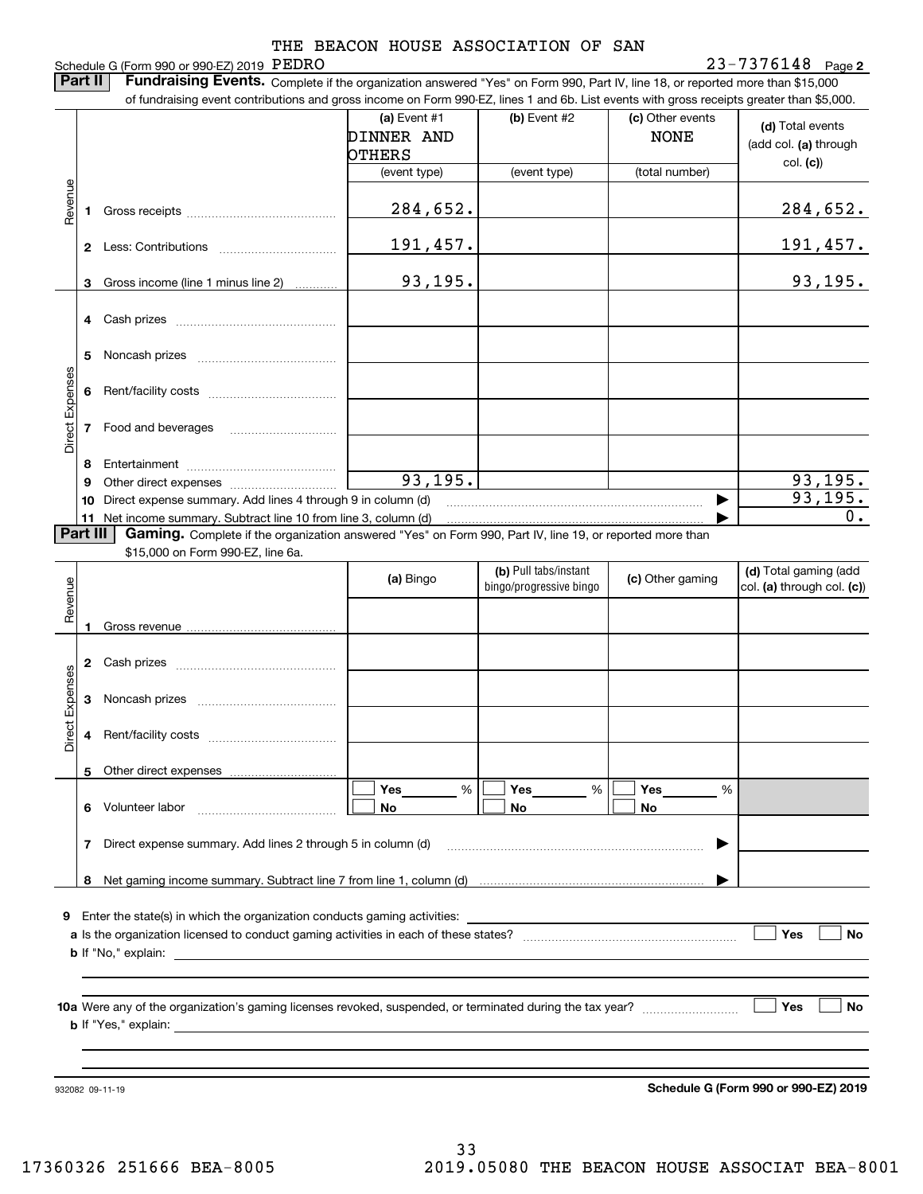Schedule G (Form 990 or 990-EZ) 2019 PEDRO **2**PEDRO 23-7376148 **Part II** | Fundraising Events. Complete if the organization answered "Yes" on Form 990, Part IV, line 18, or reported more than \$15,000 of fundraising event contributions and gross income on Form 990-EZ, lines 1 and 6b. List events with gross receipts greater than \$5,000. (c) Other events **(a)** Event #1  $\vert$  **(b)** Event #2 **(d)**  Total events DINNER AND NONE (add col. **(a)** through OTHERS col. **(c)**) (event type) (event type) (total number) Revenue Revenue 284,652. 284,652. Gross receipts **1**191,457. 191,457. **2**Less: Contributions

|         |    | LGOO. UUHIHUUHUHO                                               | --- <i>--</i> -- |  | --- <i>--</i> --        |
|---------|----|-----------------------------------------------------------------|------------------|--|-------------------------|
|         | 3  | Gross income (line 1 minus line 2)                              | 93, 195.         |  | 93, 195.                |
|         | 4  | Cash prizes                                                     |                  |  |                         |
| xpenses | 5  | Noncash prizes                                                  |                  |  |                         |
|         | Բ  | Rent/facility costs                                             |                  |  |                         |
| Direct  |    | Food and beverages                                              |                  |  |                         |
|         | 8  | Entertainment                                                   |                  |  |                         |
|         | 9  |                                                                 | 93, 195.         |  |                         |
|         | 10 | Direct expense summary. Add lines 4 through 9 in column (d)     |                  |  | $\frac{93,195}{93,195}$ |
|         |    | 11 Net income summary. Subtract line 10 from line 3, column (d) | 0.               |  |                         |

Part III **Part III | Gaming.** Complete if the organization answered "Yes" on Form 990, Part IV, line 19, or reported more than

\$15,000 on Form 990-EZ, line 6a.

|                 |                  |                                                                                                                                                                                                                                | (a) Bingo                  | (b) Pull tabs/instant<br>bingo/progressive bingo | (c) Other gaming | (d) Total gaming (add<br>col. (a) through col. (c)) |  |  |  |
|-----------------|------------------|--------------------------------------------------------------------------------------------------------------------------------------------------------------------------------------------------------------------------------|----------------------------|--------------------------------------------------|------------------|-----------------------------------------------------|--|--|--|
| Revenue         |                  |                                                                                                                                                                                                                                |                            |                                                  |                  |                                                     |  |  |  |
|                 | 2                |                                                                                                                                                                                                                                |                            |                                                  |                  |                                                     |  |  |  |
| Direct Expenses | 3                |                                                                                                                                                                                                                                |                            |                                                  |                  |                                                     |  |  |  |
|                 | 4                |                                                                                                                                                                                                                                |                            |                                                  |                  |                                                     |  |  |  |
|                 | 5.               |                                                                                                                                                                                                                                |                            |                                                  |                  |                                                     |  |  |  |
|                 | 6                |                                                                                                                                                                                                                                | Yes________ %<br><b>No</b> | Yes $%$<br><b>No</b>                             | %<br><b>No</b>   |                                                     |  |  |  |
|                 | 7                | Direct expense summary. Add lines 2 through 5 in column (d) [11] manus and the summan manuscription of the summan manuscription of the summan manuscription of the summan manuscription of the summan manuscription of the sum |                            |                                                  | ▶                |                                                     |  |  |  |
|                 | 8                |                                                                                                                                                                                                                                |                            |                                                  |                  |                                                     |  |  |  |
| 9               | Yes<br><b>No</b> |                                                                                                                                                                                                                                |                            |                                                  |                  |                                                     |  |  |  |
|                 |                  |                                                                                                                                                                                                                                |                            |                                                  |                  |                                                     |  |  |  |
|                 | Yes<br><b>No</b> |                                                                                                                                                                                                                                |                            |                                                  |                  |                                                     |  |  |  |
|                 |                  |                                                                                                                                                                                                                                |                            |                                                  |                  |                                                     |  |  |  |
|                 |                  |                                                                                                                                                                                                                                |                            |                                                  |                  |                                                     |  |  |  |

932082 09-11-19

**Schedule G (Form 990 or 990-EZ) 2019**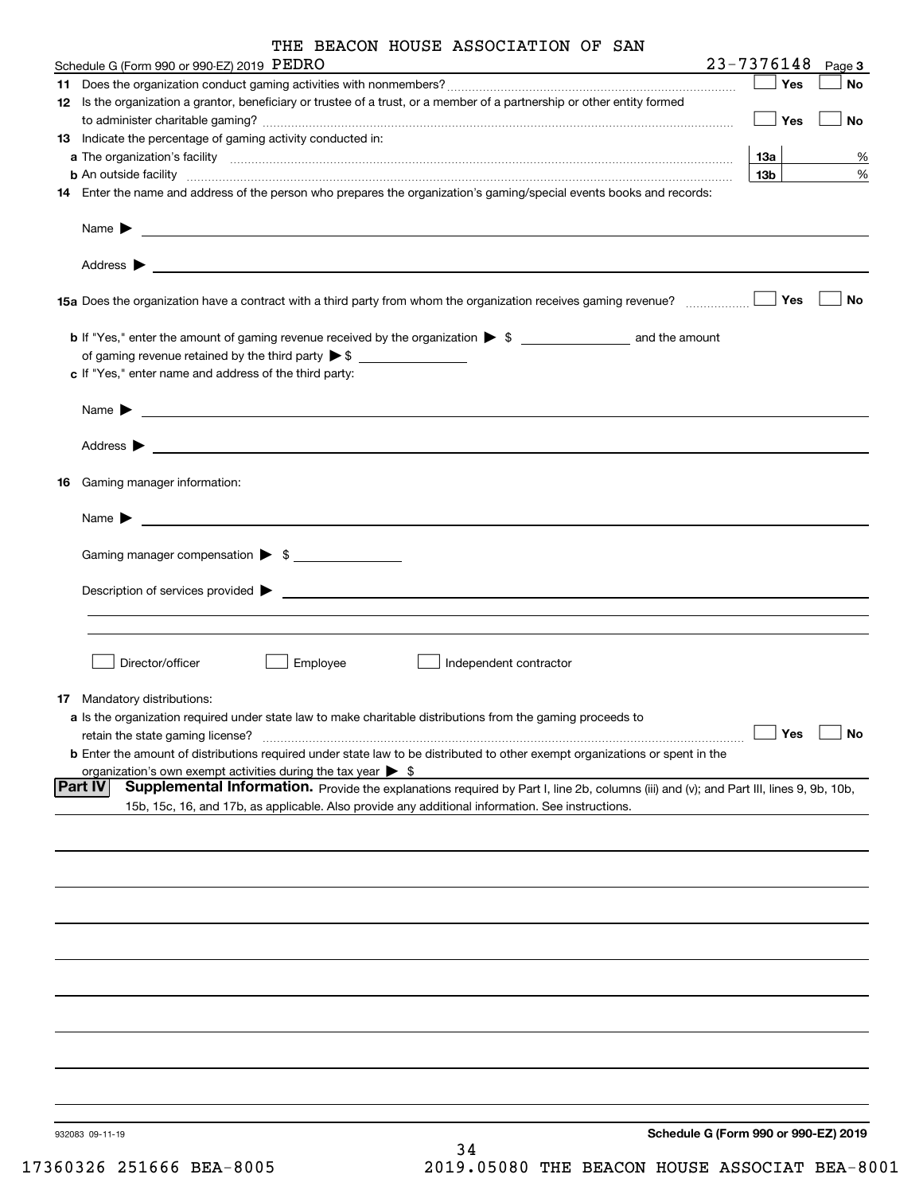| THE BEACON HOUSE ASSOCIATION OF SAN |  |  |  |  |  |  |
|-------------------------------------|--|--|--|--|--|--|
|-------------------------------------|--|--|--|--|--|--|

|     | Schedule G (Form 990 or 990-EZ) 2019 PEDRO                                                                                                                                                                                                | 23-7376148      | Page 3               |
|-----|-------------------------------------------------------------------------------------------------------------------------------------------------------------------------------------------------------------------------------------------|-----------------|----------------------|
| 11. |                                                                                                                                                                                                                                           | Yes             | No                   |
|     | 12 Is the organization a grantor, beneficiary or trustee of a trust, or a member of a partnership or other entity formed                                                                                                                  |                 |                      |
|     |                                                                                                                                                                                                                                           | Yes             | No                   |
|     | <b>13</b> Indicate the percentage of gaming activity conducted in:                                                                                                                                                                        |                 |                      |
|     |                                                                                                                                                                                                                                           | <u>13a</u>      | %                    |
|     | <b>b</b> An outside facility <i>www.communicality communicality communicality communicality communicality communicality communicality communicality communicality communicality communicality communicality communicality communicali</i> | 13 <sub>b</sub> | %                    |
|     | 14 Enter the name and address of the person who prepares the organization's gaming/special events books and records:                                                                                                                      |                 |                      |
|     |                                                                                                                                                                                                                                           |                 |                      |
|     |                                                                                                                                                                                                                                           |                 |                      |
|     |                                                                                                                                                                                                                                           |                 |                      |
|     | 15a Does the organization have a contract with a third party from whom the organization receives gaming revenue? ____________                                                                                                             | Yes             | No                   |
|     |                                                                                                                                                                                                                                           |                 |                      |
|     |                                                                                                                                                                                                                                           |                 |                      |
|     |                                                                                                                                                                                                                                           |                 |                      |
|     | c If "Yes," enter name and address of the third party:                                                                                                                                                                                    |                 |                      |
|     |                                                                                                                                                                                                                                           |                 |                      |
|     | Name $\blacktriangleright$ $\_\_$                                                                                                                                                                                                         |                 |                      |
|     |                                                                                                                                                                                                                                           |                 |                      |
|     |                                                                                                                                                                                                                                           |                 |                      |
|     |                                                                                                                                                                                                                                           |                 |                      |
| 16  | Gaming manager information:                                                                                                                                                                                                               |                 |                      |
|     |                                                                                                                                                                                                                                           |                 |                      |
|     | Name $\blacktriangleright$ $\frac{1}{\sqrt{1-\frac{1}{2}}\left(1-\frac{1}{2}\right)}$                                                                                                                                                     |                 |                      |
|     |                                                                                                                                                                                                                                           |                 |                      |
|     | Gaming manager compensation > \$                                                                                                                                                                                                          |                 |                      |
|     |                                                                                                                                                                                                                                           |                 |                      |
|     |                                                                                                                                                                                                                                           |                 |                      |
|     |                                                                                                                                                                                                                                           |                 |                      |
|     |                                                                                                                                                                                                                                           |                 |                      |
|     |                                                                                                                                                                                                                                           |                 |                      |
|     | Director/officer<br>Employee<br>∫ Independent contractor                                                                                                                                                                                  |                 |                      |
|     |                                                                                                                                                                                                                                           |                 |                      |
| 17  | Mandatory distributions:                                                                                                                                                                                                                  |                 |                      |
|     |                                                                                                                                                                                                                                           |                 |                      |
|     | a Is the organization required under state law to make charitable distributions from the gaming proceeds to                                                                                                                               |                 | $\Box$ Yes $\Box$ No |
|     | retain the state gaming license?                                                                                                                                                                                                          |                 |                      |
|     | <b>b</b> Enter the amount of distributions required under state law to be distributed to other exempt organizations or spent in the                                                                                                       |                 |                      |
|     | organization's own exempt activities during the tax year $\triangleright$ \$<br><b>Part IV</b>                                                                                                                                            |                 |                      |
|     | Supplemental Information. Provide the explanations required by Part I, line 2b, columns (iii) and (v); and Part III, lines 9, 9b, 10b,                                                                                                    |                 |                      |
|     | 15b, 15c, 16, and 17b, as applicable. Also provide any additional information. See instructions.                                                                                                                                          |                 |                      |
|     |                                                                                                                                                                                                                                           |                 |                      |
|     |                                                                                                                                                                                                                                           |                 |                      |
|     |                                                                                                                                                                                                                                           |                 |                      |
|     |                                                                                                                                                                                                                                           |                 |                      |
|     |                                                                                                                                                                                                                                           |                 |                      |
|     |                                                                                                                                                                                                                                           |                 |                      |
|     |                                                                                                                                                                                                                                           |                 |                      |
|     |                                                                                                                                                                                                                                           |                 |                      |
|     |                                                                                                                                                                                                                                           |                 |                      |
|     |                                                                                                                                                                                                                                           |                 |                      |
|     |                                                                                                                                                                                                                                           |                 |                      |
|     |                                                                                                                                                                                                                                           |                 |                      |
|     |                                                                                                                                                                                                                                           |                 |                      |
|     |                                                                                                                                                                                                                                           |                 |                      |
|     |                                                                                                                                                                                                                                           |                 |                      |
|     |                                                                                                                                                                                                                                           |                 |                      |
|     |                                                                                                                                                                                                                                           |                 |                      |
|     |                                                                                                                                                                                                                                           |                 |                      |
|     | Schedule G (Form 990 or 990-EZ) 2019<br>932083 09-11-19                                                                                                                                                                                   |                 |                      |
|     | 34                                                                                                                                                                                                                                        |                 |                      |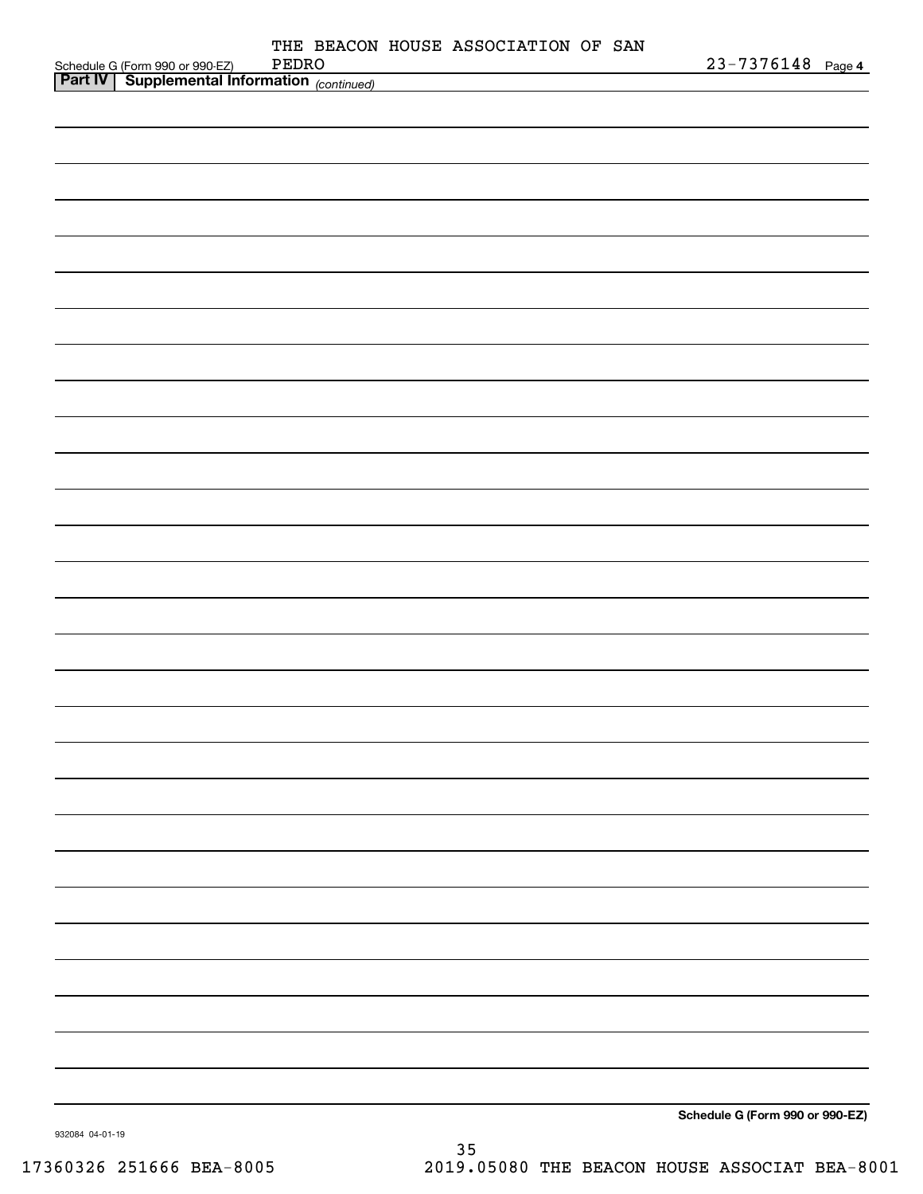|                                                                                                | THE BEACON HOUSE ASSOCIATION OF SAN |  |  |                                 |  |
|------------------------------------------------------------------------------------------------|-------------------------------------|--|--|---------------------------------|--|
| Schedule G (Form 990 or 990-EZ) PEDRO<br><b>Part IV   Supplemental Information</b> (continued) | PEDRO                               |  |  | $23 - 7376148$ Page 4           |  |
|                                                                                                |                                     |  |  |                                 |  |
|                                                                                                |                                     |  |  |                                 |  |
|                                                                                                |                                     |  |  |                                 |  |
|                                                                                                |                                     |  |  |                                 |  |
|                                                                                                |                                     |  |  |                                 |  |
|                                                                                                |                                     |  |  |                                 |  |
|                                                                                                |                                     |  |  |                                 |  |
|                                                                                                |                                     |  |  |                                 |  |
|                                                                                                |                                     |  |  |                                 |  |
|                                                                                                |                                     |  |  |                                 |  |
|                                                                                                |                                     |  |  |                                 |  |
|                                                                                                |                                     |  |  |                                 |  |
|                                                                                                |                                     |  |  |                                 |  |
|                                                                                                |                                     |  |  |                                 |  |
|                                                                                                |                                     |  |  |                                 |  |
|                                                                                                |                                     |  |  |                                 |  |
|                                                                                                |                                     |  |  |                                 |  |
|                                                                                                |                                     |  |  |                                 |  |
|                                                                                                |                                     |  |  |                                 |  |
|                                                                                                |                                     |  |  |                                 |  |
|                                                                                                |                                     |  |  |                                 |  |
|                                                                                                |                                     |  |  |                                 |  |
|                                                                                                |                                     |  |  |                                 |  |
|                                                                                                |                                     |  |  |                                 |  |
|                                                                                                |                                     |  |  |                                 |  |
|                                                                                                |                                     |  |  |                                 |  |
|                                                                                                |                                     |  |  |                                 |  |
|                                                                                                |                                     |  |  |                                 |  |
|                                                                                                |                                     |  |  |                                 |  |
|                                                                                                |                                     |  |  |                                 |  |
|                                                                                                |                                     |  |  |                                 |  |
|                                                                                                |                                     |  |  |                                 |  |
|                                                                                                |                                     |  |  |                                 |  |
|                                                                                                |                                     |  |  |                                 |  |
|                                                                                                |                                     |  |  |                                 |  |
|                                                                                                |                                     |  |  |                                 |  |
|                                                                                                |                                     |  |  |                                 |  |
|                                                                                                |                                     |  |  |                                 |  |
|                                                                                                |                                     |  |  |                                 |  |
|                                                                                                |                                     |  |  |                                 |  |
|                                                                                                |                                     |  |  |                                 |  |
|                                                                                                |                                     |  |  |                                 |  |
|                                                                                                |                                     |  |  |                                 |  |
|                                                                                                |                                     |  |  |                                 |  |
|                                                                                                |                                     |  |  |                                 |  |
|                                                                                                |                                     |  |  | Schedule G (Form 990 or 990-EZ) |  |

932084 04-01-19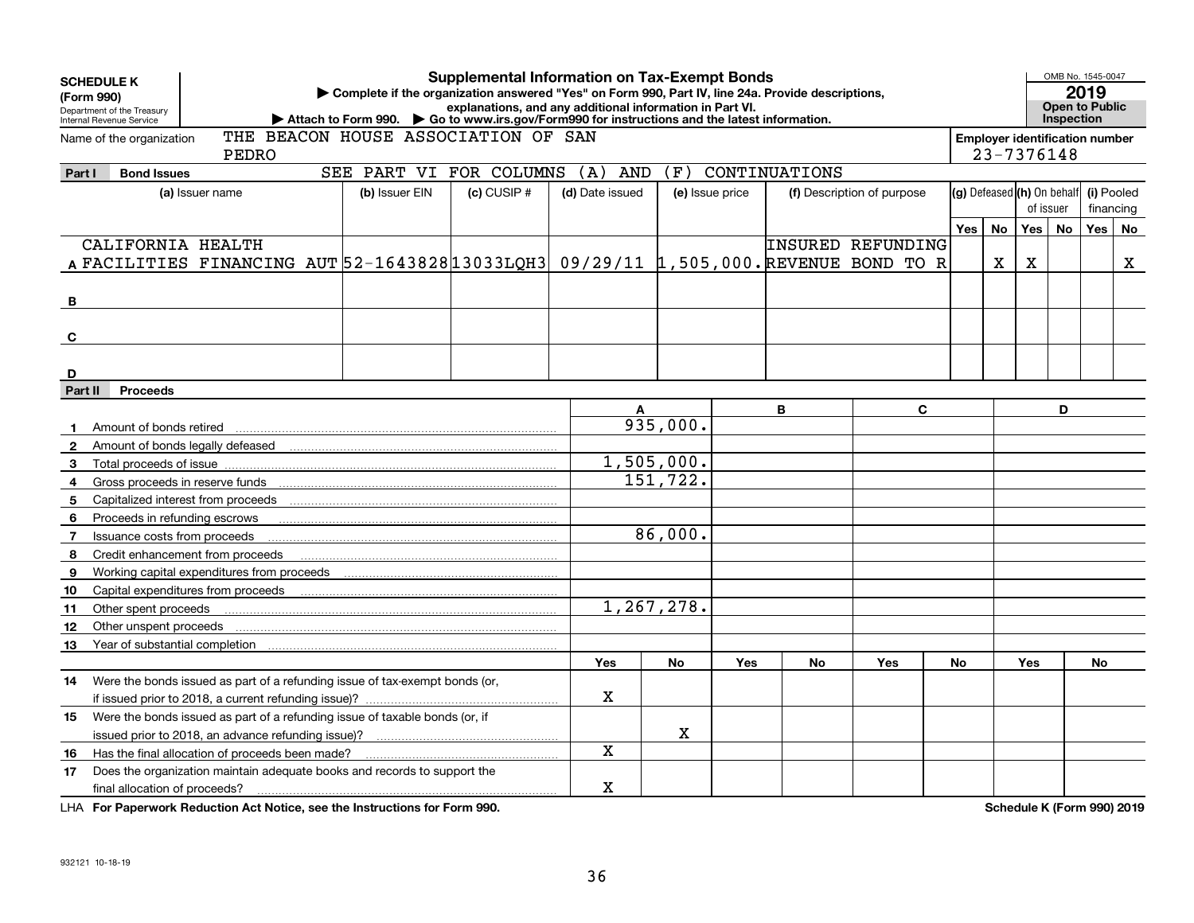| explanations, and any additional information in Part VI.<br>Department of the Treasury<br>Attach to Form 990. Go to www.irs.gov/Form990 for instructions and the latest information.<br>Internal Revenue Service | OMB No. 1545-0047<br>2019<br><b>Open to Public</b><br>Inspection |           |            |    |
|------------------------------------------------------------------------------------------------------------------------------------------------------------------------------------------------------------------|------------------------------------------------------------------|-----------|------------|----|
| THE BEACON HOUSE ASSOCIATION OF SAN<br>Name of the organization<br>PEDRO                                                                                                                                         | <b>Employer identification number</b><br>23-7376148              |           |            |    |
| SEE PART VI FOR COLUMNS<br>(A)<br>(F)<br>CONTINUATIONS<br>AND<br><b>Bond Issues</b><br>Part I                                                                                                                    |                                                                  |           |            |    |
| (g) Defeased (h) On behalf<br>(b) Issuer EIN<br>$(c)$ CUSIP $#$<br>(a) Issuer name<br>(d) Date issued<br>(e) Issue price<br>(f) Description of purpose                                                           |                                                                  |           | (i) Pooled |    |
|                                                                                                                                                                                                                  |                                                                  | of issuer | financing  |    |
| No<br>Yes                                                                                                                                                                                                        | Yes                                                              | No        | Yes        | No |
| CALIFORNIA HEALTH<br>INSURED REFUNDING                                                                                                                                                                           |                                                                  |           |            |    |
| A FACILITIES FINANCING AUT 52-1643828 13033LQH3 09/29/11 1,505,000. REVENUE BOND TO R<br>X                                                                                                                       | х                                                                |           |            | X  |
|                                                                                                                                                                                                                  |                                                                  |           |            |    |
| B                                                                                                                                                                                                                |                                                                  |           |            |    |
|                                                                                                                                                                                                                  |                                                                  |           |            |    |
|                                                                                                                                                                                                                  |                                                                  |           |            |    |
| C                                                                                                                                                                                                                |                                                                  |           |            |    |
|                                                                                                                                                                                                                  |                                                                  |           |            |    |
| D                                                                                                                                                                                                                |                                                                  |           |            |    |
| Part II<br><b>Proceeds</b>                                                                                                                                                                                       |                                                                  |           |            |    |
| B<br>C<br>A                                                                                                                                                                                                      |                                                                  | D         |            |    |
| 935,000.<br>Amount of bonds retired<br>$\mathbf 1$                                                                                                                                                               |                                                                  |           |            |    |
| Amount of bonds legally defeased<br>$\mathbf{2}$                                                                                                                                                                 |                                                                  |           |            |    |
| 1,505,000.<br>3<br>Total proceeds of issue                                                                                                                                                                       |                                                                  |           |            |    |
| 151,722.<br>Gross proceeds in reserve funds<br>4                                                                                                                                                                 |                                                                  |           |            |    |
| Capitalized interest from proceeds<br>5                                                                                                                                                                          |                                                                  |           |            |    |
| Proceeds in refunding escrows<br>6                                                                                                                                                                               |                                                                  |           |            |    |
| 86,000.<br>Issuance costs from proceeds<br>$\overline{7}$                                                                                                                                                        |                                                                  |           |            |    |
| Credit enhancement from proceeds<br>8                                                                                                                                                                            |                                                                  |           |            |    |
| Working capital expenditures from proceeds<br>9                                                                                                                                                                  |                                                                  |           |            |    |
| Capital expenditures from proceeds<br>10                                                                                                                                                                         |                                                                  |           |            |    |
| 1,267,278.<br>Other spent proceeds<br>11                                                                                                                                                                         |                                                                  |           |            |    |
| Other unspent proceeds<br>12                                                                                                                                                                                     |                                                                  |           |            |    |
| Year of substantial completion<br>13                                                                                                                                                                             |                                                                  |           |            |    |
| <b>Yes</b><br>No<br><b>Yes</b><br><b>No</b><br>Yes<br>No                                                                                                                                                         | <b>Yes</b>                                                       |           | No         |    |
| Were the bonds issued as part of a refunding issue of tax-exempt bonds (or,<br>14                                                                                                                                |                                                                  |           |            |    |
| х<br>if issued prior to 2018, a current refunding issue)?                                                                                                                                                        |                                                                  |           |            |    |
| Were the bonds issued as part of a refunding issue of taxable bonds (or, if<br>15                                                                                                                                |                                                                  |           |            |    |
| $\mathbf X$<br>issued prior to 2018, an advance refunding issue)?                                                                                                                                                |                                                                  |           |            |    |
| Х<br>Has the final allocation of proceeds been made?<br>16                                                                                                                                                       |                                                                  |           |            |    |
| Does the organization maintain adequate books and records to support the<br>17                                                                                                                                   |                                                                  |           |            |    |
| X<br>final allocation of proceeds?                                                                                                                                                                               |                                                                  |           |            |    |

**For Paperwork Reduction Act Notice, see the Instructions for Form 990. Schedule K (Form 990) 2019** LHA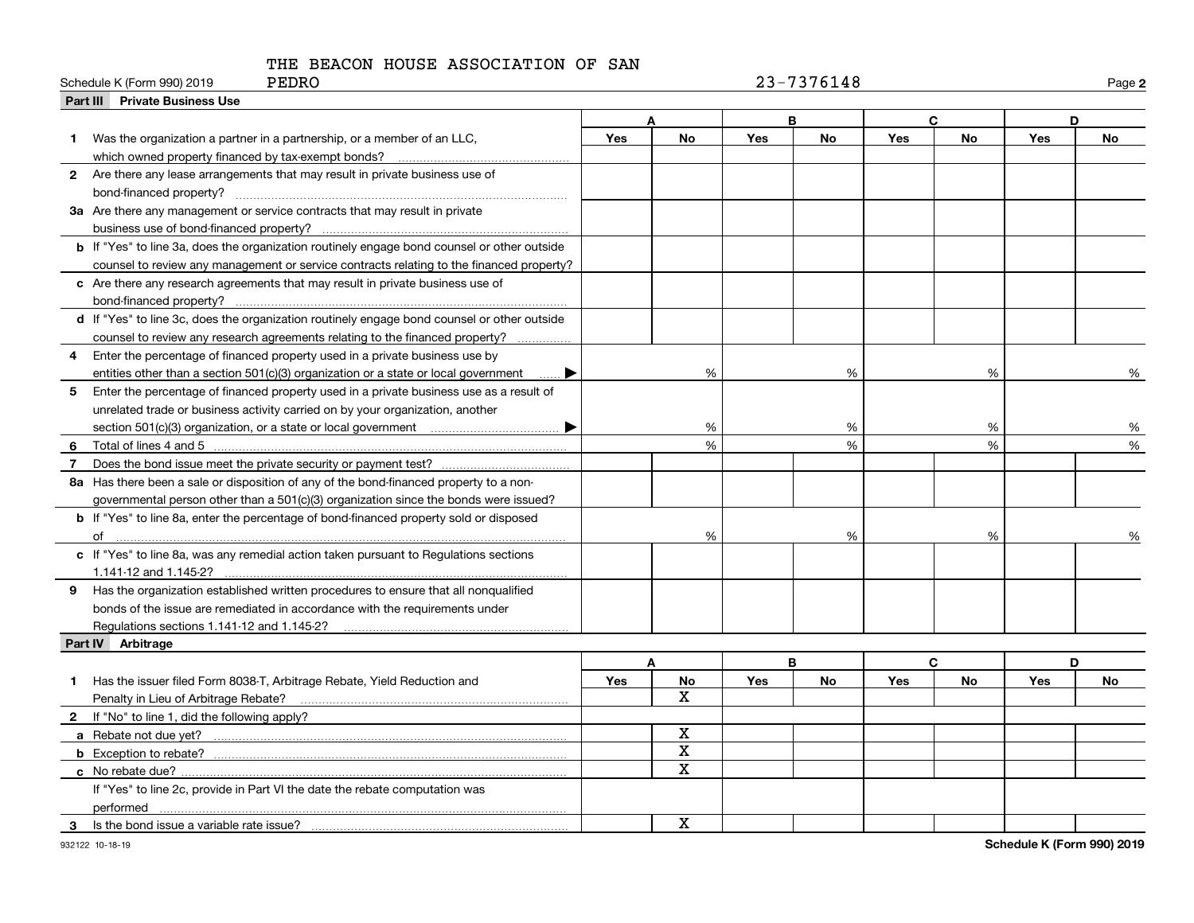| PEDRO<br>Schedule K (Form 990) 2019                                                                |            |             |            | 23-7376148 |            |              |     | Page 2    |
|----------------------------------------------------------------------------------------------------|------------|-------------|------------|------------|------------|--------------|-----|-----------|
| <b>Part III Private Business Use</b>                                                               |            |             |            |            |            |              |     |           |
|                                                                                                    |            |             |            | B          |            | $\mathbf{C}$ |     | D         |
| Was the organization a partner in a partnership, or a member of an LLC,<br>1.                      | <b>Yes</b> | <b>No</b>   | Yes        | <b>No</b>  | Yes        | <b>No</b>    | Yes | <b>No</b> |
|                                                                                                    |            |             |            |            |            |              |     |           |
| 2 Are there any lease arrangements that may result in private business use of                      |            |             |            |            |            |              |     |           |
| bond-financed property?                                                                            |            |             |            |            |            |              |     |           |
| 3a Are there any management or service contracts that may result in private                        |            |             |            |            |            |              |     |           |
|                                                                                                    |            |             |            |            |            |              |     |           |
| <b>b</b> If "Yes" to line 3a, does the organization routinely engage bond counsel or other outside |            |             |            |            |            |              |     |           |
| counsel to review any management or service contracts relating to the financed property?           |            |             |            |            |            |              |     |           |
| c Are there any research agreements that may result in private business use of                     |            |             |            |            |            |              |     |           |
|                                                                                                    |            |             |            |            |            |              |     |           |
| d If "Yes" to line 3c, does the organization routinely engage bond counsel or other outside        |            |             |            |            |            |              |     |           |
| counsel to review any research agreements relating to the financed property?                       |            |             |            |            |            |              |     |           |
| Enter the percentage of financed property used in a private business use by<br>4                   |            |             |            |            |            |              |     |           |
| entities other than a section 501(c)(3) organization or a state or local government                |            | %           |            | %          |            | %            |     | %         |
| Enter the percentage of financed property used in a private business use as a result of<br>5.      |            |             |            |            |            |              |     |           |
| unrelated trade or business activity carried on by your organization, another                      |            |             |            |            |            |              |     |           |
|                                                                                                    |            | %           |            | %          |            | %            |     | %         |
| 6                                                                                                  |            | %           |            | %          |            | %            |     | %         |
| 7                                                                                                  |            |             |            |            |            |              |     |           |
| 8a Has there been a sale or disposition of any of the bond-financed property to a non-             |            |             |            |            |            |              |     |           |
| governmental person other than a 501(c)(3) organization since the bonds were issued?               |            |             |            |            |            |              |     |           |
| b If "Yes" to line 8a, enter the percentage of bond-financed property sold or disposed             |            |             |            |            |            |              |     |           |
|                                                                                                    |            | %           |            | %          |            | %            |     |           |
| c If "Yes" to line 8a, was any remedial action taken pursuant to Regulations sections              |            |             |            |            |            |              |     |           |
| 1.141-12 and 1.145-2?                                                                              |            |             |            |            |            |              |     |           |
| 9 Has the organization established written procedures to ensure that all nonqualified              |            |             |            |            |            |              |     |           |
| bonds of the issue are remediated in accordance with the requirements under                        |            |             |            |            |            |              |     |           |
|                                                                                                    |            |             |            |            |            |              |     |           |
| Part IV Arbitrage                                                                                  |            |             |            |            |            |              |     |           |
|                                                                                                    |            | A           |            | B          |            | $\mathbf{C}$ |     | D         |
| Has the issuer filed Form 8038-T, Arbitrage Rebate, Yield Reduction and<br>1.                      | Yes        | No          | <b>Yes</b> | No         | <b>Yes</b> | <b>No</b>    | Yes | No        |
| Penalty in Lieu of Arbitrage Rebate?                                                               |            | X           |            |            |            |              |     |           |
| 2 If "No" to line 1, did the following apply?                                                      |            |             |            |            |            |              |     |           |
|                                                                                                    |            | х           |            |            |            |              |     |           |
|                                                                                                    |            | $\mathbf X$ |            |            |            |              |     |           |
| c No rebate due?                                                                                   |            | X           |            |            |            |              |     |           |

 $\overline{\mathbf{x}}$ 

**Schedule K (Form 990) 2019**

 $\overline{\phantom{0}}$  $\overbrace{\hspace{25mm}}$  $\overline{\phantom{0}}$ 

**3**Is the bond issue a variable rate issue?

performed

**c** No rebate due?

If "Yes" to line 2c, provide in Part VI the date the rebate computation was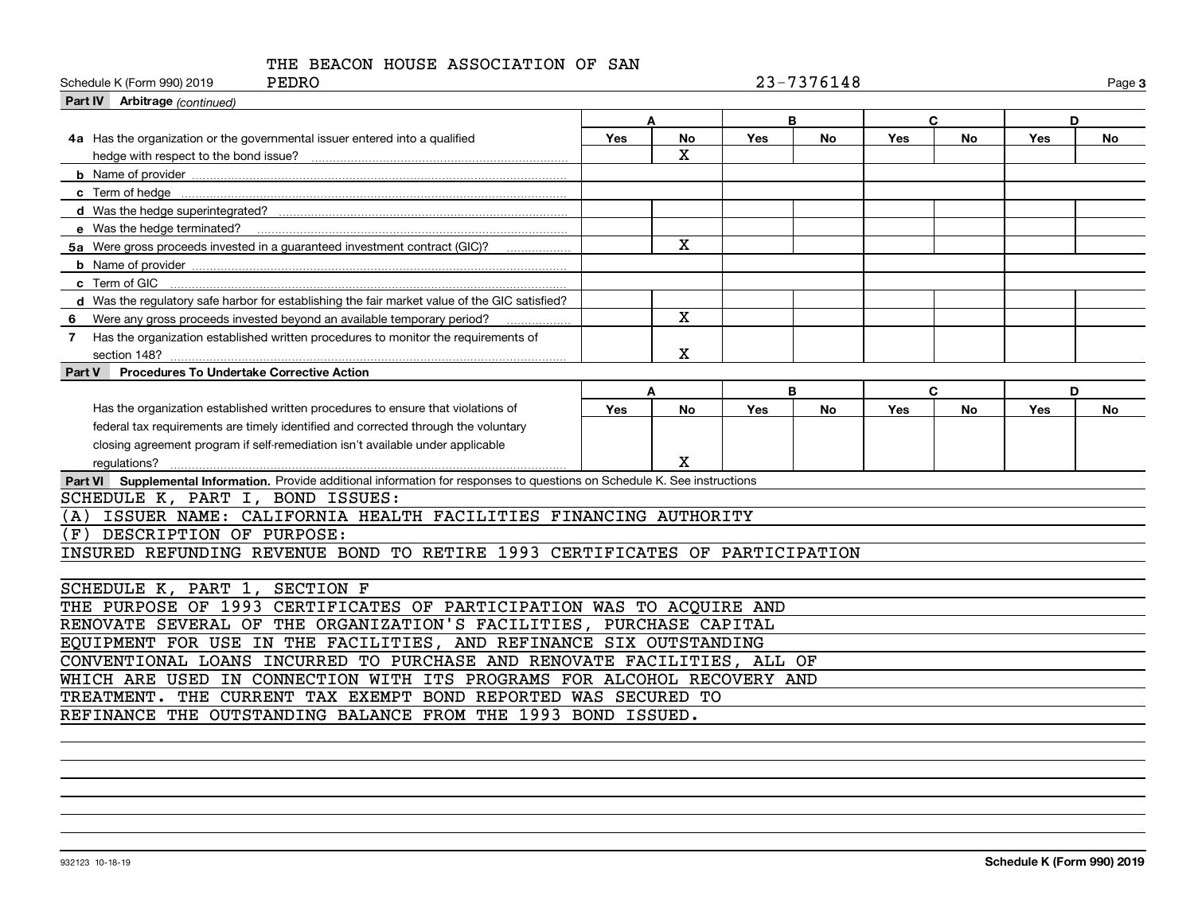| PEDRO<br>Schedule K (Form 990) 2019                                                                                         |                  |              |            | 23-7376148 |            |           |     | Page 3    |
|-----------------------------------------------------------------------------------------------------------------------------|------------------|--------------|------------|------------|------------|-----------|-----|-----------|
| Part IV Arbitrage (continued)                                                                                               |                  |              |            |            |            |           |     |           |
|                                                                                                                             |                  | A            |            | B          | C          |           | D   |           |
| 4a Has the organization or the governmental issuer entered into a qualified                                                 | Yes              | No           | <b>Yes</b> | No         | Yes        | <b>No</b> | Yes | <b>No</b> |
| hedge with respect to the bond issue?                                                                                       |                  | X.           |            |            |            |           |     |           |
|                                                                                                                             |                  |              |            |            |            |           |     |           |
|                                                                                                                             |                  |              |            |            |            |           |     |           |
|                                                                                                                             |                  |              |            |            |            |           |     |           |
|                                                                                                                             |                  |              |            |            |            |           |     |           |
| 5a Were gross proceeds invested in a guaranteed investment contract (GIC)?                                                  |                  | $\mathbf{x}$ |            |            |            |           |     |           |
|                                                                                                                             |                  |              |            |            |            |           |     |           |
| c Term of GIC                                                                                                               |                  |              |            |            |            |           |     |           |
| d Was the regulatory safe harbor for establishing the fair market value of the GIC satisfied?                               |                  |              |            |            |            |           |     |           |
| Were any gross proceeds invested beyond an available temporary period?<br>6                                                 |                  | X            |            |            |            |           |     |           |
| Has the organization established written procedures to monitor the requirements of<br>$7^{\circ}$                           |                  |              |            |            |            |           |     |           |
|                                                                                                                             |                  | х            |            |            |            |           |     |           |
| <b>Procedures To Undertake Corrective Action</b><br>Part V                                                                  |                  |              |            |            |            |           |     |           |
|                                                                                                                             | B<br>C<br>D<br>Α |              |            |            |            |           |     |           |
| Has the organization established written procedures to ensure that violations of                                            | Yes              | <b>No</b>    | <b>Yes</b> | <b>No</b>  | <b>Yes</b> | <b>No</b> | Yes | No        |
| federal tax requirements are timely identified and corrected through the voluntary                                          |                  |              |            |            |            |           |     |           |
| closing agreement program if self-remediation isn't available under applicable                                              |                  |              |            |            |            |           |     |           |
| regulations?                                                                                                                |                  | X            |            |            |            |           |     |           |
| Part VI Supplemental Information. Provide additional information for responses to questions on Schedule K. See instructions |                  |              |            |            |            |           |     |           |
| SCHEDULE K, PART I, BOND ISSUES:                                                                                            |                  |              |            |            |            |           |     |           |
| ISSUER NAME: CALIFORNIA HEALTH FACILITIES FINANCING AUTHORITY<br>(A)                                                        |                  |              |            |            |            |           |     |           |
| DESCRIPTION OF PURPOSE:<br>(F)                                                                                              |                  |              |            |            |            |           |     |           |
| INSURED REFUNDING REVENUE BOND TO RETIRE 1993 CERTIFICATES OF PARTICIPATION                                                 |                  |              |            |            |            |           |     |           |
|                                                                                                                             |                  |              |            |            |            |           |     |           |
| SECTION F<br>SCHEDULE K, PART 1,                                                                                            |                  |              |            |            |            |           |     |           |
| THE PURPOSE OF 1993 CERTIFICATES OF PARTICIPATION WAS TO ACQUIRE AND                                                        |                  |              |            |            |            |           |     |           |
| RENOVATE SEVERAL OF THE ORGANIZATION'S FACILITIES, PURCHASE CAPITAL                                                         |                  |              |            |            |            |           |     |           |
| EQUIPMENT FOR USE IN THE FACILITIES, AND REFINANCE SIX OUTSTANDING                                                          |                  |              |            |            |            |           |     |           |
| CONVENTIONAL LOANS INCURRED TO PURCHASE AND RENOVATE FACILITIES, ALL OF                                                     |                  |              |            |            |            |           |     |           |
| WHICH ARE USED IN CONNECTION WITH ITS PROGRAMS FOR ALCOHOL RECOVERY AND                                                     |                  |              |            |            |            |           |     |           |
| THE CURRENT TAX EXEMPT BOND REPORTED WAS SECURED TO<br><b>TREATMENT.</b>                                                    |                  |              |            |            |            |           |     |           |
| REFINANCE THE OUTSTANDING BALANCE FROM THE 1993 BOND ISSUED.                                                                |                  |              |            |            |            |           |     |           |
|                                                                                                                             |                  |              |            |            |            |           |     |           |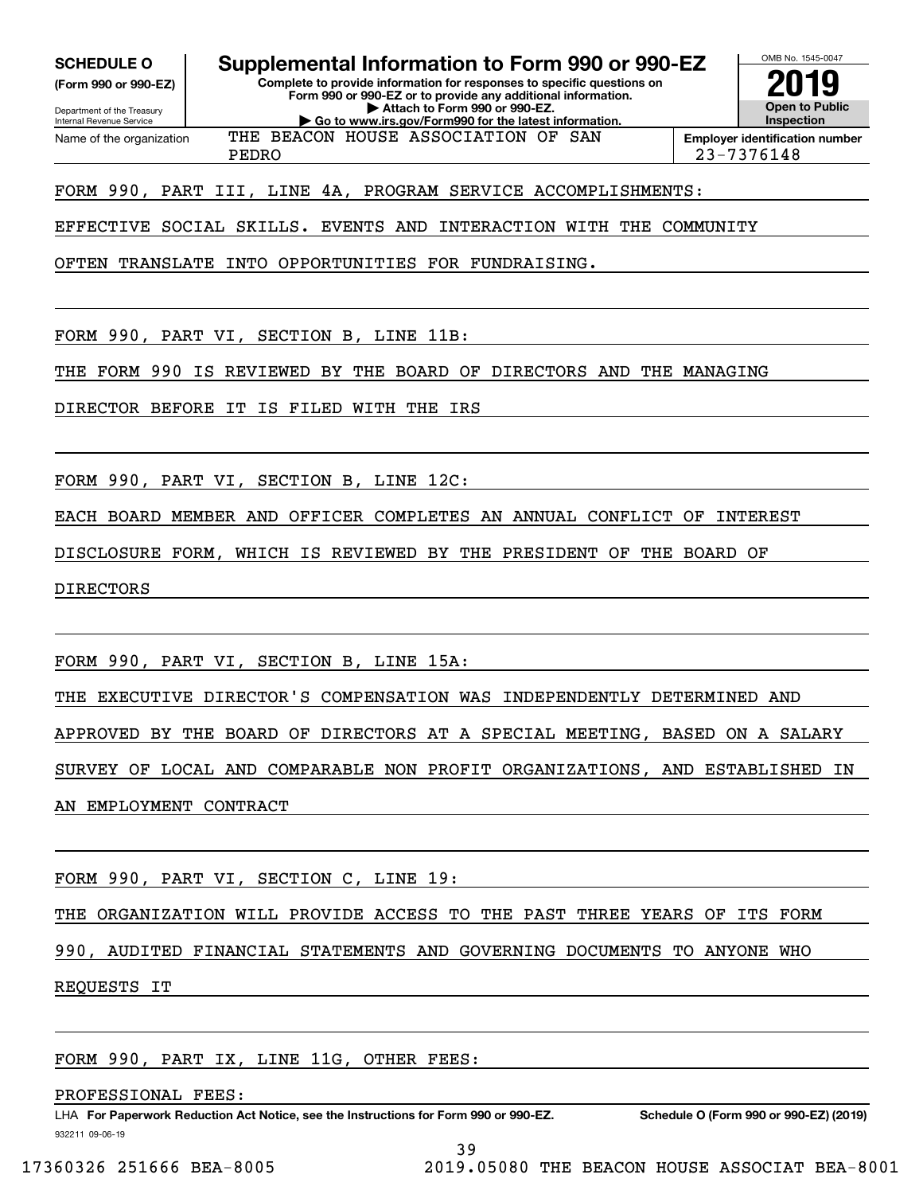**SCHEDULE O Supplemental Information to Form 990 or 990-EZ**

**(Form 990 or 990-EZ)**

**Complete to provide information for responses to specific questions on**

Department of the Treasury Internal Revenue Service Name of the organization

**Form 990 or 990-EZ or to provide any additional information. | Attach to Form 990 or 990-EZ. | Go to www.irs.gov/Form990 for the latest information.** THE BEACON HOUSE ASSOCIATION OF SAN

**Open to Public InspectionEmployer identification number 2019**

OMB No. 1545-0047

PEDRO 23-7376148

FORM 990, PART III, LINE 4A, PROGRAM SERVICE ACCOMPLISHMENTS:

EFFECTIVE SOCIAL SKILLS. EVENTS AND INTERACTION WITH THE COMMUNITY

OFTEN TRANSLATE INTO OPPORTUNITIES FOR FUNDRAISING.

FORM 990, PART VI, SECTION B, LINE 11B:

THE FORM 990 IS REVIEWED BY THE BOARD OF DIRECTORS AND THE MANAGING

DIRECTOR BEFORE IT IS FILED WITH THE IRS

FORM 990, PART VI, SECTION B, LINE 12C:

EACH BOARD MEMBER AND OFFICER COMPLETES AN ANNUAL CONFLICT OF INTEREST

DISCLOSURE FORM, WHICH IS REVIEWED BY THE PRESIDENT OF THE BOARD OF

DIRECTORS

FORM 990, PART VI, SECTION B, LINE 15A:

THE EXECUTIVE DIRECTOR'S COMPENSATION WAS INDEPENDENTLY DETERMINED AND

APPROVED BY THE BOARD OF DIRECTORS AT A SPECIAL MEETING, BASED ON A SALARY

SURVEY OF LOCAL AND COMPARABLE NON PROFIT ORGANIZATIONS, AND ESTABLISHED IN

AN EMPLOYMENT CONTRACT

FORM 990, PART VI, SECTION C, LINE 19:

THE ORGANIZATION WILL PROVIDE ACCESS TO THE PAST THREE YEARS OF ITS FORM

990, AUDITED FINANCIAL STATEMENTS AND GOVERNING DOCUMENTS TO ANYONE WHO

REQUESTS IT

FORM 990, PART IX, LINE 11G, OTHER FEES:

PROFESSIONAL FEES:

932211 09-06-19 LHA For Paperwork Reduction Act Notice, see the Instructions for Form 990 or 990-EZ. Schedule O (Form 990 or 990-EZ) (2019)

39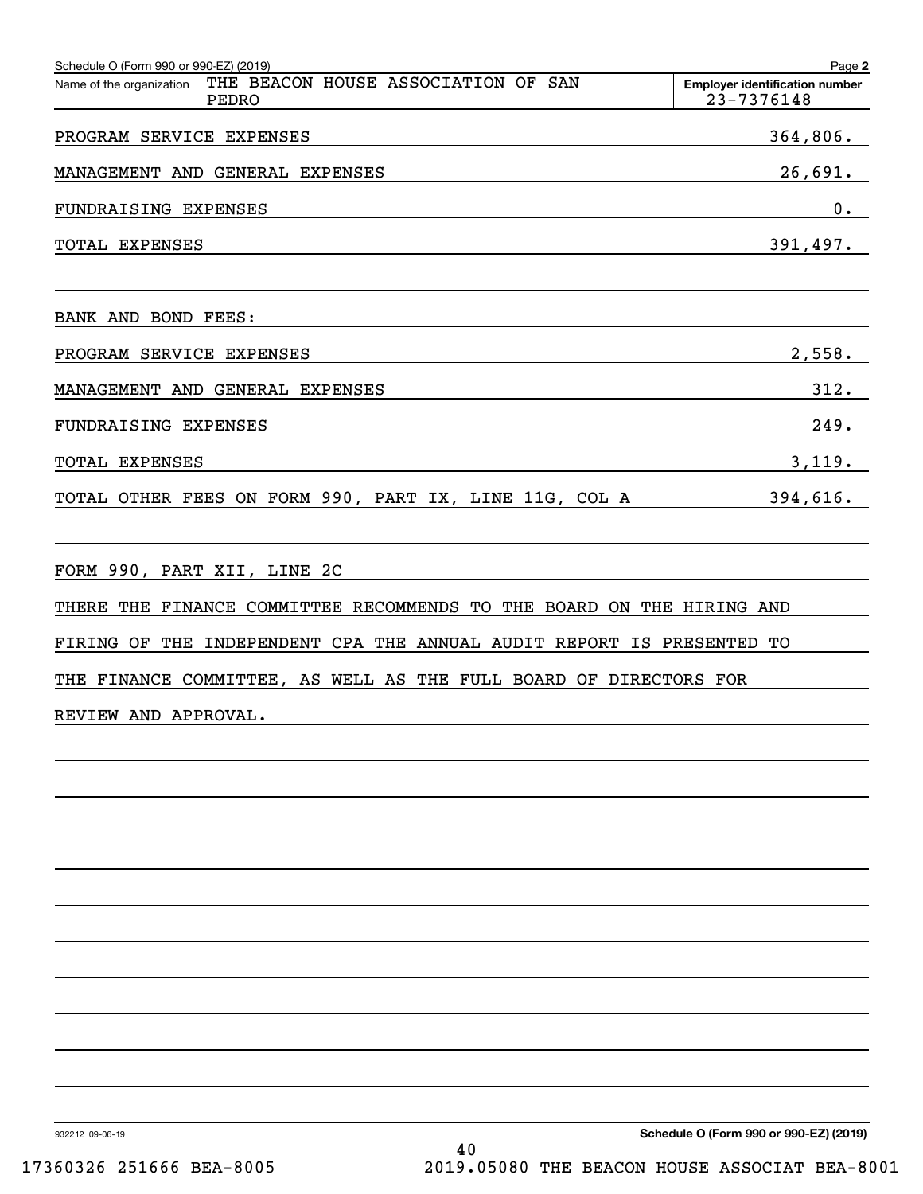| Schedule O (Form 990 or 990-EZ) (2019)                                                               | Page 2                                              |
|------------------------------------------------------------------------------------------------------|-----------------------------------------------------|
| THE BEACON HOUSE ASSOCIATION OF SAN<br>Name of the organization<br>PEDRO                             | <b>Employer identification number</b><br>23-7376148 |
| PROGRAM SERVICE EXPENSES                                                                             | 364,806.                                            |
| MANAGEMENT AND GENERAL EXPENSES                                                                      | 26,691.                                             |
| FUNDRAISING EXPENSES                                                                                 | 0.                                                  |
| TOTAL EXPENSES                                                                                       | 391, 497.                                           |
| BANK AND BOND FEES:                                                                                  |                                                     |
| PROGRAM SERVICE EXPENSES                                                                             | 2,558.                                              |
| MANAGEMENT AND GENERAL EXPENSES                                                                      | 312.                                                |
| FUNDRAISING EXPENSES                                                                                 | 249.                                                |
| TOTAL EXPENSES                                                                                       | 3,119.                                              |
| TOTAL OTHER FEES ON FORM 990, PART IX, LINE 11G, COL A 394,616.                                      |                                                     |
| FORM 990, PART XII, LINE 2C<br>THERE THE FINANCE COMMITTEE RECOMMENDS TO THE BOARD ON THE HIRING AND |                                                     |
| FIRING OF THE INDEPENDENT CPA THE ANNUAL AUDIT REPORT IS PRESENTED TO                                |                                                     |
| THE FINANCE COMMITTEE, AS WELL AS THE FULL BOARD OF DIRECTORS FOR                                    |                                                     |
| REVIEW AND APPROVAL.                                                                                 |                                                     |
|                                                                                                      |                                                     |
|                                                                                                      |                                                     |
|                                                                                                      |                                                     |
|                                                                                                      |                                                     |
|                                                                                                      |                                                     |
|                                                                                                      |                                                     |
|                                                                                                      |                                                     |
|                                                                                                      |                                                     |

932212 09-06-19